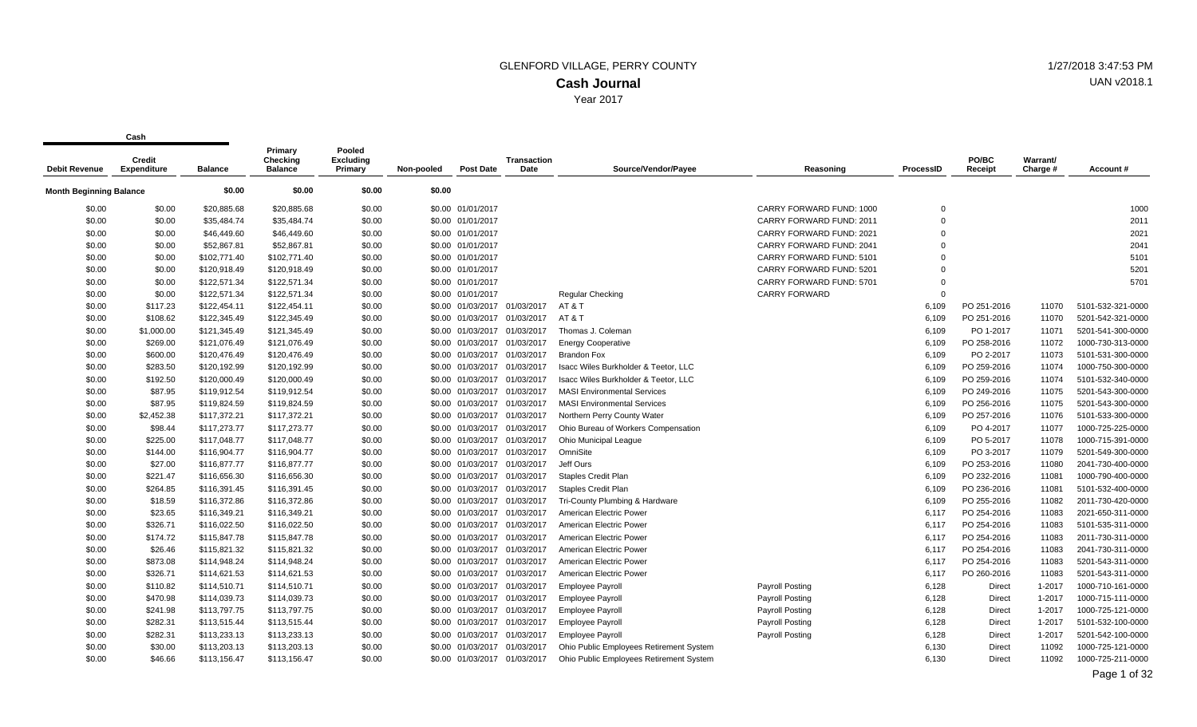Year 2017

**Cash**

| <b>Debit Revenue</b>    | Credit<br>Expenditure | <b>Balance</b> | Primary<br>Checking<br><b>Balance</b> | Pooled<br><b>Excluding</b><br>Primary | Non-pooled | <b>Post Date</b>             | Transaction<br>Date | Source/Vendor/Payee                     | Reasoning                | ProcessID      | PO/BC<br>Receipt | Warrant/<br>Charge # | Account #         |
|-------------------------|-----------------------|----------------|---------------------------------------|---------------------------------------|------------|------------------------------|---------------------|-----------------------------------------|--------------------------|----------------|------------------|----------------------|-------------------|
| Month Beginning Balance |                       | \$0.00         | \$0.00                                | \$0.00                                | \$0.00     |                              |                     |                                         |                          |                |                  |                      |                   |
| \$0.00                  | \$0.00                | \$20,885.68    | \$20,885.68                           | \$0.00                                |            | \$0.00 01/01/2017            |                     |                                         | CARRY FORWARD FUND: 1000 | $\overline{0}$ |                  |                      | 1000              |
| \$0.00                  | \$0.00                | \$35,484.74    | \$35,484.74                           | \$0.00                                |            | \$0.00 01/01/2017            |                     |                                         | CARRY FORWARD FUND: 2011 | $\overline{0}$ |                  |                      | 2011              |
| \$0.00                  | \$0.00                | \$46,449.60    | \$46,449.60                           | \$0.00                                |            | \$0.00 01/01/2017            |                     |                                         | CARRY FORWARD FUND: 2021 | $\Omega$       |                  |                      | 2021              |
| \$0.00                  | \$0.00                | \$52,867.81    | \$52,867.81                           | \$0.00                                |            | \$0.00 01/01/2017            |                     |                                         | CARRY FORWARD FUND: 2041 | $\Omega$       |                  |                      | 2041              |
| \$0.00                  | \$0.00                | \$102,771.40   | \$102,771.40                          | \$0.00                                |            | \$0.00 01/01/2017            |                     |                                         | CARRY FORWARD FUND: 5101 | $\Omega$       |                  |                      | 5101              |
| \$0.00                  | \$0.00                | \$120,918.49   | \$120,918.49                          | \$0.00                                |            | \$0.00 01/01/2017            |                     |                                         | CARRY FORWARD FUND: 5201 | $\Omega$       |                  |                      | 5201              |
| \$0.00                  | \$0.00                | \$122,571.34   | \$122,571.34                          | \$0.00                                |            | \$0.00 01/01/2017            |                     |                                         | CARRY FORWARD FUND: 5701 | $\Omega$       |                  |                      | 5701              |
| \$0.00                  | \$0.00                | \$122,571.34   | \$122,571.34                          | \$0.00                                |            | \$0.00 01/01/2017            |                     | <b>Regular Checking</b>                 | <b>CARRY FORWARD</b>     | $\Omega$       |                  |                      |                   |
| \$0.00                  | \$117.23              | \$122,454.11   | \$122,454.11                          | \$0.00                                |            | \$0.00 01/03/2017 01/03/2017 |                     | AT&T                                    |                          | 6,109          | PO 251-2016      | 11070                | 5101-532-321-0000 |
| \$0.00                  | \$108.62              | \$122,345.49   | \$122,345.49                          | \$0.00                                |            | \$0.00 01/03/2017            | 01/03/2017          | AT&T                                    |                          | 6,109          | PO 251-2016      | 11070                | 5201-542-321-0000 |
| \$0.00                  | \$1,000.00            | \$121,345.49   | \$121,345.49                          | \$0.00                                |            | \$0.00 01/03/2017 01/03/2017 |                     | Thomas J. Coleman                       |                          | 6,109          | PO 1-2017        | 11071                | 5201-541-300-0000 |
| \$0.00                  | \$269.00              | \$121,076.49   | \$121,076.49                          | \$0.00                                |            | \$0.00 01/03/2017 01/03/2017 |                     | <b>Energy Cooperative</b>               |                          | 6,109          | PO 258-2016      | 11072                | 1000-730-313-0000 |
| \$0.00                  | \$600.00              | \$120,476.49   | \$120,476.49                          | \$0.00                                |            | \$0.00 01/03/2017 01/03/2017 |                     | <b>Brandon Fox</b>                      |                          | 6,109          | PO 2-2017        | 11073                | 5101-531-300-0000 |
| \$0.00                  | \$283.50              | \$120,192.99   | \$120,192.99                          | \$0.00                                |            | \$0.00 01/03/2017            | 01/03/2017          | Isacc Wiles Burkholder & Teetor, LLC    |                          | 6,109          | PO 259-2016      | 11074                | 1000-750-300-0000 |
| \$0.00                  | \$192.50              | \$120,000.49   | \$120,000.49                          | \$0.00                                |            | \$0.00 01/03/2017 01/03/2017 |                     | Isacc Wiles Burkholder & Teetor, LLC    |                          | 6,109          | PO 259-2016      | 11074                | 5101-532-340-0000 |
| \$0.00                  | \$87.95               | \$119,912.54   | \$119,912.54                          | \$0.00                                |            | \$0.00 01/03/2017 01/03/2017 |                     | <b>MASI Environmental Services</b>      |                          | 6,109          | PO 249-2016      | 11075                | 5201-543-300-0000 |
| \$0.00                  | \$87.95               | \$119,824.59   | \$119,824.59                          | \$0.00                                |            | \$0.00 01/03/2017 01/03/2017 |                     | <b>MASI Environmental Services</b>      |                          | 6,109          | PO 256-2016      | 11075                | 5201-543-300-0000 |
| \$0.00                  | \$2,452.38            | \$117,372.21   | \$117,372.21                          | \$0.00                                |            | \$0.00 01/03/2017            | 01/03/2017          | Northern Perry County Water             |                          | 6,109          | PO 257-2016      | 11076                | 5101-533-300-0000 |
| \$0.00                  | \$98.44               | \$117,273.77   | \$117,273.77                          | \$0.00                                |            | \$0.00 01/03/2017            | 01/03/2017          | Ohio Bureau of Workers Compensation     |                          | 6,109          | PO 4-2017        | 11077                | 1000-725-225-0000 |
| \$0.00                  | \$225.00              | \$117,048.77   | \$117,048.77                          | \$0.00                                |            | \$0.00 01/03/2017 01/03/2017 |                     | Ohio Municipal League                   |                          | 6,109          | PO 5-2017        | 11078                | 1000-715-391-0000 |
| \$0.00                  | \$144.00              | \$116,904.77   | \$116,904.77                          | \$0.00                                |            | \$0.00 01/03/2017            | 01/03/2017          | OmniSite                                |                          | 6,109          | PO 3-2017        | 11079                | 5201-549-300-0000 |
| \$0.00                  | \$27.00               | \$116,877.77   | \$116,877.77                          | \$0.00                                |            | \$0.00 01/03/2017 01/03/2017 |                     | Jeff Ours                               |                          | 6,109          | PO 253-2016      | 11080                | 2041-730-400-0000 |
| \$0.00                  | \$221.47              | \$116,656.30   | \$116,656.30                          | \$0.00                                |            | \$0.00 01/03/2017            | 01/03/2017          | Staples Credit Plan                     |                          | 6,109          | PO 232-2016      | 11081                | 1000-790-400-0000 |
| \$0.00                  | \$264.85              | \$116,391.45   | \$116,391.45                          | \$0.00                                |            | \$0.00 01/03/2017 01/03/2017 |                     | Staples Credit Plan                     |                          | 6,109          | PO 236-2016      | 11081                | 5101-532-400-0000 |
| \$0.00                  | \$18.59               | \$116,372.86   | \$116,372.86                          | \$0.00                                |            | \$0.00 01/03/2017 01/03/2017 |                     | Tri-County Plumbing & Hardware          |                          | 6,109          | PO 255-2016      | 11082                | 2011-730-420-0000 |
| \$0.00                  | \$23.65               | \$116,349.21   | \$116,349.21                          | \$0.00                                |            | \$0.00 01/03/2017            | 01/03/2017          | American Electric Power                 |                          | 6,117          | PO 254-2016      | 11083                | 2021-650-311-0000 |
| \$0.00                  | \$326.71              | \$116,022.50   | \$116,022.50                          | \$0.00                                |            | \$0.00 01/03/2017            | 01/03/2017          | American Electric Power                 |                          | 6,117          | PO 254-2016      | 11083                | 5101-535-311-0000 |
| \$0.00                  | \$174.72              | \$115,847.78   | \$115,847.78                          | \$0.00                                |            | \$0.00 01/03/2017 01/03/2017 |                     | American Electric Power                 |                          | 6,117          | PO 254-2016      | 11083                | 2011-730-311-0000 |
| \$0.00                  | \$26.46               | \$115,821.32   | \$115,821.32                          | \$0.00                                |            | \$0.00 01/03/2017 01/03/2017 |                     | American Electric Power                 |                          | 6,117          | PO 254-2016      | 11083                | 2041-730-311-0000 |
| \$0.00                  | \$873.08              | \$114,948.24   | \$114,948.24                          | \$0.00                                |            | \$0.00 01/03/2017            | 01/03/2017          | American Electric Power                 |                          | 6,117          | PO 254-2016      | 11083                | 5201-543-311-0000 |
| \$0.00                  | \$326.71              | \$114,621.53   | \$114,621.53                          | \$0.00                                |            | \$0.00 01/03/2017            | 01/03/2017          | American Electric Power                 |                          | 6,117          | PO 260-2016      | 11083                | 5201-543-311-0000 |
| \$0.00                  | \$110.82              | \$114,510.71   | \$114,510.71                          | \$0.00                                |            | \$0.00 01/03/2017 01/03/2017 |                     | <b>Employee Payroll</b>                 | Payroll Posting          | 6,128          | Direct           | 1-2017               | 1000-710-161-0000 |
| \$0.00                  | \$470.98              | \$114,039.73   | \$114,039.73                          | \$0.00                                |            | \$0.00 01/03/2017 01/03/2017 |                     | <b>Employee Payroll</b>                 | Payroll Posting          | 6,128          | Direct           | 1-2017               | 1000-715-111-0000 |
| \$0.00                  | \$241.98              | \$113,797.75   | \$113,797.75                          | \$0.00                                |            | \$0.00 01/03/2017 01/03/2017 |                     | <b>Employee Payroll</b>                 | Payroll Posting          | 6,128          | Direct           | 1-2017               | 1000-725-121-0000 |
| \$0.00                  | \$282.31              | \$113,515.44   | \$113,515.44                          | \$0.00                                |            | \$0.00 01/03/2017            | 01/03/2017          | <b>Employee Payroll</b>                 | Payroll Posting          | 6,128          | Direct           | $1 - 2017$           | 5101-532-100-0000 |
| \$0.00                  | \$282.31              | \$113,233.13   | \$113,233.13                          | \$0.00                                |            | \$0.00 01/03/2017            | 01/03/2017          | <b>Employee Payroll</b>                 | Payroll Posting          | 6,128          | Direct           | 1-2017               | 5201-542-100-0000 |
| \$0.00                  | \$30.00               | \$113,203.13   | \$113,203.13                          | \$0.00                                |            | \$0.00 01/03/2017            | 01/03/2017          | Ohio Public Employees Retirement System |                          | 6,130          | Direct           | 11092                | 1000-725-121-0000 |
| \$0.00                  | \$46.66               | \$113,156.47   | \$113,156.47                          | \$0.00                                |            | \$0.00 01/03/2017 01/03/2017 |                     | Ohio Public Employees Retirement System |                          | 6.130          | <b>Direct</b>    | 11092                | 1000-725-211-0000 |

UAN v2018.1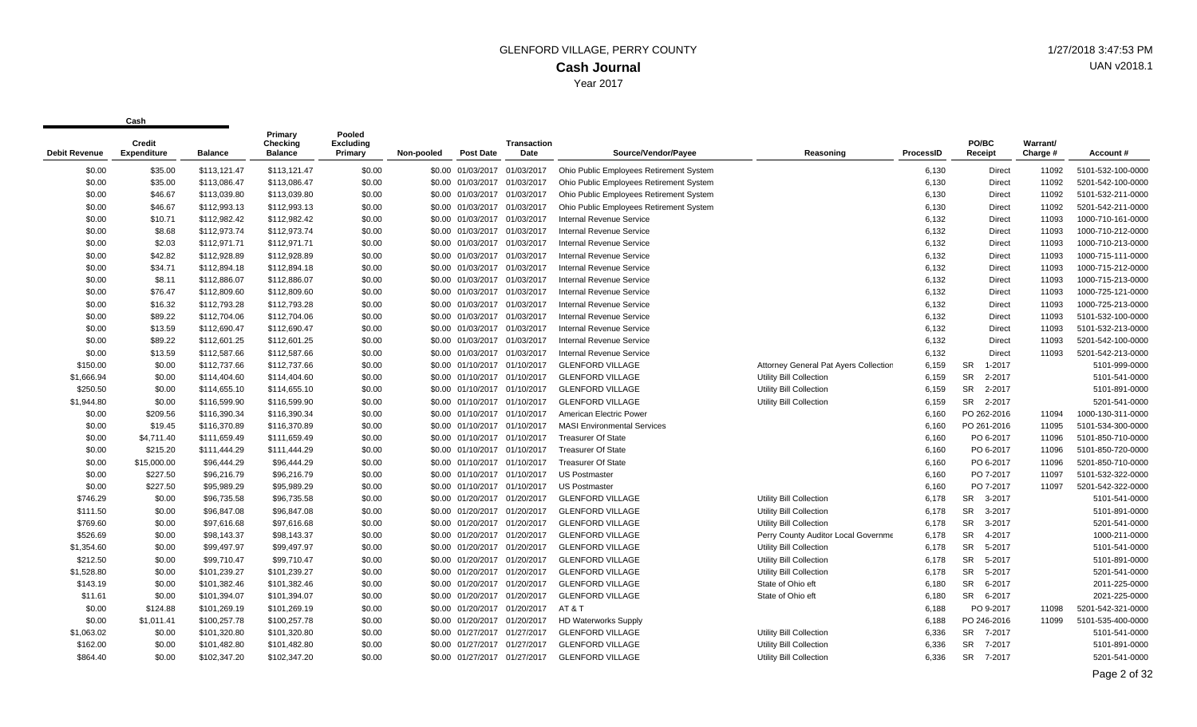| Debit Revenue | Credit<br><b>Expenditure</b> | <b>Balance</b> | Primary<br>Checking<br><b>Balance</b> | Pooled<br><b>Excluding</b><br>Primary | Non-pooled | <b>Post Date</b>             | <b>Transaction</b><br>Date   | Source/Vendor/Payee                     | Reasoning                                    | ProcessID | PO/BC<br>Receipt    | Warrant/<br>Charge # | Account #         |
|---------------|------------------------------|----------------|---------------------------------------|---------------------------------------|------------|------------------------------|------------------------------|-----------------------------------------|----------------------------------------------|-----------|---------------------|----------------------|-------------------|
| \$0.00        | \$35.00                      | \$113,121.47   | \$113,121.47                          | \$0.00                                |            | \$0.00 01/03/2017            | 01/03/2017                   | Ohio Public Employees Retirement System |                                              | 6,130     | Direct              | 11092                | 5101-532-100-0000 |
| \$0.00        | \$35.00                      | \$113,086.47   | \$113,086.47                          | \$0.00                                |            | \$0.00 01/03/2017 01/03/2017 |                              | Ohio Public Employees Retirement System |                                              | 6,130     | Direct              | 11092                | 5201-542-100-0000 |
| \$0.00        | \$46.67                      | \$113,039.80   | \$113,039.80                          | \$0.00                                |            | \$0.00 01/03/2017 01/03/2017 |                              | Ohio Public Employees Retirement System |                                              | 6,130     | Direct              | 11092                | 5101-532-211-0000 |
| \$0.00        | \$46.67                      | \$112,993.13   | \$112,993.13                          | \$0.00                                |            | \$0.00 01/03/2017            | 01/03/2017                   | Ohio Public Employees Retirement System |                                              | 6,130     | Direct              | 11092                | 5201-542-211-0000 |
| \$0.00        | \$10.71                      | \$112,982.42   | \$112,982.42                          | \$0.00                                |            | \$0.00 01/03/2017 01/03/2017 |                              | <b>Internal Revenue Service</b>         |                                              | 6,132     | Direct              | 11093                | 1000-710-161-0000 |
| \$0.00        | \$8.68                       | \$112,973.74   | \$112,973.74                          | \$0.00                                |            | \$0.00 01/03/2017 01/03/2017 |                              | Internal Revenue Service                |                                              | 6,132     | Direct              | 11093                | 1000-710-212-0000 |
| \$0.00        | \$2.03                       | \$112,971.71   | \$112,971.71                          | \$0.00                                |            | \$0.00 01/03/2017            | 01/03/2017                   | <b>Internal Revenue Service</b>         |                                              | 6,132     | Direct              | 11093                | 1000-710-213-0000 |
| \$0.00        | \$42.82                      | \$112,928.89   | \$112,928.89                          | \$0.00                                |            | \$0.00 01/03/2017            | 01/03/2017                   | <b>Internal Revenue Service</b>         |                                              | 6,132     | Direct              | 11093                | 1000-715-111-0000 |
| \$0.00        | \$34.71                      | \$112,894.18   | \$112,894.18                          | \$0.00                                |            | \$0.00 01/03/2017 01/03/2017 |                              | <b>Internal Revenue Service</b>         |                                              | 6,132     | Direct              | 11093                | 1000-715-212-0000 |
| \$0.00        | \$8.11                       | \$112,886.07   | \$112,886.07                          | \$0.00                                |            | \$0.00 01/03/2017            | 01/03/2017                   | Internal Revenue Service                |                                              | 6,132     | Direct              | 11093                | 1000-715-213-0000 |
| \$0.00        | \$76.47                      | \$112,809.60   | \$112,809.60                          | \$0.00                                |            | \$0.00 01/03/2017            | 01/03/2017                   | Internal Revenue Service                |                                              | 6,132     | Direct              | 11093                | 1000-725-121-0000 |
| \$0.00        | \$16.32                      | \$112,793.28   | \$112,793.28                          | \$0.00                                |            | \$0.00 01/03/2017 01/03/2017 |                              | <b>Internal Revenue Service</b>         |                                              | 6,132     | <b>Direct</b>       | 11093                | 1000-725-213-0000 |
| \$0.00        | \$89.22                      | \$112,704.06   | \$112,704.06                          | \$0.00                                |            | \$0.00 01/03/2017 01/03/2017 |                              | <b>Internal Revenue Service</b>         |                                              | 6,132     | <b>Direct</b>       | 11093                | 5101-532-100-0000 |
| \$0.00        | \$13.59                      | \$112,690.47   | \$112,690.47                          | \$0.00                                |            | \$0.00 01/03/2017            | 01/03/2017                   | <b>Internal Revenue Service</b>         |                                              | 6,132     | Direct              | 11093                | 5101-532-213-0000 |
| \$0.00        | \$89.22                      | \$112,601.25   | \$112,601.25                          | \$0.00                                |            | \$0.00 01/03/2017 01/03/2017 |                              | <b>Internal Revenue Service</b>         |                                              | 6,132     | Direct              | 11093                | 5201-542-100-0000 |
| \$0.00        | \$13.59                      | \$112,587.66   | \$112,587.66                          | \$0.00                                |            | \$0.00 01/03/2017 01/03/2017 |                              | Internal Revenue Service                |                                              | 6,132     | <b>Direct</b>       | 11093                | 5201-542-213-0000 |
| \$150.00      | \$0.00                       | \$112,737.66   | \$112,737.66                          | \$0.00                                |            | \$0.00 01/10/2017 01/10/2017 |                              | <b>GLENFORD VILLAGE</b>                 | <b>Attorney General Pat Ayers Collection</b> | 6,159     | <b>SR</b><br>1-2017 |                      | 5101-999-0000     |
| \$1,666.94    | \$0.00                       | \$114,404.60   | \$114,404.60                          | \$0.00                                |            | \$0.00 01/10/2017 01/10/2017 |                              | <b>GLENFORD VILLAGE</b>                 | Utility Bill Collection                      | 6,159     | <b>SR</b><br>2-2017 |                      | 5101-541-0000     |
| \$250.50      | \$0.00                       | \$114,655.10   | \$114,655.10                          | \$0.00                                |            |                              | \$0.00 01/10/2017 01/10/2017 | <b>GLENFORD VILLAGE</b>                 | <b>Utility Bill Collection</b>               | 6,159     | <b>SR</b><br>2-2017 |                      | 5101-891-0000     |
| \$1,944.80    | \$0.00                       | \$116,599.90   | \$116,599.90                          | \$0.00                                |            | \$0.00 01/10/2017 01/10/2017 |                              | <b>GLENFORD VILLAGE</b>                 | Utility Bill Collection                      | 6,159     | SR 2-2017           |                      | 5201-541-0000     |
| \$0.00        | \$209.56                     | \$116,390.34   | \$116,390.34                          | \$0.00                                |            | \$0.00 01/10/2017            | 01/10/2017                   | American Electric Power                 |                                              | 6,160     | PO 262-2016         | 11094                | 1000-130-311-0000 |
| \$0.00        | \$19.45                      | \$116,370.89   | \$116,370.89                          | \$0.00                                |            | \$0.00 01/10/2017 01/10/2017 |                              | <b>MASI Environmental Services</b>      |                                              | 6,160     | PO 261-2016         | 11095                | 5101-534-300-0000 |
| \$0.00        | \$4,711.40                   | \$111,659.49   | \$111,659.49                          | \$0.00                                |            | \$0.00 01/10/2017 01/10/2017 |                              | <b>Treasurer Of State</b>               |                                              | 6,160     | PO 6-2017           | 11096                | 5101-850-710-0000 |
| \$0.00        | \$215.20                     | \$111,444.29   | \$111,444.29                          | \$0.00                                |            | \$0.00 01/10/2017 01/10/2017 |                              | <b>Treasurer Of State</b>               |                                              | 6,160     | PO 6-2017           | 11096                | 5101-850-720-0000 |
| \$0.00        | \$15,000.00                  | \$96,444.29    | \$96,444.29                           | \$0.00                                |            | \$0.00 01/10/2017 01/10/2017 |                              | <b>Treasurer Of State</b>               |                                              | 6,160     | PO 6-2017           | 11096                | 5201-850-710-0000 |
| \$0.00        | \$227.50                     | \$96,216.79    | \$96,216.79                           | \$0.00                                |            | \$0.00 01/10/2017 01/10/2017 |                              | <b>US Postmaster</b>                    |                                              | 6,160     | PO 7-2017           | 11097                | 5101-532-322-0000 |
| \$0.00        | \$227.50                     | \$95,989.29    | \$95,989.29                           | \$0.00                                |            | \$0.00 01/10/2017 01/10/2017 |                              | <b>US Postmaster</b>                    |                                              | 6,160     | PO 7-2017           | 11097                | 5201-542-322-0000 |
| \$746.29      | \$0.00                       | \$96,735.58    | \$96,735.58                           | \$0.00                                |            | \$0.00 01/20/2017            | 01/20/2017                   | <b>GLENFORD VILLAGE</b>                 | Utility Bill Collection                      | 6,178     | 3-2017<br><b>SR</b> |                      | 5101-541-0000     |
| \$111.50      | \$0.00                       | \$96,847.08    | \$96,847.08                           | \$0.00                                |            | \$0.00 01/20/2017 01/20/2017 |                              | <b>GLENFORD VILLAGE</b>                 | Utility Bill Collection                      | 6,178     | 3-2017<br><b>SR</b> |                      | 5101-891-0000     |
| \$769.60      | \$0.00                       | \$97,616.68    | \$97,616.68                           | \$0.00                                |            | \$0.00 01/20/2017 01/20/2017 |                              | <b>GLENFORD VILLAGE</b>                 | Utility Bill Collection                      | 6,178     | <b>SR</b><br>3-2017 |                      | 5201-541-0000     |
| \$526.69      | \$0.00                       | \$98,143.37    | \$98,143.37                           | \$0.00                                |            | \$0.00 01/20/2017            | 01/20/2017                   | <b>GLENFORD VILLAGE</b>                 | Perry County Auditor Local Governme          | 6,178     | <b>SR</b><br>4-2017 |                      | 1000-211-0000     |
| \$1,354.60    | \$0.00                       | \$99,497.97    | \$99,497.97                           | \$0.00                                |            | \$0.00 01/20/2017 01/20/2017 |                              | <b>GLENFORD VILLAGE</b>                 | <b>Utility Bill Collection</b>               | 6,178     | <b>SR</b><br>5-2017 |                      | 5101-541-0000     |
| \$212.50      | \$0.00                       | \$99,710.47    | \$99,710.47                           | \$0.00                                |            | \$0.00 01/20/2017            | 01/20/2017                   | <b>GLENFORD VILLAGE</b>                 | <b>Utility Bill Collection</b>               | 6,178     | <b>SR</b><br>5-2017 |                      | 5101-891-0000     |
| \$1,528.80    | \$0.00                       | \$101,239.27   | \$101,239.27                          | \$0.00                                |            | \$0.00 01/20/2017            | 01/20/2017                   | <b>GLENFORD VILLAGE</b>                 | Utility Bill Collection                      | 6,178     | 5-2017<br><b>SR</b> |                      | 5201-541-0000     |
| \$143.19      | \$0.00                       | \$101,382.46   | \$101,382.46                          | \$0.00                                |            | \$0.00 01/20/2017 01/20/2017 |                              | <b>GLENFORD VILLAGE</b>                 | State of Ohio eft                            | 6,180     | 6-2017<br><b>SR</b> |                      | 2011-225-0000     |
| \$11.61       | \$0.00                       | \$101,394.07   | \$101,394.07                          | \$0.00                                |            | \$0.00 01/20/2017 01/20/2017 |                              | <b>GLENFORD VILLAGE</b>                 | State of Ohio eft                            | 6,180     | SR 6-2017           |                      | 2021-225-0000     |
| \$0.00        | \$124.88                     | \$101,269.19   | \$101,269.19                          | \$0.00                                |            |                              | \$0.00 01/20/2017 01/20/2017 | AT&T                                    |                                              | 6,188     | PO 9-2017           | 11098                | 5201-542-321-0000 |
| \$0.00        | \$1,011.41                   | \$100,257.78   | \$100,257.78                          | \$0.00                                |            | \$0.00 01/20/2017            | 01/20/2017                   | <b>HD Waterworks Supply</b>             |                                              | 6,188     | PO 246-2016         | 11099                | 5101-535-400-0000 |
| \$1,063.02    | \$0.00                       | \$101,320.80   | \$101,320.80                          | \$0.00                                |            | \$0.00 01/27/2017 01/27/2017 |                              | <b>GLENFORD VILLAGE</b>                 | <b>Utility Bill Collection</b>               | 6,336     | SR 7-2017           |                      | 5101-541-0000     |
| \$162.00      | \$0.00                       | \$101,482.80   | \$101,482.80                          | \$0.00                                |            | \$0.00 01/27/2017            | 01/27/2017                   | <b>GLENFORD VILLAGE</b>                 | Utility Bill Collection                      | 6,336     | <b>SR</b><br>7-2017 |                      | 5101-891-0000     |
| \$864.40      | \$0.00                       | \$102,347.20   | \$102,347.20                          | \$0.00                                |            | \$0.00 01/27/2017 01/27/2017 |                              | <b>GLENFORD VILLAGE</b>                 | Utility Bill Collection                      | 6.336     | SR 7-2017           |                      | 5201-541-0000     |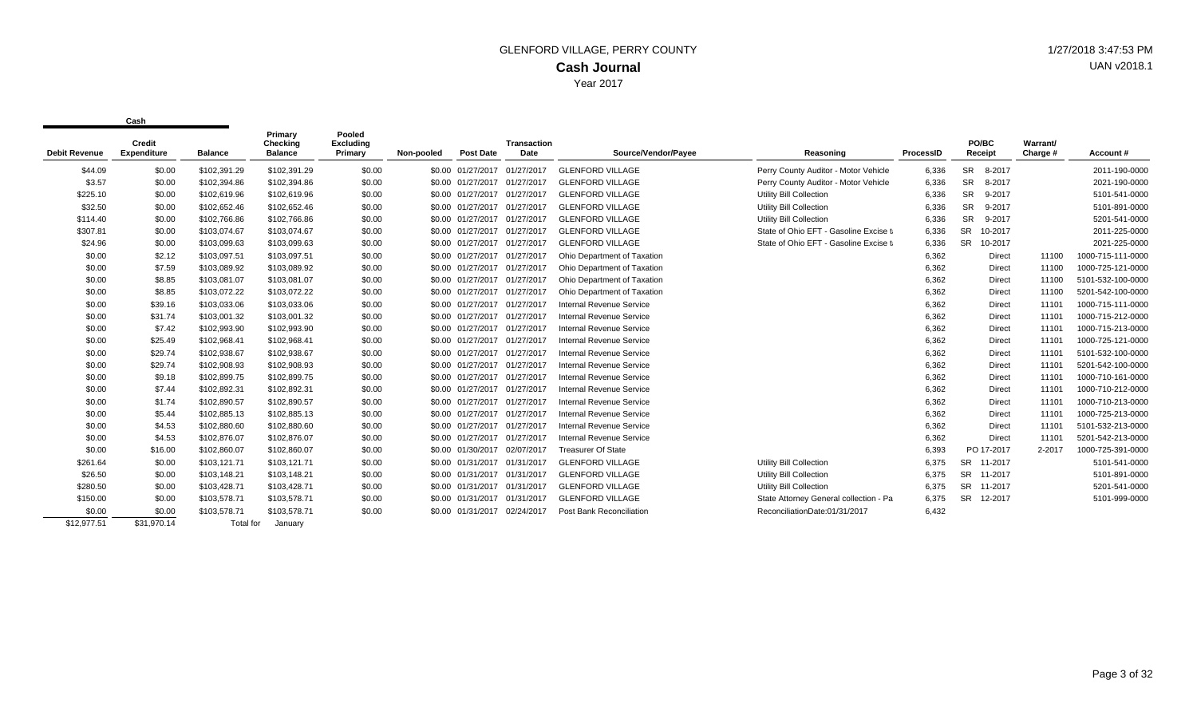| <b>Debit Revenue</b> | Credit<br><b>Expenditure</b> | <b>Balance</b>   | Primary<br>Checking<br><b>Balance</b> | Pooled<br><b>Excluding</b><br>Primary | Non-pooled | <b>Post Date</b>             | <b>Transaction</b><br>Date | Source/Vendor/Payee             | Reasoning                              | ProcessID | PO/BC<br>Receipt     | Warrant/<br>Charge # | Account#          |
|----------------------|------------------------------|------------------|---------------------------------------|---------------------------------------|------------|------------------------------|----------------------------|---------------------------------|----------------------------------------|-----------|----------------------|----------------------|-------------------|
| \$44.09              | \$0.00                       | \$102,391.29     | \$102,391.29                          | \$0.00                                |            | \$0.00 01/27/2017 01/27/2017 |                            | <b>GLENFORD VILLAGE</b>         | Perry County Auditor - Motor Vehicle   | 6,336     | <b>SR</b><br>8-2017  |                      | 2011-190-0000     |
| \$3.57               | \$0.00                       | \$102,394.86     | \$102,394.86                          | \$0.00                                |            | \$0.00 01/27/2017 01/27/2017 |                            | <b>GLENFORD VILLAGE</b>         | Perry County Auditor - Motor Vehicle   | 6,336     | 8-2017<br><b>SR</b>  |                      | 2021-190-0000     |
| \$225.10             | \$0.00                       | \$102,619.96     | \$102,619.96                          | \$0.00                                |            | \$0.00 01/27/2017 01/27/2017 |                            | <b>GLENFORD VILLAGE</b>         | <b>Utility Bill Collection</b>         | 6,336     | <b>SR</b><br>9-2017  |                      | 5101-541-0000     |
| \$32.50              | \$0.00                       | \$102,652.46     | \$102,652.46                          | \$0.00                                |            | \$0.00 01/27/2017 01/27/2017 |                            | <b>GLENFORD VILLAGE</b>         | <b>Utility Bill Collection</b>         | 6,336     | <b>SR</b><br>9-2017  |                      | 5101-891-0000     |
| \$114.40             | \$0.00                       | \$102,766.86     | \$102,766.86                          | \$0.00                                |            | \$0.00 01/27/2017 01/27/2017 |                            | <b>GLENFORD VILLAGE</b>         | <b>Utility Bill Collection</b>         | 6,336     | <b>SR</b><br>9-2017  |                      | 5201-541-0000     |
| \$307.81             | \$0.00                       | \$103,074.67     | \$103,074.67                          | \$0.00                                |            | \$0.00 01/27/2017 01/27/2017 |                            | <b>GLENFORD VILLAGE</b>         | State of Ohio EFT - Gasoline Excise ta | 6,336     | <b>SR</b><br>10-2017 |                      | 2011-225-0000     |
| \$24.96              | \$0.00                       | \$103,099.63     | \$103,099.63                          | \$0.00                                |            | \$0.00 01/27/2017 01/27/2017 |                            | <b>GLENFORD VILLAGE</b>         | State of Ohio EFT - Gasoline Excise ta | 6,336     | 10-2017<br><b>SR</b> |                      | 2021-225-0000     |
| \$0.00               | \$2.12                       | \$103,097.51     | \$103,097.51                          | \$0.00                                |            | \$0.00 01/27/2017 01/27/2017 |                            | Ohio Department of Taxation     |                                        | 6,362     | Direct               | 11100                | 1000-715-111-0000 |
| \$0.00               | \$7.59                       | \$103,089.92     | \$103,089.92                          | \$0.00                                |            | \$0.00 01/27/2017 01/27/2017 |                            | Ohio Department of Taxation     |                                        | 6,362     | Direct               | 11100                | 1000-725-121-0000 |
| \$0.00               | \$8.85                       | \$103,081.07     | \$103,081.07                          | \$0.00                                |            | \$0.00 01/27/2017 01/27/2017 |                            | Ohio Department of Taxation     |                                        | 6,362     | Direct               | 11100                | 5101-532-100-0000 |
| \$0.00               | \$8.85                       | \$103,072.22     | \$103,072.22                          | \$0.00                                |            | \$0.00 01/27/2017 01/27/2017 |                            | Ohio Department of Taxation     |                                        | 6,362     | Direct               | 11100                | 5201-542-100-0000 |
| \$0.00               | \$39.16                      | \$103,033.06     | \$103,033.06                          | \$0.00                                |            | \$0.00 01/27/2017 01/27/2017 |                            | <b>Internal Revenue Service</b> |                                        | 6,362     | Direct               | 11101                | 1000-715-111-0000 |
| \$0.00               | \$31.74                      | \$103,001.32     | \$103,001.32                          | \$0.00                                |            | \$0.00 01/27/2017 01/27/2017 |                            | <b>Internal Revenue Service</b> |                                        | 6,362     | Direct               | 11101                | 1000-715-212-0000 |
| \$0.00               | \$7.42                       | \$102,993.90     | \$102,993.90                          | \$0.00                                |            | \$0.00 01/27/2017 01/27/2017 |                            | <b>Internal Revenue Service</b> |                                        | 6,362     | Direct               | 11101                | 1000-715-213-0000 |
| \$0.00               | \$25.49                      | \$102,968.41     | \$102,968.41                          | \$0.00                                |            | \$0.00 01/27/2017 01/27/2017 |                            | <b>Internal Revenue Service</b> |                                        | 6,362     | Direct               | 11101                | 1000-725-121-0000 |
| \$0.00               | \$29.74                      | \$102,938.67     | \$102,938.67                          | \$0.00                                |            | \$0.00 01/27/2017 01/27/2017 |                            | <b>Internal Revenue Service</b> |                                        | 6,362     | Direct               | 11101                | 5101-532-100-0000 |
| \$0.00               | \$29.74                      | \$102,908.93     | \$102,908.93                          | \$0.00                                |            | \$0.00 01/27/2017 01/27/2017 |                            | <b>Internal Revenue Service</b> |                                        | 6,362     | <b>Direct</b>        | 11101                | 5201-542-100-0000 |
| \$0.00               | \$9.18                       | \$102,899.75     | \$102,899.75                          | \$0.00                                |            | \$0.00 01/27/2017 01/27/2017 |                            | Internal Revenue Service        |                                        | 6,362     | Direct               | 11101                | 1000-710-161-0000 |
| \$0.00               | \$7.44                       | \$102,892.31     | \$102,892.31                          | \$0.00                                |            | \$0.00 01/27/2017 01/27/2017 |                            | Internal Revenue Service        |                                        | 6,362     | Direct               | 11101                | 1000-710-212-0000 |
| \$0.00               | \$1.74                       | \$102,890.57     | \$102,890.57                          | \$0.00                                |            | \$0.00 01/27/2017 01/27/2017 |                            | <b>Internal Revenue Service</b> |                                        | 6,362     | <b>Direct</b>        | 11101                | 1000-710-213-0000 |
| \$0.00               | \$5.44                       | \$102,885.13     | \$102,885.13                          | \$0.00                                |            | \$0.00 01/27/2017 01/27/2017 |                            | Internal Revenue Service        |                                        | 6,362     | <b>Direct</b>        | 11101                | 1000-725-213-0000 |
| \$0.00               | \$4.53                       | \$102,880.60     | \$102,880.60                          | \$0.00                                |            | \$0.00 01/27/2017 01/27/2017 |                            | Internal Revenue Service        |                                        | 6,362     | <b>Direct</b>        | 11101                | 5101-532-213-0000 |
| \$0.00               | \$4.53                       | \$102,876.07     | \$102,876.07                          | \$0.00                                |            | \$0.00 01/27/2017 01/27/2017 |                            | <b>Internal Revenue Service</b> |                                        | 6,362     | Direct               | 11101                | 5201-542-213-0000 |
| \$0.00               | \$16.00                      | \$102,860.07     | \$102,860.07                          | \$0.00                                |            | \$0.00 01/30/2017 02/07/2017 |                            | <b>Treasurer Of State</b>       |                                        | 6,393     | PO 17-2017           | 2-2017               | 1000-725-391-0000 |
| \$261.64             | \$0.00                       | \$103,121.71     | \$103,121.71                          | \$0.00                                |            | \$0.00 01/31/2017 01/31/2017 |                            | <b>GLENFORD VILLAGE</b>         | <b>Utility Bill Collection</b>         | 6,375     | 11-2017<br>SR.       |                      | 5101-541-0000     |
| \$26.50              | \$0.00                       | \$103,148.21     | \$103,148.21                          | \$0.00                                |            | \$0.00 01/31/2017 01/31/2017 |                            | <b>GLENFORD VILLAGE</b>         | <b>Utility Bill Collection</b>         | 6,375     | <b>SR</b><br>11-2017 |                      | 5101-891-0000     |
| \$280.50             | \$0.00                       | \$103,428.71     | \$103,428.71                          | \$0.00                                |            | \$0.00 01/31/2017 01/31/2017 |                            | <b>GLENFORD VILLAGE</b>         | <b>Utility Bill Collection</b>         | 6,375     | <b>SR</b><br>11-2017 |                      | 5201-541-0000     |
| \$150.00             | \$0.00                       | \$103,578.71     | \$103,578.71                          | \$0.00                                |            | \$0.00 01/31/2017 01/31/2017 |                            | <b>GLENFORD VILLAGE</b>         | State Attorney General collection - Pa | 6,375     | <b>SR</b><br>12-2017 |                      | 5101-999-0000     |
| \$0.00               | \$0.00                       | \$103,578.71     | \$103,578.71                          | \$0.00                                |            | \$0.00 01/31/2017            | 02/24/2017                 | Post Bank Reconciliation        | ReconciliationDate:01/31/2017          | 6,432     |                      |                      |                   |
| \$12,977.51          | \$31.970.14                  | <b>Total for</b> | January                               |                                       |            |                              |                            |                                 |                                        |           |                      |                      |                   |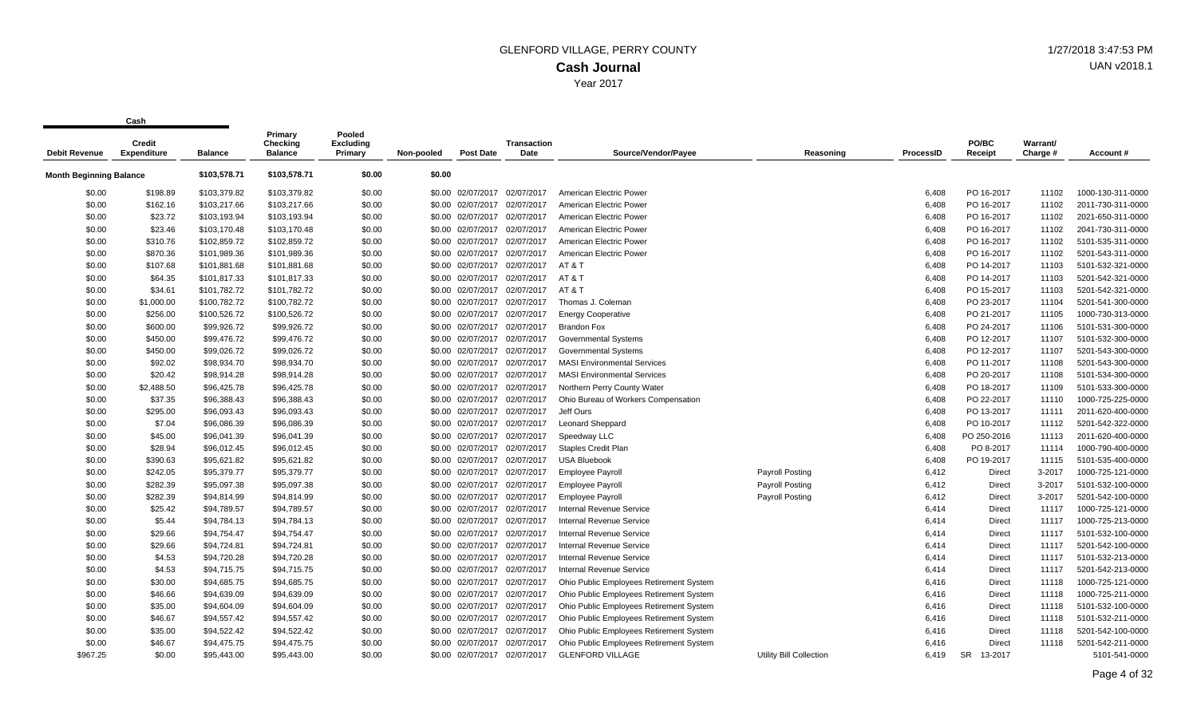| <b>Debit Revenue</b>    | <b>Credit</b><br><b>Expenditure</b> | <b>Balance</b> | Primary<br>Checking<br><b>Balance</b> | Pooled<br>Excluding<br>Primary | Non-pooled | <b>Post Date</b>  | Transaction<br>Date | Source/Vendor/Payee                     | Reasoning                      | <b>ProcessID</b> | PO/BC<br>Receipt     | Warrant/<br>Charge # | Account#          |
|-------------------------|-------------------------------------|----------------|---------------------------------------|--------------------------------|------------|-------------------|---------------------|-----------------------------------------|--------------------------------|------------------|----------------------|----------------------|-------------------|
| Month Beginning Balance |                                     | \$103,578.71   | \$103,578.71                          | \$0.00                         | \$0.00     |                   |                     |                                         |                                |                  |                      |                      |                   |
| \$0.00                  | \$198.89                            | \$103,379.82   | \$103,379.82                          | \$0.00                         |            | \$0.00 02/07/2017 | 02/07/2017          | American Electric Power                 |                                | 6,408            | PO 16-2017           | 11102                | 1000-130-311-0000 |
| \$0.00                  | \$162.16                            | \$103,217.66   | \$103,217.66                          | \$0.00                         |            | \$0.00 02/07/2017 | 02/07/2017          | American Electric Power                 |                                | 6,408            | PO 16-2017           | 11102                | 2011-730-311-0000 |
| \$0.00                  | \$23.72                             | \$103,193.94   | \$103,193.94                          | \$0.00                         |            | \$0.00 02/07/2017 | 02/07/2017          | American Electric Power                 |                                | 6,408            | PO 16-2017           | 11102                | 2021-650-311-0000 |
| \$0.00                  | \$23.46                             | \$103,170.48   | \$103,170.48                          | \$0.00                         |            | \$0.00 02/07/2017 | 02/07/2017          | American Electric Power                 |                                | 6,408            | PO 16-2017           | 11102                | 2041-730-311-0000 |
| \$0.00                  | \$310.76                            | \$102,859.72   | \$102,859.72                          | \$0.00                         |            | \$0.00 02/07/2017 | 02/07/2017          | American Electric Power                 |                                | 6,408            | PO 16-2017           | 11102                | 5101-535-311-0000 |
| \$0.00                  | \$870.36                            | \$101,989.36   | \$101,989.36                          | \$0.00                         |            | \$0.00 02/07/2017 | 02/07/2017          | American Electric Power                 |                                | 6,408            | PO 16-2017           | 11102                | 5201-543-311-0000 |
| \$0.00                  | \$107.68                            | \$101,881.68   | \$101,881.68                          | \$0.00                         |            | \$0.00 02/07/2017 | 02/07/2017          | AT&T                                    |                                | 6,408            | PO 14-2017           | 11103                | 5101-532-321-0000 |
| \$0.00                  | \$64.35                             | \$101,817.33   | \$101,817.33                          | \$0.00                         |            | \$0.00 02/07/2017 | 02/07/2017          | AT&T                                    |                                | 6,408            | PO 14-2017           | 11103                | 5201-542-321-0000 |
| \$0.00                  | \$34.61                             | \$101,782.72   | \$101,782.72                          | \$0.00                         |            | \$0.00 02/07/2017 | 02/07/2017          | AT&T                                    |                                | 6,408            | PO 15-2017           | 11103                | 5201-542-321-0000 |
| \$0.00                  | \$1,000.00                          | \$100,782.72   | \$100,782.72                          | \$0.00                         |            | \$0.00 02/07/2017 | 02/07/2017          | Thomas J. Coleman                       |                                | 6,408            | PO 23-2017           | 11104                | 5201-541-300-0000 |
| \$0.00                  | \$256.00                            | \$100,526.72   | \$100,526.72                          | \$0.00                         |            | \$0.00 02/07/2017 | 02/07/2017          | <b>Energy Cooperative</b>               |                                | 6,408            | PO 21-2017           | 11105                | 1000-730-313-0000 |
| \$0.00                  | \$600.00                            | \$99,926.72    | \$99,926.72                           | \$0.00                         |            | \$0.00 02/07/2017 | 02/07/2017          | <b>Brandon Fox</b>                      |                                | 6,408            | PO 24-2017           | 11106                | 5101-531-300-0000 |
| \$0.00                  | \$450.00                            | \$99,476.72    | \$99,476.72                           | \$0.00                         |            | \$0.00 02/07/2017 | 02/07/2017          | <b>Governmental Systems</b>             |                                | 6,408            | PO 12-2017           | 11107                | 5101-532-300-0000 |
| \$0.00                  | \$450.00                            | \$99,026.72    | \$99,026.72                           | \$0.00                         |            | \$0.00 02/07/2017 | 02/07/2017          | <b>Governmental Systems</b>             |                                | 6,408            | PO 12-2017           | 11107                | 5201-543-300-0000 |
| \$0.00                  | \$92.02                             | \$98,934.70    | \$98,934.70                           | \$0.00                         |            | \$0.00 02/07/2017 | 02/07/2017          | <b>MASI Environmental Services</b>      |                                | 6,408            | PO 11-2017           | 11108                | 5201-543-300-0000 |
| \$0.00                  | \$20.42                             | \$98,914.28    | \$98,914.28                           | \$0.00                         |            | \$0.00 02/07/2017 | 02/07/2017          | <b>MASI Environmental Services</b>      |                                | 6,408            | PO 20-2017           | 11108                | 5101-534-300-0000 |
| \$0.00                  | \$2,488.50                          | \$96,425.78    | \$96,425.78                           | \$0.00                         |            | \$0.00 02/07/2017 | 02/07/2017          | Northern Perry County Water             |                                | 6,408            | PO 18-2017           | 11109                | 5101-533-300-0000 |
| \$0.00                  | \$37.35                             | \$96,388.43    | \$96,388.43                           | \$0.00                         |            | \$0.00 02/07/2017 | 02/07/2017          | Ohio Bureau of Workers Compensation     |                                | 6,408            | PO 22-2017           | 11110                | 1000-725-225-0000 |
| \$0.00                  | \$295.00                            | \$96,093.43    | \$96,093.43                           | \$0.00                         |            | \$0.00 02/07/2017 | 02/07/2017          | Jeff Ours                               |                                | 6,408            | PO 13-2017           | 11111                | 2011-620-400-0000 |
| \$0.00                  | \$7.04                              | \$96,086.39    | \$96,086.39                           | \$0.00                         |            | \$0.00 02/07/2017 | 02/07/2017          | <b>Leonard Sheppard</b>                 |                                | 6,408            | PO 10-2017           | 11112                | 5201-542-322-0000 |
| \$0.00                  | \$45.00                             | \$96,041.39    | \$96,041.39                           | \$0.00                         |            | \$0.00 02/07/2017 | 02/07/2017          | Speedway LLC                            |                                | 6,408            | PO 250-2016          | 11113                | 2011-620-400-0000 |
| \$0.00                  | \$28.94                             | \$96,012.45    | \$96,012.45                           | \$0.00                         |            | \$0.00 02/07/2017 | 02/07/2017          | Staples Credit Plan                     |                                | 6,408            | PO 8-2017            | 11114                | 1000-790-400-0000 |
| \$0.00                  | \$390.63                            | \$95,621.82    | \$95,621.82                           | \$0.00                         |            | \$0.00 02/07/2017 | 02/07/2017          | <b>USA Bluebook</b>                     |                                | 6,408            | PO 19-2017           | 11115                | 5101-535-400-0000 |
| \$0.00                  | \$242.05                            | \$95,379.77    | \$95,379.77                           | \$0.00                         |            | \$0.00 02/07/2017 | 02/07/2017          | <b>Employee Payroll</b>                 | <b>Payroll Posting</b>         | 6,412            | Direct               | 3-2017               | 1000-725-121-0000 |
| \$0.00                  | \$282.39                            | \$95,097.38    | \$95,097.38                           | \$0.00                         |            | \$0.00 02/07/2017 | 02/07/2017          | <b>Employee Payroll</b>                 | <b>Payroll Posting</b>         | 6,412            | <b>Direct</b>        | 3-2017               | 5101-532-100-0000 |
| \$0.00                  | \$282.39                            | \$94,814.99    | \$94,814.99                           | \$0.00                         |            | \$0.00 02/07/2017 | 02/07/2017          | <b>Employee Payroll</b>                 | <b>Payroll Posting</b>         | 6,412            | <b>Direct</b>        | 3-2017               | 5201-542-100-0000 |
| \$0.00                  | \$25.42                             | \$94,789.57    | \$94,789.57                           | \$0.00                         |            | \$0.00 02/07/2017 | 02/07/2017          | <b>Internal Revenue Service</b>         |                                | 6,414            | <b>Direct</b>        | 11117                | 1000-725-121-0000 |
| \$0.00                  | \$5.44                              | \$94,784.13    | \$94,784.13                           | \$0.00                         |            | \$0.00 02/07/2017 | 02/07/2017          | <b>Internal Revenue Service</b>         |                                | 6,414            | Direct               | 11117                | 1000-725-213-0000 |
| \$0.00                  | \$29.66                             | \$94,754.47    | \$94,754.47                           | \$0.00                         |            | \$0.00 02/07/2017 | 02/07/2017          | Internal Revenue Service                |                                | 6,414            | Direct               | 11117                | 5101-532-100-0000 |
| \$0.00                  | \$29.66                             | \$94,724.81    | \$94,724.81                           | \$0.00                         |            | \$0.00 02/07/2017 | 02/07/2017          | <b>Internal Revenue Service</b>         |                                | 6,414            | Direct               | 11117                | 5201-542-100-0000 |
| \$0.00                  | \$4.53                              | \$94,720.28    | \$94,720.28                           | \$0.00                         |            | \$0.00 02/07/2017 | 02/07/2017          | Internal Revenue Service                |                                | 6,414            | Direct               | 11117                | 5101-532-213-0000 |
| \$0.00                  | \$4.53                              | \$94,715.75    | \$94,715.75                           | \$0.00                         |            | \$0.00 02/07/2017 | 02/07/2017          | <b>Internal Revenue Service</b>         |                                | 6,414            | <b>Direct</b>        | 11117                | 5201-542-213-0000 |
| \$0.00                  | \$30.00                             | \$94,685.75    | \$94,685.75                           | \$0.00                         |            | \$0.00 02/07/2017 | 02/07/2017          | Ohio Public Employees Retirement System |                                | 6,416            | Direct               | 11118                | 1000-725-121-0000 |
| \$0.00                  | \$46.66                             | \$94,639.09    | \$94,639.09                           | \$0.00                         |            | \$0.00 02/07/2017 | 02/07/2017          | Ohio Public Employees Retirement System |                                | 6,416            | Direct               | 11118                | 1000-725-211-0000 |
| \$0.00                  | \$35.00                             | \$94,604.09    | \$94,604.09                           | \$0.00                         |            | \$0.00 02/07/2017 | 02/07/2017          | Ohio Public Employees Retirement System |                                | 6,416            | Direct               | 11118                | 5101-532-100-0000 |
| \$0.00                  | \$46.67                             | \$94,557.42    | \$94,557.42                           | \$0.00                         |            | \$0.00 02/07/2017 | 02/07/2017          | Ohio Public Employees Retirement System |                                | 6,416            | <b>Direct</b>        | 11118                | 5101-532-211-0000 |
| \$0.00                  | \$35.00                             | \$94,522.42    | \$94,522.42                           | \$0.00                         |            | \$0.00 02/07/2017 | 02/07/2017          | Ohio Public Employees Retirement System |                                | 6,416            | Direct               | 11118                | 5201-542-100-0000 |
| \$0.00                  | \$46.67                             | \$94,475.75    | \$94,475.75                           | \$0.00                         |            | \$0.00 02/07/2017 | 02/07/2017          | Ohio Public Employees Retirement System |                                | 6,416            | <b>Direct</b>        | 11118                | 5201-542-211-0000 |
| \$967.25                | \$0.00                              | \$95.443.00    | \$95,443.00                           | \$0.00                         |            | \$0.00 02/07/2017 | 02/07/2017          | <b>GLENFORD VILLAGE</b>                 | <b>Utility Bill Collection</b> | 6.419            | <b>SR</b><br>13-2017 |                      | 5101-541-0000     |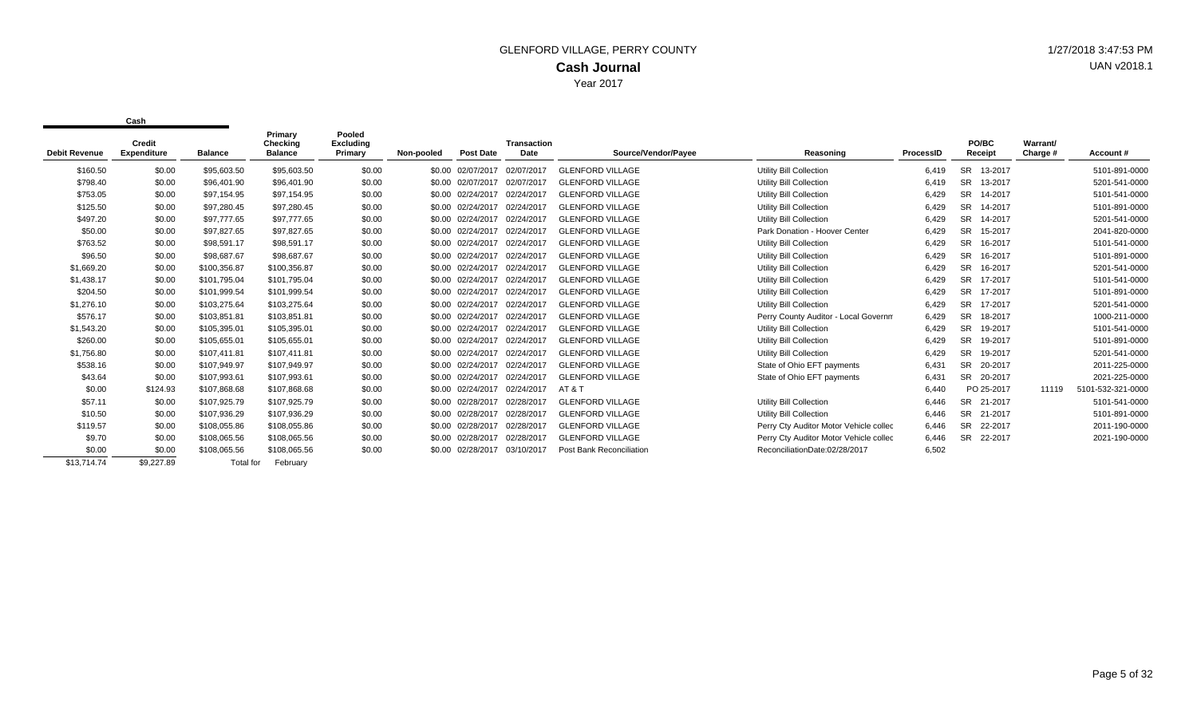| <b>Debit Revenue</b> | Credit<br><b>Expenditure</b> | <b>Balance</b> | Primary<br>Checking<br><b>Balance</b> | Pooled<br><b>Excluding</b><br>Primary | Non-pooled | <b>Post Date</b>  | <b>Transaction</b><br>Date | Source/Vendor/Payee      | Reasoning                              | ProcessID | <b>PO/BC</b><br>Receipt | Warrant/<br>Charge # | Account#          |
|----------------------|------------------------------|----------------|---------------------------------------|---------------------------------------|------------|-------------------|----------------------------|--------------------------|----------------------------------------|-----------|-------------------------|----------------------|-------------------|
| \$160.50             | \$0.00                       | \$95,603.50    | \$95,603.50                           | \$0.00                                |            | \$0.00 02/07/2017 | 02/07/2017                 | <b>GLENFORD VILLAGE</b>  | <b>Utility Bill Collection</b>         | 6,419     | SR.<br>13-2017          |                      | 5101-891-0000     |
| \$798.40             | \$0.00                       | \$96.401.90    | \$96,401.90                           | \$0.00                                |            | \$0.00 02/07/2017 | 02/07/2017                 | <b>GLENFORD VILLAGE</b>  | <b>Utility Bill Collection</b>         | 6,419     | SR.<br>13-2017          |                      | 5201-541-0000     |
| \$753.05             | \$0.00                       | \$97,154.95    | \$97,154.95                           | \$0.00                                |            | \$0.00 02/24/2017 | 02/24/2017                 | <b>GLENFORD VILLAGE</b>  | Utility Bill Collection                | 6,429     | 14-2017<br>SR.          |                      | 5101-541-0000     |
| \$125.50             | \$0.00                       | \$97,280.45    | \$97,280.45                           | \$0.00                                |            | \$0.00 02/24/2017 | 02/24/2017                 | <b>GLENFORD VILLAGE</b>  | <b>Utility Bill Collection</b>         | 6,429     | <b>SR</b><br>14-2017    |                      | 5101-891-0000     |
| \$497.20             | \$0.00                       | \$97,777.65    | \$97,777.65                           | \$0.00                                |            | \$0.00 02/24/2017 | 02/24/2017                 | <b>GLENFORD VILLAGE</b>  | <b>Utility Bill Collection</b>         | 6,429     | <b>SR</b><br>14-2017    |                      | 5201-541-0000     |
| \$50.00              | \$0.00                       | \$97,827.65    | \$97,827.65                           | \$0.00                                |            | \$0.00 02/24/2017 | 02/24/2017                 | <b>GLENFORD VILLAGE</b>  | Park Donation - Hoover Center          | 6,429     | SR.<br>15-2017          |                      | 2041-820-0000     |
| \$763.52             | \$0.00                       | \$98,591.17    | \$98,591.17                           | \$0.00                                |            | \$0.00 02/24/2017 | 02/24/2017                 | <b>GLENFORD VILLAGE</b>  | <b>Utility Bill Collection</b>         | 6,429     | 16-2017<br><b>SR</b>    |                      | 5101-541-0000     |
| \$96.50              | \$0.00                       | \$98,687.67    | \$98,687.67                           | \$0.00                                |            | \$0.00 02/24/2017 | 02/24/2017                 | <b>GLENFORD VILLAGE</b>  | <b>Utility Bill Collection</b>         | 6,429     | <b>SR</b><br>16-2017    |                      | 5101-891-0000     |
| \$1,669.20           | \$0.00                       | \$100,356.87   | \$100,356.87                          | \$0.00                                |            | \$0.00 02/24/2017 | 02/24/2017                 | <b>GLENFORD VILLAGE</b>  | <b>Utility Bill Collection</b>         | 6,429     | SR.<br>16-2017          |                      | 5201-541-0000     |
| \$1,438.17           | \$0.00                       | \$101,795.04   | \$101,795.04                          | \$0.00                                |            | \$0.00 02/24/2017 | 02/24/2017                 | <b>GLENFORD VILLAGE</b>  | <b>Utility Bill Collection</b>         | 6,429     | <b>SR</b><br>17-2017    |                      | 5101-541-0000     |
| \$204.50             | \$0.00                       | \$101.999.54   | \$101,999.54                          | \$0.00                                |            | \$0.00 02/24/2017 | 02/24/2017                 | <b>GLENFORD VILLAGE</b>  | <b>Utility Bill Collection</b>         | 6.429     | <b>SR</b><br>17-2017    |                      | 5101-891-0000     |
| \$1,276.10           | \$0.00                       | \$103,275.64   | \$103,275.64                          | \$0.00                                |            | \$0.00 02/24/2017 | 02/24/2017                 | <b>GLENFORD VILLAGE</b>  | <b>Utility Bill Collection</b>         | 6,429     | <b>SR</b><br>17-2017    |                      | 5201-541-0000     |
| \$576.17             | \$0.00                       | \$103,851.81   | \$103,851.81                          | \$0.00                                |            | \$0.00 02/24/2017 | 02/24/2017                 | <b>GLENFORD VILLAGE</b>  | Perry County Auditor - Local Governm   | 6,429     | <b>SR</b><br>18-2017    |                      | 1000-211-0000     |
| \$1,543.20           | \$0.00                       | \$105,395.01   | \$105,395.01                          | \$0.00                                |            | \$0.00 02/24/2017 | 02/24/2017                 | <b>GLENFORD VILLAGE</b>  | <b>Utility Bill Collection</b>         | 6,429     | <b>SR</b><br>19-2017    |                      | 5101-541-0000     |
| \$260.00             | \$0.00                       | \$105,655.01   | \$105,655.01                          | \$0.00                                |            | \$0.00 02/24/2017 | 02/24/2017                 | <b>GLENFORD VILLAGE</b>  | Utility Bill Collection                | 6,429     | 19-2017<br>SR.          |                      | 5101-891-0000     |
| \$1,756.80           | \$0.00                       | \$107,411.81   | \$107,411.81                          | \$0.00                                |            | \$0.00 02/24/2017 | 02/24/2017                 | <b>GLENFORD VILLAGE</b>  | <b>Utility Bill Collection</b>         | 6,429     | SR.<br>19-2017          |                      | 5201-541-0000     |
| \$538.16             | \$0.00                       | \$107.949.97   | \$107,949.97                          | \$0.00                                |            | \$0.00 02/24/2017 | 02/24/2017                 | <b>GLENFORD VILLAGE</b>  | State of Ohio EFT payments             | 6,431     | <b>SR</b><br>20-2017    |                      | 2011-225-0000     |
| \$43.64              | \$0.00                       | \$107,993.61   | \$107,993.61                          | \$0.00                                |            | \$0.00 02/24/2017 | 02/24/2017                 | <b>GLENFORD VILLAGE</b>  | State of Ohio EFT payments             | 6,431     | <b>SR</b><br>20-2017    |                      | 2021-225-0000     |
| \$0.00               | \$124.93                     | \$107,868.68   | \$107,868.68                          | \$0.00                                |            | \$0.00 02/24/2017 | 02/24/2017                 | AT & T                   |                                        | 6,440     | PO 25-2017              | 11119                | 5101-532-321-0000 |
| \$57.11              | \$0.00                       | \$107,925.79   | \$107,925.79                          | \$0.00                                |            | \$0.00 02/28/2017 | 02/28/2017                 | <b>GLENFORD VILLAGE</b>  | <b>Utility Bill Collection</b>         | 6,446     | SR.<br>21-2017          |                      | 5101-541-0000     |
| \$10.50              | \$0.00                       | \$107,936.29   | \$107,936.29                          | \$0.00                                |            | \$0.00 02/28/2017 | 02/28/2017                 | <b>GLENFORD VILLAGE</b>  | <b>Utility Bill Collection</b>         | 6,446     | 21-2017<br><b>SR</b>    |                      | 5101-891-0000     |
| \$119.57             | \$0.00                       | \$108,055.86   | \$108,055.86                          | \$0.00                                |            | \$0.00 02/28/2017 | 02/28/2017                 | <b>GLENFORD VILLAGE</b>  | Perry Cty Auditor Motor Vehicle collec | 6,446     | SR.<br>22-2017          |                      | 2011-190-0000     |
| \$9.70               | \$0.00                       | \$108,065.56   | \$108,065.56                          | \$0.00                                |            | \$0.00 02/28/2017 | 02/28/2017                 | <b>GLENFORD VILLAGE</b>  | Perry Cty Auditor Motor Vehicle collec | 6,446     | SR.<br>22-2017          |                      | 2021-190-0000     |
| \$0.00               | \$0.00                       | \$108,065.56   | \$108,065.56                          | \$0.00                                |            | \$0.00 02/28/2017 | 03/10/2017                 | Post Bank Reconciliation | ReconciliationDate:02/28/2017          | 6,502     |                         |                      |                   |
| \$13,714.74          | \$9,227.89                   | Total for      | February                              |                                       |            |                   |                            |                          |                                        |           |                         |                      |                   |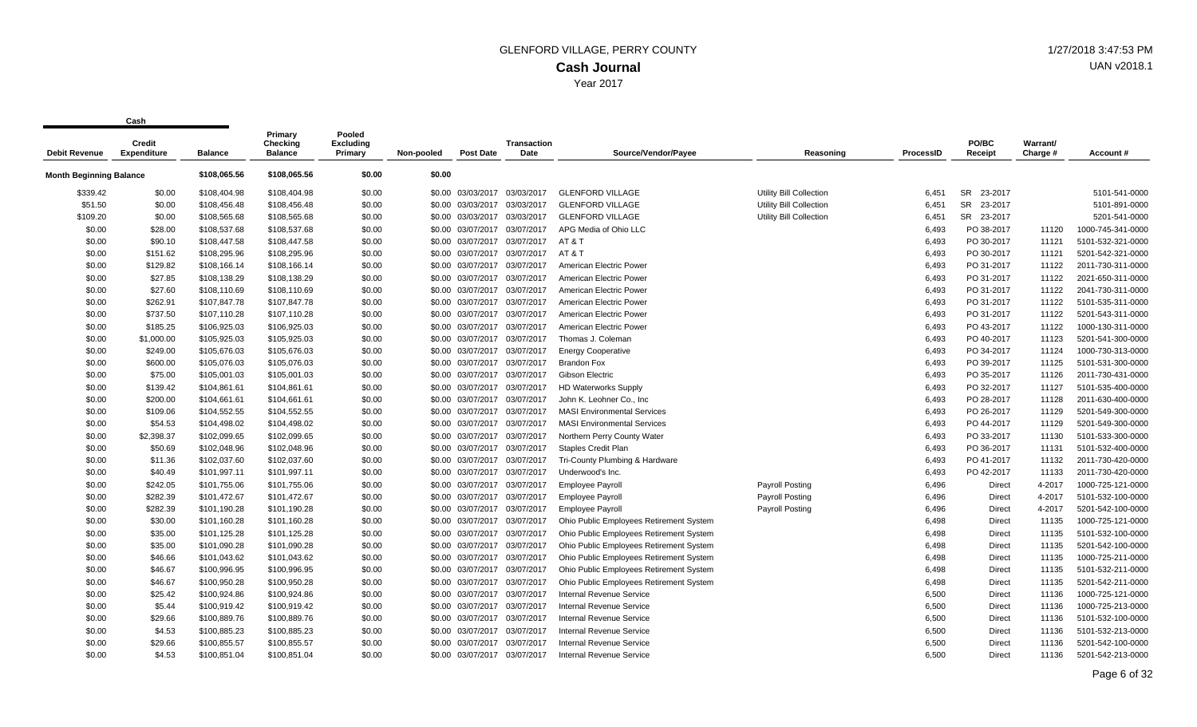|                                | Credit             |                | Primary<br>Checking | Pooled<br><b>Excluding</b> |            |                              | Transaction                  |                                         |                                |                  | PO/BC                | Warrant/ |                   |
|--------------------------------|--------------------|----------------|---------------------|----------------------------|------------|------------------------------|------------------------------|-----------------------------------------|--------------------------------|------------------|----------------------|----------|-------------------|
| <b>Debit Revenue</b>           | <b>Expenditure</b> | <b>Balance</b> | <b>Balance</b>      | Primary                    | Non-pooled | <b>Post Date</b>             | Date                         | Source/Vendor/Payee                     | Reasoning                      | <b>ProcessID</b> | Receipt              | Charge # | Account #         |
| <b>Month Beginning Balance</b> |                    | \$108,065.56   | \$108,065.56        | \$0.00                     | \$0.00     |                              |                              |                                         |                                |                  |                      |          |                   |
| \$339.42                       | \$0.00             | \$108,404.98   | \$108,404.98        | \$0.00                     |            | \$0.00 03/03/2017            | 03/03/2017                   | <b>GLENFORD VILLAGE</b>                 | Utility Bill Collection        | 6.451            | <b>SR</b><br>23-2017 |          | 5101-541-0000     |
| \$51.50                        | \$0.00             | \$108,456.48   | \$108,456.48        | \$0.00                     |            | \$0.00 03/03/2017            | 03/03/2017                   | <b>GLENFORD VILLAGE</b>                 | <b>Utility Bill Collection</b> | 6,451            | <b>SR</b><br>23-2017 |          | 5101-891-0000     |
| \$109.20                       | \$0.00             | \$108,565.68   | \$108,565.68        | \$0.00                     |            | \$0.00 03/03/2017 03/03/2017 |                              | <b>GLENFORD VILLAGE</b>                 | Utility Bill Collection        | 6,451            | SR 23-2017           |          | 5201-541-0000     |
| \$0.00                         | \$28.00            | \$108,537.68   | \$108,537.68        | \$0.00                     |            |                              | \$0.00 03/07/2017 03/07/2017 | APG Media of Ohio LLC                   |                                | 6,493            | PO 38-2017           | 11120    | 1000-745-341-0000 |
| \$0.00                         | \$90.10            | \$108,447.58   | \$108,447.58        | \$0.00                     |            | \$0.00 03/07/2017            | 03/07/2017                   | AT&T                                    |                                | 6,493            | PO 30-2017           | 11121    | 5101-532-321-0000 |
| \$0.00                         | \$151.62           | \$108,295.96   | \$108,295.96        | \$0.00                     |            | \$0.00 03/07/2017            | 03/07/2017                   | <b>AT &amp; T</b>                       |                                | 6,493            | PO 30-2017           | 11121    | 5201-542-321-0000 |
| \$0.00                         | \$129.82           | \$108,166.14   | \$108,166.14        | \$0.00                     |            |                              | \$0.00 03/07/2017 03/07/2017 | American Electric Power                 |                                | 6,493            | PO 31-2017           | 11122    | 2011-730-311-0000 |
| \$0.00                         | \$27.85            | \$108,138.29   | \$108,138.29        | \$0.00                     |            | \$0.00 03/07/2017            | 03/07/2017                   | American Electric Power                 |                                | 6,493            | PO 31-2017           | 11122    | 2021-650-311-0000 |
| \$0.00                         | \$27.60            | \$108,110.69   | \$108,110.69        | \$0.00                     |            | \$0.00 03/07/2017            | 03/07/2017                   | American Electric Power                 |                                | 6,493            | PO 31-2017           | 11122    | 2041-730-311-0000 |
| \$0.00                         | \$262.91           | \$107,847.78   | \$107,847.78        | \$0.00                     |            | \$0.00 03/07/2017 03/07/2017 |                              | American Electric Power                 |                                | 6,493            | PO 31-2017           | 11122    | 5101-535-311-0000 |
| \$0.00                         | \$737.50           | \$107,110.28   | \$107,110.28        | \$0.00                     |            | \$0.00 03/07/2017            | 03/07/2017                   | American Electric Power                 |                                | 6,493            | PO 31-2017           | 11122    | 5201-543-311-0000 |
| \$0.00                         | \$185.25           | \$106,925.03   | \$106,925.03        | \$0.00                     |            | \$0.00 03/07/2017            | 03/07/2017                   | American Electric Power                 |                                | 6,493            | PO 43-2017           | 11122    | 1000-130-311-0000 |
| \$0.00                         | \$1,000.00         | \$105,925.03   | \$105,925.03        | \$0.00                     |            | \$0.00 03/07/2017 03/07/2017 |                              | Thomas J. Coleman                       |                                | 6,493            | PO 40-2017           | 11123    | 5201-541-300-0000 |
| \$0.00                         | \$249.00           | \$105,676.03   | \$105,676.03        | \$0.00                     |            | \$0.00 03/07/2017 03/07/2017 |                              | <b>Energy Cooperative</b>               |                                | 6,493            | PO 34-2017           | 11124    | 1000-730-313-0000 |
| \$0.00                         | \$600.00           | \$105,076.03   | \$105,076.03        | \$0.00                     |            | \$0.00 03/07/2017            | 03/07/2017                   | <b>Brandon Fox</b>                      |                                | 6,493            | PO 39-2017           | 11125    | 5101-531-300-0000 |
| \$0.00                         | \$75.00            | \$105,001.03   | \$105,001.03        | \$0.00                     |            | \$0.00 03/07/2017 03/07/2017 |                              | Gibson Electric                         |                                | 6,493            | PO 35-2017           | 11126    | 2011-730-431-0000 |
| \$0.00                         | \$139.42           | \$104,861.61   | \$104,861.61        | \$0.00                     |            | \$0.00 03/07/2017 03/07/2017 |                              | <b>HD Waterworks Supply</b>             |                                | 6,493            | PO 32-2017           | 11127    | 5101-535-400-0000 |
| \$0.00                         | \$200.00           | \$104,661.61   | \$104,661.61        | \$0.00                     |            | \$0.00 03/07/2017            | 03/07/2017                   | John K. Leohner Co., Inc                |                                | 6,493            | PO 28-2017           | 11128    | 2011-630-400-0000 |
| \$0.00                         | \$109.06           | \$104,552.55   | \$104,552.55        | \$0.00                     |            | \$0.00 03/07/2017            | 03/07/2017                   | <b>MASI Environmental Services</b>      |                                | 6,493            | PO 26-2017           | 11129    | 5201-549-300-0000 |
| \$0.00                         | \$54.53            | \$104,498.02   | \$104,498.02        | \$0.00                     |            | \$0.00 03/07/2017 03/07/2017 |                              | <b>MASI Environmental Services</b>      |                                | 6,493            | PO 44-2017           | 11129    | 5201-549-300-0000 |
| \$0.00                         | \$2,398.37         | \$102,099.65   | \$102,099.65        | \$0.00                     |            | \$0.00 03/07/2017            | 03/07/2017                   | Northern Perry County Water             |                                | 6,493            | PO 33-2017           | 11130    | 5101-533-300-0000 |
| \$0.00                         | \$50.69            | \$102,048.96   | \$102,048.96        | \$0.00                     |            | \$0.00 03/07/2017            | 03/07/2017                   | <b>Staples Credit Plan</b>              |                                | 6,493            | PO 36-2017           | 11131    | 5101-532-400-0000 |
| \$0.00                         | \$11.36            | \$102,037.60   | \$102,037.60        | \$0.00                     |            | \$0.00 03/07/2017 03/07/2017 |                              | Tri-County Plumbing & Hardware          |                                | 6,493            | PO 41-2017           | 11132    | 2011-730-420-0000 |
| \$0.00                         | \$40.49            | \$101,997.11   | \$101,997.11        | \$0.00                     |            | \$0.00 03/07/2017 03/07/2017 |                              | Underwood's Inc.                        |                                | 6,493            | PO 42-2017           | 11133    | 2011-730-420-0000 |
| \$0.00                         | \$242.05           | \$101,755.06   | \$101,755.06        | \$0.00                     |            | \$0.00 03/07/2017            | 03/07/2017                   | Employee Payroll                        | Payroll Posting                | 6,496            | Direct               | 4-2017   | 1000-725-121-0000 |
| \$0.00                         | \$282.39           | \$101.472.67   | \$101,472.67        | \$0.00                     |            | \$0.00 03/07/2017            | 03/07/2017                   | <b>Employee Payroll</b>                 | Payroll Posting                | 6,496            | <b>Direct</b>        | 4-2017   | 5101-532-100-0000 |
| \$0.00                         | \$282.39           | \$101,190.28   | \$101,190.28        | \$0.00                     |            | \$0.00 03/07/2017 03/07/2017 |                              | <b>Employee Payroll</b>                 | <b>Payroll Posting</b>         | 6,496            | Direct               | 4-2017   | 5201-542-100-0000 |
| \$0.00                         | \$30.00            | \$101,160.28   | \$101,160.28        | \$0.00                     |            | \$0.00 03/07/2017            | 03/07/2017                   | Ohio Public Employees Retirement System |                                | 6,498            | Direct               | 11135    | 1000-725-121-0000 |
| \$0.00                         | \$35.00            | \$101,125.28   | \$101,125.28        | \$0.00                     |            | \$0.00 03/07/2017            | 03/07/2017                   | Ohio Public Employees Retirement System |                                | 6,498            | Direct               | 11135    | 5101-532-100-0000 |
| \$0.00                         | \$35.00            | \$101,090.28   | \$101,090.28        | \$0.00                     |            | \$0.00 03/07/2017 03/07/2017 |                              | Ohio Public Employees Retirement System |                                | 6,498            | Direct               | 11135    | 5201-542-100-0000 |
| \$0.00                         | \$46.66            | \$101,043.62   | \$101,043.62        | \$0.00                     |            | \$0.00 03/07/2017            | 03/07/2017                   | Ohio Public Employees Retirement System |                                | 6,498            | Direct               | 11135    | 1000-725-211-0000 |
| \$0.00                         | \$46.67            | \$100,996.95   | \$100,996.95        | \$0.00                     |            | \$0.00 03/07/2017            | 03/07/2017                   | Ohio Public Employees Retirement System |                                | 6,498            | Direct               | 11135    | 5101-532-211-0000 |
| \$0.00                         | \$46.67            | \$100,950.28   | \$100,950.28        | \$0.00                     |            | \$0.00 03/07/2017 03/07/2017 |                              | Ohio Public Employees Retirement System |                                | 6,498            | Direct               | 11135    | 5201-542-211-0000 |
| \$0.00                         | \$25.42            | \$100,924.86   | \$100,924.86        | \$0.00                     |            | \$0.00 03/07/2017 03/07/2017 |                              | <b>Internal Revenue Service</b>         |                                | 6,500            | Direct               | 11136    | 1000-725-121-0000 |
| \$0.00                         | \$5.44             | \$100,919.42   | \$100,919.42        | \$0.00                     |            | \$0.00 03/07/2017            | 03/07/2017                   | <b>Internal Revenue Service</b>         |                                | 6,500            | Direct               | 11136    | 1000-725-213-0000 |
| \$0.00                         | \$29.66            | \$100,889.76   | \$100,889.76        | \$0.00                     |            | \$0.00 03/07/2017            | 03/07/2017                   | <b>Internal Revenue Service</b>         |                                | 6,500            | Direct               | 11136    | 5101-532-100-0000 |
| \$0.00                         | \$4.53             | \$100,885.23   | \$100,885.23        | \$0.00                     |            | \$0.00 03/07/2017            | 03/07/2017                   | <b>Internal Revenue Service</b>         |                                | 6,500            | Direct               | 11136    | 5101-532-213-0000 |
| \$0.00                         | \$29.66            | \$100,855.57   | \$100,855.57        | \$0.00                     |            | \$0.00 03/07/2017            | 03/07/2017                   | <b>Internal Revenue Service</b>         |                                | 6,500            | <b>Direct</b>        | 11136    | 5201-542-100-0000 |
| \$0.00                         | \$4.53             | \$100,851.04   | \$100,851.04        | \$0.00                     |            | \$0.00 03/07/2017 03/07/2017 |                              | <b>Internal Revenue Service</b>         |                                | 6.500            | <b>Direct</b>        | 11136    | 5201-542-213-0000 |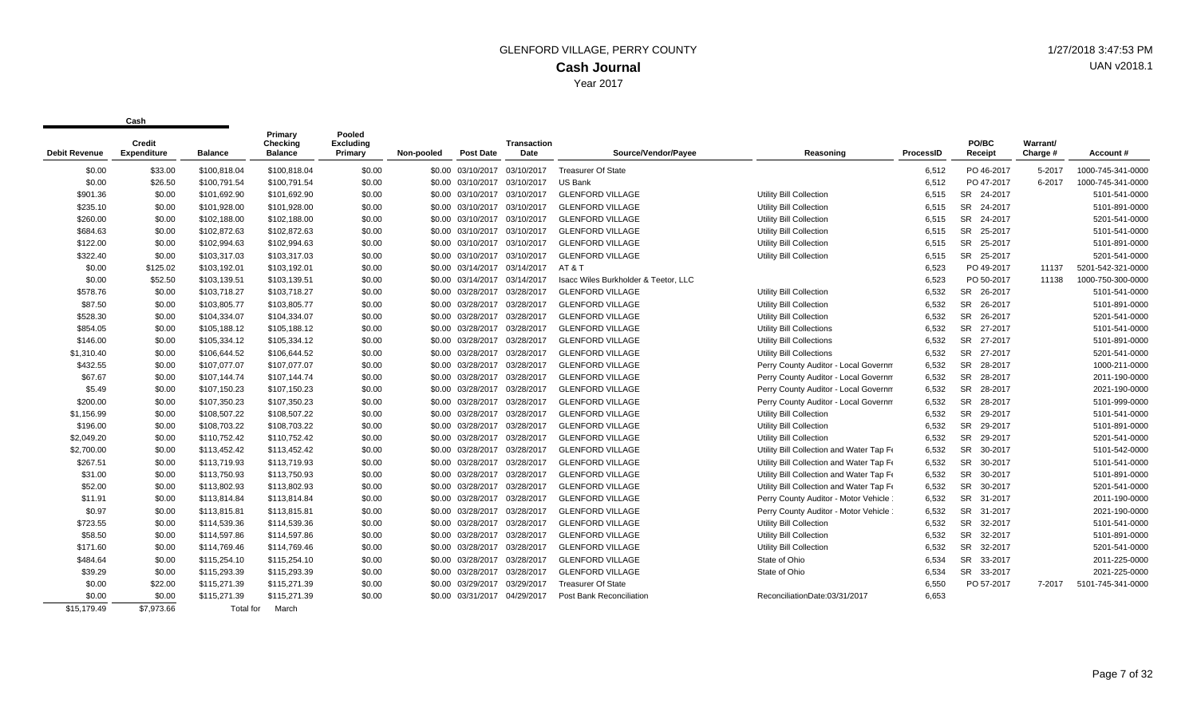| <b>Debit Revenue</b> | Credit<br><b>Expenditure</b> | <b>Balance</b> | Primary<br>Checkina<br><b>Balance</b> | Pooled<br><b>Excluding</b><br>Primary | Non-pooled | <b>Post Date</b>             | <b>Transaction</b><br>Date | Source/Vendor/Pavee                  | Reasoning                                | ProcessID | PO/BC<br>Receipt     | Warrant/<br>Charge # | Account#          |
|----------------------|------------------------------|----------------|---------------------------------------|---------------------------------------|------------|------------------------------|----------------------------|--------------------------------------|------------------------------------------|-----------|----------------------|----------------------|-------------------|
|                      |                              |                |                                       |                                       |            |                              |                            |                                      |                                          |           |                      |                      |                   |
| \$0.00               | \$33.00                      | \$100,818.04   | \$100,818.04                          | \$0.00                                |            | \$0.00 03/10/2017            | 03/10/2017                 | <b>Treasurer Of State</b>            |                                          | 6,512     | PO 46-2017           | 5-2017               | 1000-745-341-0000 |
| \$0.00               | \$26.50                      | \$100,791.54   | \$100,791.54                          | \$0.00                                |            | \$0.00 03/10/2017 03/10/2017 |                            | <b>US Bank</b>                       |                                          | 6,512     | PO 47-2017           | 6-2017               | 1000-745-341-0000 |
| \$901.36             | \$0.00                       | \$101,692.90   | \$101,692.90                          | \$0.00                                |            | \$0.00 03/10/2017            | 03/10/2017                 | <b>GLENFORD VILLAGE</b>              | Utility Bill Collection                  | 6,515     | SR 24-2017           |                      | 5101-541-0000     |
| \$235.10             | \$0.00                       | \$101,928.00   | \$101,928.00                          | \$0.00                                |            | \$0.00 03/10/2017            | 03/10/2017                 | <b>GLENFORD VILLAGE</b>              | <b>Utility Bill Collection</b>           | 6,515     | <b>SR</b><br>24-2017 |                      | 5101-891-0000     |
| \$260.00             | \$0.00                       | \$102,188.00   | \$102,188.00                          | \$0.00                                |            | \$0.00 03/10/2017            | 03/10/2017                 | <b>GLENFORD VILLAGE</b>              | Utility Bill Collection                  | 6,515     | <b>SR</b><br>24-2017 |                      | 5201-541-0000     |
| \$684.63             | \$0.00                       | \$102,872.63   | \$102,872.63                          | \$0.00                                |            | \$0.00 03/10/2017 03/10/2017 |                            | <b>GLENFORD VILLAGE</b>              | Utility Bill Collection                  | 6,515     | SR<br>25-2017        |                      | 5101-541-0000     |
| \$122.00             | \$0.00                       | \$102,994.63   | \$102,994.63                          | \$0.00                                |            | \$0.00 03/10/2017 03/10/2017 |                            | <b>GLENFORD VILLAGE</b>              | Utility Bill Collection                  | 6,515     | <b>SR</b><br>25-2017 |                      | 5101-891-0000     |
| \$322.40             | \$0.00                       | \$103,317.03   | \$103,317.03                          | \$0.00                                |            | \$0.00 03/10/2017 03/10/2017 |                            | <b>GLENFORD VILLAGE</b>              | Utility Bill Collection                  | 6,515     | SR 25-2017           |                      | 5201-541-0000     |
| \$0.00               | \$125.02                     | \$103,192.01   | \$103,192.01                          | \$0.00                                |            | \$0.00 03/14/2017 03/14/2017 |                            | AT&T                                 |                                          | 6,523     | PO 49-2017           | 11137                | 5201-542-321-0000 |
| \$0.00               | \$52.50                      | \$103,139.51   | \$103,139.51                          | \$0.00                                |            | \$0.00 03/14/2017 03/14/2017 |                            | Isacc Wiles Burkholder & Teetor, LLC |                                          | 6,523     | PO 50-2017           | 11138                | 1000-750-300-0000 |
| \$578.76             | \$0.00                       | \$103,718.27   | \$103,718.27                          | \$0.00                                |            | \$0.00 03/28/2017            | 03/28/2017                 | <b>GLENFORD VILLAGE</b>              | Utility Bill Collection                  | 6,532     | SR 26-2017           |                      | 5101-541-0000     |
| \$87.50              | \$0.00                       | \$103,805.77   | \$103,805.77                          | \$0.00                                |            | \$0.00 03/28/2017 03/28/2017 |                            | <b>GLENFORD VILLAGE</b>              | <b>Utility Bill Collection</b>           | 6,532     | SR 26-2017           |                      | 5101-891-0000     |
| \$528.30             | \$0.00                       | \$104,334.07   | \$104,334.07                          | \$0.00                                |            | \$0.00 03/28/2017            | 03/28/2017                 | <b>GLENFORD VILLAGE</b>              | <b>Utility Bill Collection</b>           | 6,532     | SR 26-2017           |                      | 5201-541-0000     |
| \$854.05             | \$0.00                       | \$105,188.12   | \$105,188.12                          | \$0.00                                |            | \$0.00 03/28/2017 03/28/2017 |                            | <b>GLENFORD VILLAGE</b>              | Utility Bill Collections                 | 6,532     | SR 27-2017           |                      | 5101-541-0000     |
| \$146.00             | \$0.00                       | \$105.334.12   | \$105,334.12                          | \$0.00                                |            | \$0.00 03/28/2017            | 03/28/2017                 | <b>GLENFORD VILLAGE</b>              | <b>Utility Bill Collections</b>          | 6,532     | SR 27-2017           |                      | 5101-891-0000     |
| \$1,310.40           | \$0.00                       | \$106,644.52   | \$106,644.52                          | \$0.00                                |            | \$0.00 03/28/2017 03/28/2017 |                            | <b>GLENFORD VILLAGE</b>              | <b>Utility Bill Collections</b>          | 6,532     | SR 27-2017           |                      | 5201-541-0000     |
| \$432.55             | \$0.00                       | \$107.077.07   | \$107,077.07                          | \$0.00                                |            | \$0.00 03/28/2017            | 03/28/2017                 | <b>GLENFORD VILLAGE</b>              | Perry County Auditor - Local Governm     | 6,532     | SR 28-2017           |                      | 1000-211-0000     |
| \$67.67              | \$0.00                       | \$107,144.74   | \$107,144.74                          | \$0.00                                |            | \$0.00 03/28/2017            | 03/28/2017                 | <b>GLENFORD VILLAGE</b>              | Perry County Auditor - Local Governm     | 6,532     | SR<br>28-2017        |                      | 2011-190-0000     |
| \$5.49               | \$0.00                       | \$107,150.23   | \$107,150.23                          | \$0.00                                |            | \$0.00 03/28/2017            | 03/28/2017                 | <b>GLENFORD VILLAGE</b>              | Perry County Auditor - Local Governm     | 6,532     | <b>SR</b><br>28-2017 |                      | 2021-190-0000     |
| \$200.00             | \$0.00                       | \$107.350.23   | \$107,350.23                          | \$0.00                                |            | \$0.00 03/28/2017            | 03/28/2017                 | <b>GLENFORD VILLAGE</b>              | Perry County Auditor - Local Governm     | 6,532     | <b>SR</b><br>28-2017 |                      | 5101-999-0000     |
| \$1,156.99           | \$0.00                       | \$108,507.22   | \$108,507.22                          | \$0.00                                |            | \$0.00 03/28/2017            | 03/28/2017                 | <b>GLENFORD VILLAGE</b>              | Utility Bill Collection                  | 6,532     | SR 29-2017           |                      | 5101-541-0000     |
| \$196.00             | \$0.00                       | \$108,703.22   | \$108,703.22                          | \$0.00                                |            | \$0.00 03/28/2017            | 03/28/2017                 | <b>GLENFORD VILLAGE</b>              | <b>Utility Bill Collection</b>           | 6,532     | SR 29-2017           |                      | 5101-891-0000     |
| \$2,049.20           | \$0.00                       | \$110,752.42   | \$110,752.42                          | \$0.00                                |            | \$0.00 03/28/2017 03/28/2017 |                            | <b>GLENFORD VILLAGE</b>              | Utility Bill Collection                  | 6,532     | SR 29-2017           |                      | 5201-541-0000     |
| \$2,700.00           | \$0.00                       | \$113,452.42   | \$113,452.42                          | \$0.00                                |            | \$0.00 03/28/2017 03/28/2017 |                            | <b>GLENFORD VILLAGE</b>              | Utility Bill Collection and Water Tap Fe | 6,532     | SR 30-2017           |                      | 5101-542-0000     |
| \$267.51             | \$0.00                       | \$113,719.93   | \$113,719.93                          | \$0.00                                |            | \$0.00 03/28/2017 03/28/2017 |                            | <b>GLENFORD VILLAGE</b>              | Utility Bill Collection and Water Tap Fe | 6,532     | SR 30-2017           |                      | 5101-541-0000     |
| \$31.00              | \$0.00                       | \$113,750.93   | \$113,750.93                          | \$0.00                                |            | \$0.00 03/28/2017            | 03/28/2017                 | <b>GLENFORD VILLAGE</b>              | Utility Bill Collection and Water Tap Fe | 6,532     | <b>SR</b><br>30-2017 |                      | 5101-891-0000     |
| \$52.00              | \$0.00                       | \$113,802.93   | \$113,802.93                          | \$0.00                                |            | \$0.00 03/28/2017            | 03/28/2017                 | <b>GLENFORD VILLAGE</b>              | Utility Bill Collection and Water Tap Fe | 6,532     | SR 30-2017           |                      | 5201-541-0000     |
| \$11.91              | \$0.00                       | \$113,814.84   | \$113,814.84                          | \$0.00                                |            | \$0.00 03/28/2017            | 03/28/2017                 | <b>GLENFORD VILLAGE</b>              | Perry County Auditor - Motor Vehicle     | 6,532     | <b>SR</b><br>31-2017 |                      | 2011-190-0000     |
| \$0.97               | \$0.00                       | \$113,815.81   | \$113,815.81                          | \$0.00                                |            | \$0.00 03/28/2017            | 03/28/2017                 | <b>GLENFORD VILLAGE</b>              | Perry County Auditor - Motor Vehicle     | 6,532     | SR 31-2017           |                      | 2021-190-0000     |
| \$723.55             | \$0.00                       | \$114,539.36   | \$114,539.36                          | \$0.00                                |            | \$0.00 03/28/2017            | 03/28/2017                 | <b>GLENFORD VILLAGE</b>              | Utility Bill Collection                  | 6,532     | SR 32-2017           |                      | 5101-541-0000     |
| \$58.50              | \$0.00                       | \$114,597.86   | \$114,597.86                          | \$0.00                                |            | \$0.00 03/28/2017 03/28/2017 |                            | <b>GLENFORD VILLAGE</b>              | Utility Bill Collection                  | 6,532     | SR 32-2017           |                      | 5101-891-0000     |
| \$171.60             | \$0.00                       | \$114,769.46   | \$114,769.46                          | \$0.00                                |            | \$0.00 03/28/2017            | 03/28/2017                 | <b>GLENFORD VILLAGE</b>              | Utility Bill Collection                  | 6,532     | SR 32-2017           |                      | 5201-541-0000     |
| \$484.64             | \$0.00                       | \$115,254.10   | \$115,254.10                          | \$0.00                                |            | \$0.00 03/28/2017 03/28/2017 |                            | <b>GLENFORD VILLAGE</b>              | State of Ohio                            | 6,534     | SR 33-2017           |                      | 2011-225-0000     |
| \$39.29              | \$0.00                       | \$115,293.39   | \$115,293.39                          | \$0.00                                |            | \$0.00 03/28/2017            | 03/28/2017                 | <b>GLENFORD VILLAGE</b>              | State of Ohio                            | 6,534     | SR 33-2017           |                      | 2021-225-0000     |
| \$0.00               | \$22.00                      | \$115,271.39   | \$115,271.39                          | \$0.00                                |            | \$0.00 03/29/2017            | 03/29/2017                 | <b>Treasurer Of State</b>            |                                          | 6,550     | PO 57-2017           | 7-2017               | 5101-745-341-0000 |
| \$0.00               | \$0.00                       | \$115,271.39   | \$115,271.39                          | \$0.00                                |            | \$0.00 03/31/2017            | 04/29/2017                 | Post Bank Reconciliation             | ReconciliationDate:03/31/2017            | 6,653     |                      |                      |                   |
| \$15,179.49          | \$7.973.66                   | Total for      | March                                 |                                       |            |                              |                            |                                      |                                          |           |                      |                      |                   |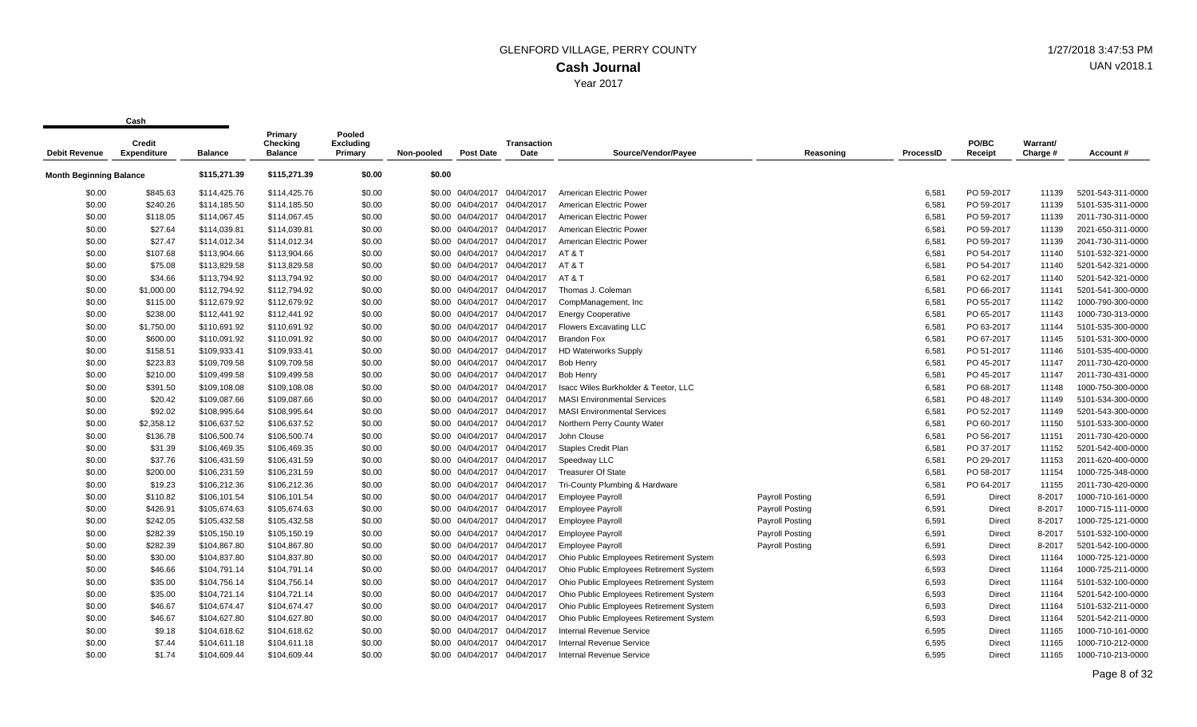| <b>Debit Revenue</b>           | <b>Credit</b><br><b>Expenditure</b> | <b>Balance</b> | Primary<br>Checking<br><b>Balance</b> | Pooled<br><b>Excluding</b><br>Primary | Non-pooled | <b>Post Date</b>             | <b>Transaction</b><br>Date   | Source/Vendor/Payee                     | Reasoning       | ProcessID | PO/BC<br>Receipt | Warrant/<br>Charge # | Account#          |
|--------------------------------|-------------------------------------|----------------|---------------------------------------|---------------------------------------|------------|------------------------------|------------------------------|-----------------------------------------|-----------------|-----------|------------------|----------------------|-------------------|
| <b>Month Beginning Balance</b> |                                     | \$115,271.39   | \$115,271.39                          | \$0.00                                | \$0.00     |                              |                              |                                         |                 |           |                  |                      |                   |
| \$0.00                         | \$845.63                            | \$114,425.76   | \$114,425.76                          | \$0.00                                |            | \$0.00 04/04/2017            | 04/04/2017                   | American Electric Power                 |                 | 6,581     | PO 59-2017       | 11139                | 5201-543-311-0000 |
| \$0.00                         | \$240.26                            | \$114,185.50   | \$114,185.50                          | \$0.00                                | \$0.00     | 04/04/2017                   | 04/04/2017                   | American Electric Power                 |                 | 6,581     | PO 59-2017       | 11139                | 5101-535-311-0000 |
| \$0.00                         | \$118.05                            | \$114,067.45   | \$114,067.45                          | \$0.00                                |            | \$0.00 04/04/2017 04/04/2017 |                              | American Electric Power                 |                 | 6,581     | PO 59-2017       | 11139                | 2011-730-311-0000 |
| \$0.00                         | \$27.64                             | \$114,039.81   | \$114,039.81                          | \$0.00                                |            | \$0.00 04/04/2017            | 04/04/2017                   | American Electric Power                 |                 | 6,581     | PO 59-2017       | 11139                | 2021-650-311-0000 |
| \$0.00                         | \$27.47                             | \$114,012.34   | \$114,012.34                          | \$0.00                                | \$0.00     | 04/04/2017                   | 04/04/2017                   | American Electric Power                 |                 | 6,581     | PO 59-2017       | 11139                | 2041-730-311-0000 |
| \$0.00                         | \$107.68                            | \$113,904.66   | \$113,904.66                          | \$0.00                                |            | \$0.00 04/04/2017            | 04/04/2017                   | AT&T                                    |                 | 6,581     | PO 54-2017       | 11140                | 5101-532-321-0000 |
| \$0.00                         | \$75.08                             | \$113,829.58   | \$113,829.58                          | \$0.00                                |            |                              | \$0.00 04/04/2017 04/04/2017 | AT&T                                    |                 | 6,581     | PO 54-2017       | 11140                | 5201-542-321-0000 |
| \$0.00                         | \$34.66                             | \$113,794.92   | \$113,794.92                          | \$0.00                                |            | \$0.00 04/04/2017            | 04/04/2017                   | AT&T                                    |                 | 6,581     | PO 62-2017       | 11140                | 5201-542-321-0000 |
| \$0.00                         | \$1,000.00                          | \$112,794.92   | \$112,794.92                          | \$0.00                                |            | \$0.00 04/04/2017            | 04/04/2017                   | Thomas J. Coleman                       |                 | 6,581     | PO 66-2017       | 11141                | 5201-541-300-0000 |
| \$0.00                         | \$115.00                            | \$112,679.92   | \$112,679.92                          | \$0.00                                |            | \$0.00 04/04/2017            | 04/04/2017                   | CompManagement, Inc.                    |                 | 6,581     | PO 55-2017       | 11142                | 1000-790-300-0000 |
| \$0.00                         | \$238.00                            | \$112,441.92   | \$112,441.92                          | \$0.00                                |            | \$0.00 04/04/2017            | 04/04/2017                   | <b>Energy Cooperative</b>               |                 | 6,581     | PO 65-2017       | 11143                | 1000-730-313-0000 |
| \$0.00                         | \$1,750.00                          | \$110,691.92   | \$110,691.92                          | \$0.00                                |            | \$0.00 04/04/2017            | 04/04/2017                   | <b>Flowers Excavating LLC</b>           |                 | 6,581     | PO 63-2017       | 11144                | 5101-535-300-0000 |
| \$0.00                         | \$600.00                            | \$110,091.92   | \$110,091.92                          | \$0.00                                |            | \$0.00 04/04/2017 04/04/2017 |                              | <b>Brandon Fox</b>                      |                 | 6,581     | PO 67-2017       | 11145                | 5101-531-300-0000 |
| \$0.00                         | \$158.51                            | \$109,933.41   | \$109,933.41                          | \$0.00                                |            | \$0.00 04/04/2017 04/04/2017 |                              | <b>HD Waterworks Supply</b>             |                 | 6,581     | PO 51-2017       | 11146                | 5101-535-400-0000 |
| \$0.00                         | \$223.83                            | \$109,709.58   | \$109,709.58                          | \$0.00                                |            | \$0.00 04/04/2017            | 04/04/2017                   | Bob Henry                               |                 | 6,581     | PO 45-2017       | 11147                | 2011-730-420-0000 |
| \$0.00                         | \$210.00                            | \$109,499.58   | \$109,499.58                          | \$0.00                                |            | \$0.00 04/04/2017            | 04/04/2017                   | <b>Bob Henry</b>                        |                 | 6,581     | PO 45-2017       | 11147                | 2011-730-431-0000 |
| \$0.00                         | \$391.50                            | \$109,108.08   | \$109,108.08                          | \$0.00                                |            | \$0.00 04/04/2017 04/04/2017 |                              | Isacc Wiles Burkholder & Teetor, LLC    |                 | 6,581     | PO 68-2017       | 11148                | 1000-750-300-0000 |
| \$0.00                         | \$20.42                             | \$109,087.66   | \$109,087.66                          | \$0.00                                |            | \$0.00 04/04/2017            | 04/04/2017                   | <b>MASI Environmental Services</b>      |                 | 6,581     | PO 48-2017       | 11149                | 5101-534-300-0000 |
| \$0.00                         | \$92.02                             | \$108,995.64   | \$108,995.64                          | \$0.00                                |            | \$0.00 04/04/2017            | 04/04/2017                   | <b>MASI Environmental Services</b>      |                 | 6,581     | PO 52-2017       | 11149                | 5201-543-300-0000 |
| \$0.00                         | \$2,358.12                          | \$106,637.52   | \$106,637.52                          | \$0.00                                |            | \$0.00 04/04/2017 04/04/2017 |                              | Northern Perry County Water             |                 | 6,581     | PO 60-2017       | 11150                | 5101-533-300-0000 |
| \$0.00                         | \$136.78                            | \$106,500.74   | \$106,500.74                          | \$0.00                                |            | \$0.00 04/04/2017 04/04/2017 |                              | John Clouse                             |                 | 6,581     | PO 56-2017       | 11151                | 2011-730-420-0000 |
| \$0.00                         | \$31.39                             | \$106,469.35   | \$106,469.35                          | \$0.00                                |            | \$0.00 04/04/2017 04/04/2017 |                              | <b>Staples Credit Plan</b>              |                 | 6,581     | PO 37-2017       | 11152                | 5201-542-400-0000 |
| \$0.00                         | \$37.76                             | \$106,431.59   | \$106,431.59                          | \$0.00                                |            | \$0.00 04/04/2017            | 04/04/2017                   | Speedway LLC                            |                 | 6,581     | PO 29-2017       | 11153                | 2011-620-400-0000 |
| \$0.00                         | \$200.00                            | \$106,231.59   | \$106,231.59                          | \$0.00                                |            | \$0.00 04/04/2017            | 04/04/2017                   | <b>Treasurer Of State</b>               |                 | 6,581     | PO 58-2017       | 11154                | 1000-725-348-0000 |
| \$0.00                         | \$19.23                             | \$106,212.36   | \$106,212.36                          | \$0.00                                |            | \$0.00 04/04/2017            | 04/04/2017                   | Tri-County Plumbing & Hardware          |                 | 6,581     | PO 64-2017       | 11155                | 2011-730-420-0000 |
| \$0.00                         | \$110.82                            | \$106,101.54   | \$106,101.54                          | \$0.00                                |            | \$0.00 04/04/2017            | 04/04/2017                   | <b>Employee Payroll</b>                 | Payroll Posting | 6,591     | Direct           | 8-2017               | 1000-710-161-0000 |
| \$0.00                         | \$426.91                            | \$105,674.63   | \$105,674.63                          | \$0.00                                |            | \$0.00 04/04/2017 04/04/2017 |                              | <b>Employee Payroll</b>                 | Payroll Posting | 6,591     | Direct           | 8-2017               | 1000-715-111-0000 |
| \$0.00                         | \$242.05                            | \$105,432.58   | \$105,432.58                          | \$0.00                                |            | \$0.00 04/04/2017            | 04/04/2017                   | <b>Employee Payroll</b>                 | Payroll Posting | 6,591     | Direct           | 8-2017               | 1000-725-121-0000 |
| \$0.00                         | \$282.39                            | \$105,150.19   | \$105,150.19                          | \$0.00                                |            | \$0.00 04/04/2017            | 04/04/2017                   | <b>Employee Payroll</b>                 | Payroll Posting | 6,591     | Direct           | 8-2017               | 5101-532-100-0000 |
| \$0.00                         | \$282.39                            | \$104,867.80   | \$104,867.80                          | \$0.00                                |            | \$0.00 04/04/2017            | 04/04/2017                   | <b>Employee Payroll</b>                 | Payroll Posting | 6,591     | Direct           | 8-2017               | 5201-542-100-0000 |
| \$0.00                         | \$30.00                             | \$104,837.80   | \$104,837.80                          | \$0.00                                |            | \$0.00 04/04/2017            | 04/04/2017                   | Ohio Public Employees Retirement System |                 | 6,593     | Direct           | 11164                | 1000-725-121-0000 |
| \$0.00                         | \$46.66                             | \$104,791.14   | \$104,791.14                          | \$0.00                                |            | \$0.00 04/04/2017 04/04/2017 |                              | Ohio Public Employees Retirement System |                 | 6,593     | Direct           | 11164                | 1000-725-211-0000 |
| \$0.00                         | \$35.00                             | \$104,756.14   | \$104,756.14                          | \$0.00                                |            | \$0.00 04/04/2017            | 04/04/2017                   | Ohio Public Employees Retirement System |                 | 6,593     | Direct           | 11164                | 5101-532-100-0000 |
| \$0.00                         | \$35.00                             | \$104,721.14   | \$104,721.14                          | \$0.00                                |            | \$0.00 04/04/2017 04/04/2017 |                              | Ohio Public Employees Retirement System |                 | 6,593     | Direct           | 11164                | 5201-542-100-0000 |
| \$0.00                         | \$46.67                             | \$104,674.47   | \$104,674.47                          | \$0.00                                |            | \$0.00 04/04/2017            | 04/04/2017                   | Ohio Public Employees Retirement System |                 | 6,593     | Direct           | 11164                | 5101-532-211-0000 |
| \$0.00                         | \$46.67                             | \$104,627.80   | \$104,627.80                          | \$0.00                                |            | \$0.00 04/04/2017            | 04/04/2017                   | Ohio Public Employees Retirement System |                 | 6,593     | Direct           | 11164                | 5201-542-211-0000 |
| \$0.00                         | \$9.18                              | \$104,618.62   | \$104,618.62                          | \$0.00                                |            | \$0.00 04/04/2017            | 04/04/2017                   | Internal Revenue Service                |                 | 6,595     | Direct           | 11165                | 1000-710-161-0000 |
| \$0.00                         | \$7.44                              | \$104,611.18   | \$104,611.18                          | \$0.00                                |            | \$0.00 04/04/2017            | 04/04/2017                   | <b>Internal Revenue Service</b>         |                 | 6,595     | Direct           | 11165                | 1000-710-212-0000 |
| \$0.00                         | \$1.74                              | \$104,609.44   | \$104,609.44                          | \$0.00                                |            | \$0.00 04/04/2017            | 04/04/2017                   | <b>Internal Revenue Service</b>         |                 | 6,595     | Direct           | 11165                | 1000-710-213-0000 |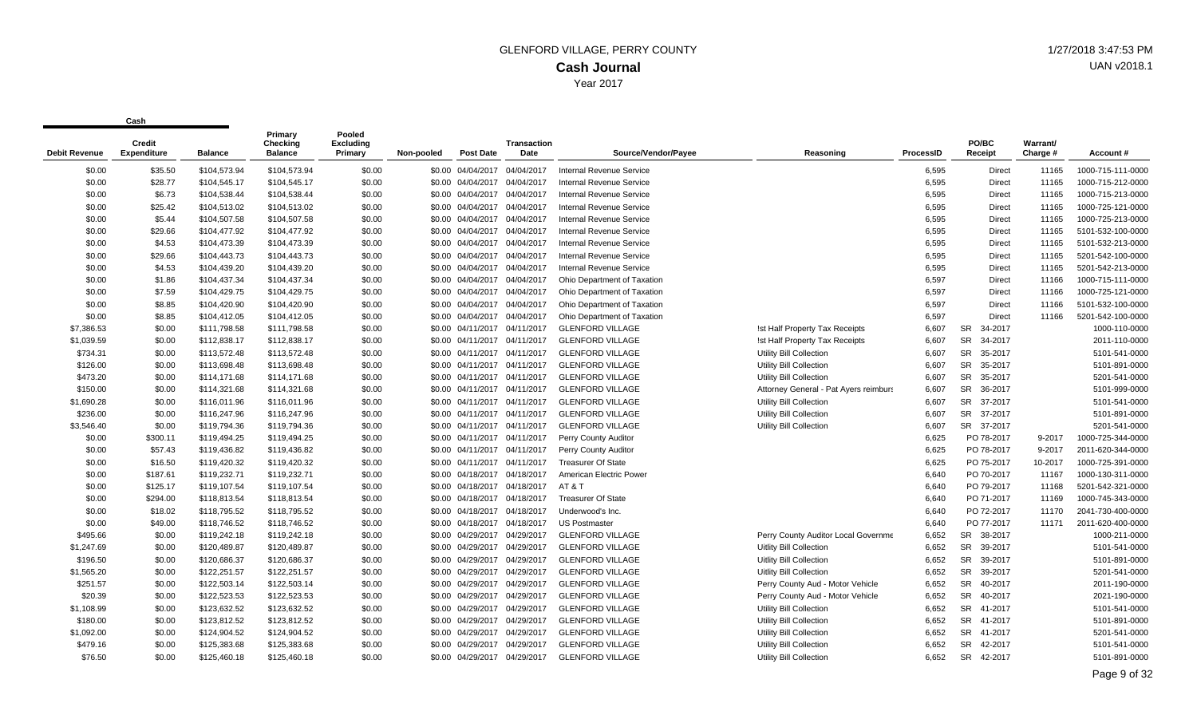| Debit Revenue | Credit<br><b>Expenditure</b> | <b>Balance</b> | Primary<br>Checking<br><b>Balance</b> | Pooled<br><b>Excluding</b><br>Primary | Non-pooled | <b>Post Date</b>             | <b>Transaction</b><br>Date | Source/Vendor/Payee             | Reasoning                             | ProcessID | PO/BC<br>Receipt     | Warrant/<br>Charge # | Account#          |
|---------------|------------------------------|----------------|---------------------------------------|---------------------------------------|------------|------------------------------|----------------------------|---------------------------------|---------------------------------------|-----------|----------------------|----------------------|-------------------|
| \$0.00        | \$35.50                      | \$104,573.94   | \$104,573.94                          | \$0.00                                |            | \$0.00 04/04/2017            | 04/04/2017                 | Internal Revenue Service        |                                       | 6,595     | Direct               | 11165                | 1000-715-111-0000 |
| \$0.00        | \$28.77                      | \$104,545.17   | \$104,545.17                          | \$0.00                                |            | \$0.00 04/04/2017 04/04/2017 |                            | <b>Internal Revenue Service</b> |                                       | 6,595     | <b>Direct</b>        | 11165                | 1000-715-212-0000 |
| \$0.00        | \$6.73                       | \$104,538.44   | \$104,538.44                          | \$0.00                                |            | \$0.00 04/04/2017 04/04/2017 |                            | <b>Internal Revenue Service</b> |                                       | 6,595     | Direct               | 11165                | 1000-715-213-0000 |
| \$0.00        | \$25.42                      | \$104,513.02   | \$104,513.02                          | \$0.00                                |            | \$0.00 04/04/2017            | 04/04/2017                 | <b>Internal Revenue Service</b> |                                       | 6,595     | Direct               | 11165                | 1000-725-121-0000 |
| \$0.00        | \$5.44                       | \$104,507.58   | \$104,507.58                          | \$0.00                                |            | \$0.00 04/04/2017 04/04/2017 |                            | Internal Revenue Service        |                                       | 6,595     | Direct               | 11165                | 1000-725-213-0000 |
| \$0.00        | \$29.66                      | \$104,477.92   | \$104,477.92                          | \$0.00                                |            | \$0.00 04/04/2017 04/04/2017 |                            | Internal Revenue Service        |                                       | 6,595     | Direct               | 11165                | 5101-532-100-0000 |
| \$0.00        | \$4.53                       | \$104,473.39   | \$104,473.39                          | \$0.00                                |            | \$0.00 04/04/2017 04/04/2017 |                            | <b>Internal Revenue Service</b> |                                       | 6,595     | Direct               | 11165                | 5101-532-213-0000 |
| \$0.00        | \$29.66                      | \$104,443.73   | \$104,443.73                          | \$0.00                                |            | \$0.00 04/04/2017            | 04/04/2017                 | <b>Internal Revenue Service</b> |                                       | 6,595     | Direct               | 11165                | 5201-542-100-0000 |
| \$0.00        | \$4.53                       | \$104,439.20   | \$104,439.20                          | \$0.00                                |            | \$0.00 04/04/2017 04/04/2017 |                            | <b>Internal Revenue Service</b> |                                       | 6,595     | Direct               | 11165                | 5201-542-213-0000 |
| \$0.00        | \$1.86                       | \$104,437.34   | \$104,437.34                          | \$0.00                                |            | \$0.00 04/04/2017 04/04/2017 |                            | Ohio Department of Taxation     |                                       | 6,597     | Direct               | 11166                | 1000-715-111-0000 |
| \$0.00        | \$7.59                       | \$104,429.75   | \$104,429.75                          | \$0.00                                |            | \$0.00 04/04/2017 04/04/2017 |                            | Ohio Department of Taxation     |                                       | 6,597     | <b>Direct</b>        | 11166                | 1000-725-121-0000 |
| \$0.00        | \$8.85                       | \$104,420.90   | \$104,420.90                          | \$0.00                                |            | \$0.00 04/04/2017 04/04/2017 |                            | Ohio Department of Taxation     |                                       | 6,597     | <b>Direct</b>        | 11166                | 5101-532-100-0000 |
| \$0.00        | \$8.85                       | \$104,412.05   | \$104,412.05                          | \$0.00                                |            | \$0.00 04/04/2017 04/04/2017 |                            | Ohio Department of Taxation     |                                       | 6,597     | <b>Direct</b>        | 11166                | 5201-542-100-0000 |
| \$7,386.53    | \$0.00                       | \$111,798.58   | \$111,798.58                          | \$0.00                                |            | \$0.00 04/11/2017 04/11/2017 |                            | <b>GLENFORD VILLAGE</b>         | !st Half Property Tax Receipts        | 6,607     | 34-2017<br><b>SR</b> |                      | 1000-110-0000     |
| \$1,039.59    | \$0.00                       | \$112,838.17   | \$112,838.17                          | \$0.00                                |            | \$0.00 04/11/2017 04/11/2017 |                            | <b>GLENFORD VILLAGE</b>         | !st Half Property Tax Receipts        | 6,607     | <b>SR</b><br>34-2017 |                      | 2011-110-0000     |
| \$734.31      | \$0.00                       | \$113,572.48   | \$113,572.48                          | \$0.00                                |            | \$0.00 04/11/2017 04/11/2017 |                            | <b>GLENFORD VILLAGE</b>         | <b>Utility Bill Collection</b>        | 6,607     | SR 35-2017           |                      | 5101-541-0000     |
| \$126.00      | \$0.00                       | \$113,698.48   | \$113,698.48                          | \$0.00                                |            | \$0.00 04/11/2017 04/11/2017 |                            | <b>GLENFORD VILLAGE</b>         | Utility Bill Collection               | 6,607     | <b>SR</b><br>35-2017 |                      | 5101-891-0000     |
| \$473.20      | \$0.00                       | \$114,171.68   | \$114,171.68                          | \$0.00                                |            | \$0.00 04/11/2017 04/11/2017 |                            | <b>GLENFORD VILLAGE</b>         | Utility Bill Collection               | 6,607     | <b>SR</b><br>35-2017 |                      | 5201-541-0000     |
| \$150.00      | \$0.00                       | \$114.321.68   | \$114,321.68                          | \$0.00                                |            | \$0.00 04/11/2017 04/11/2017 |                            | <b>GLENFORD VILLAGE</b>         | Attorney General - Pat Ayers reimburs | 6,607     | SR 36-2017           |                      | 5101-999-0000     |
| \$1,690.28    | \$0.00                       | \$116,011.96   | \$116,011.96                          | \$0.00                                |            | \$0.00 04/11/2017 04/11/2017 |                            | <b>GLENFORD VILLAGE</b>         | Utility Bill Collection               | 6,607     | SR 37-2017           |                      | 5101-541-0000     |
| \$236.00      | \$0.00                       | \$116,247.96   | \$116,247.96                          | \$0.00                                |            | \$0.00 04/11/2017 04/11/2017 |                            | <b>GLENFORD VILLAGE</b>         | Utility Bill Collection               | 6,607     | SR 37-2017           |                      | 5101-891-0000     |
| \$3,546.40    | \$0.00                       | \$119,794.36   | \$119,794.36                          | \$0.00                                |            | \$0.00 04/11/2017 04/11/2017 |                            | <b>GLENFORD VILLAGE</b>         | Utility Bill Collection               | 6,607     | SR 37-2017           |                      | 5201-541-0000     |
| \$0.00        | \$300.11                     | \$119,494.25   | \$119,494.25                          | \$0.00                                |            | \$0.00 04/11/2017 04/11/2017 |                            | Perry County Auditor            |                                       | 6,625     | PO 78-2017           | 9-2017               | 1000-725-344-0000 |
| \$0.00        | \$57.43                      | \$119,436.82   | \$119,436.82                          | \$0.00                                |            | \$0.00 04/11/2017 04/11/2017 |                            | Perry County Auditor            |                                       | 6,625     | PO 78-2017           | 9-2017               | 2011-620-344-0000 |
| \$0.00        | \$16.50                      | \$119,420.32   | \$119,420.32                          | \$0.00                                |            | \$0.00 04/11/2017 04/11/2017 |                            | <b>Treasurer Of State</b>       |                                       | 6,625     | PO 75-2017           | 10-2017              | 1000-725-391-0000 |
| \$0.00        | \$187.61                     | \$119,232.71   | \$119,232.71                          | \$0.00                                |            | \$0.00 04/18/2017 04/18/2017 |                            | American Electric Power         |                                       | 6,640     | PO 70-2017           | 11167                | 1000-130-311-0000 |
| \$0.00        | \$125.17                     | \$119,107.54   | \$119,107.54                          | \$0.00                                |            | \$0.00 04/18/2017 04/18/2017 |                            | AT&T                            |                                       | 6,640     | PO 79-2017           | 11168                | 5201-542-321-0000 |
| \$0.00        | \$294.00                     | \$118,813.54   | \$118,813.54                          | \$0.00                                |            | \$0.00 04/18/2017 04/18/2017 |                            | <b>Treasurer Of State</b>       |                                       | 6,640     | PO 71-2017           | 11169                | 1000-745-343-0000 |
| \$0.00        | \$18.02                      | \$118,795.52   | \$118,795.52                          | \$0.00                                |            | \$0.00 04/18/2017 04/18/2017 |                            | Underwood's Inc.                |                                       | 6,640     | PO 72-2017           | 11170                | 2041-730-400-0000 |
| \$0.00        | \$49.00                      | \$118,746.52   | \$118,746.52                          | \$0.00                                |            | \$0.00 04/18/2017 04/18/2017 |                            | <b>US Postmaster</b>            |                                       | 6,640     | PO 77-2017           | 11171                | 2011-620-400-0000 |
| \$495.66      | \$0.00                       | \$119,242.18   | \$119,242.18                          | \$0.00                                |            | \$0.00 04/29/2017 04/29/2017 |                            | <b>GLENFORD VILLAGE</b>         | Perry County Auditor Local Governme   | 6,652     | SR 38-2017           |                      | 1000-211-0000     |
| \$1,247.69    | \$0.00                       | \$120,489.87   | \$120,489.87                          | \$0.00                                |            | \$0.00 04/29/2017 04/29/2017 |                            | <b>GLENFORD VILLAGE</b>         | <b>Uitlity Bill Collection</b>        | 6,652     | <b>SR</b><br>39-2017 |                      | 5101-541-0000     |
| \$196.50      | \$0.00                       | \$120,686.37   | \$120,686.37                          | \$0.00                                |            | \$0.00 04/29/2017 04/29/2017 |                            | <b>GLENFORD VILLAGE</b>         | Uitlity Bill Collection               | 6,652     | SR 39-2017           |                      | 5101-891-0000     |
| \$1,565.20    | \$0.00                       | \$122,251.57   | \$122,251.57                          | \$0.00                                |            | \$0.00 04/29/2017 04/29/2017 |                            | <b>GLENFORD VILLAGE</b>         | Uitlity Bill Collection               | 6,652     | <b>SR</b><br>39-2017 |                      | 5201-541-0000     |
| \$251.57      | \$0.00                       | \$122,503.14   | \$122,503.14                          | \$0.00                                | \$0.00     | 04/29/2017                   | 04/29/2017                 | <b>GLENFORD VILLAGE</b>         | Perry County Aud - Motor Vehicle      | 6,652     | <b>SR</b><br>40-2017 |                      | 2011-190-0000     |
| \$20.39       | \$0.00                       | \$122.523.53   | \$122.523.53                          | \$0.00                                |            | \$0.00 04/29/2017 04/29/2017 |                            | <b>GLENFORD VILLAGE</b>         | Perry County Aud - Motor Vehicle      | 6,652     | SR 40-2017           |                      | 2021-190-0000     |
| \$1,108.99    | \$0.00                       | \$123,632.52   | \$123,632.52                          | \$0.00                                |            | \$0.00 04/29/2017 04/29/2017 |                            | <b>GLENFORD VILLAGE</b>         | Utility Bill Collection               | 6,652     | SR 41-2017           |                      | 5101-541-0000     |
| \$180.00      | \$0.00                       | \$123,812.52   | \$123,812.52                          | \$0.00                                |            | \$0.00 04/29/2017 04/29/2017 |                            | <b>GLENFORD VILLAGE</b>         | <b>Utility Bill Collection</b>        | 6,652     | SR 41-2017           |                      | 5101-891-0000     |
| \$1,092.00    | \$0.00                       | \$124,904.52   | \$124,904.52                          | \$0.00                                |            | \$0.00 04/29/2017            | 04/29/2017                 | <b>GLENFORD VILLAGE</b>         | <b>Utility Bill Collection</b>        | 6,652     | SR 41-2017           |                      | 5201-541-0000     |
| \$479.16      | \$0.00                       | \$125,383.68   | \$125,383.68                          | \$0.00                                |            | \$0.00 04/29/2017 04/29/2017 |                            | <b>GLENFORD VILLAGE</b>         | Utility Bill Collection               | 6.652     | <b>SR</b><br>42-2017 |                      | 5101-541-0000     |
| \$76.50       | \$0.00                       | \$125.460.18   | \$125,460.18                          | \$0.00                                |            | \$0.00 04/29/2017            | 04/29/2017                 | <b>GLENFORD VILLAGE</b>         | Utility Bill Collection               | 6.652     | <b>SR</b><br>42-2017 |                      | 5101-891-0000     |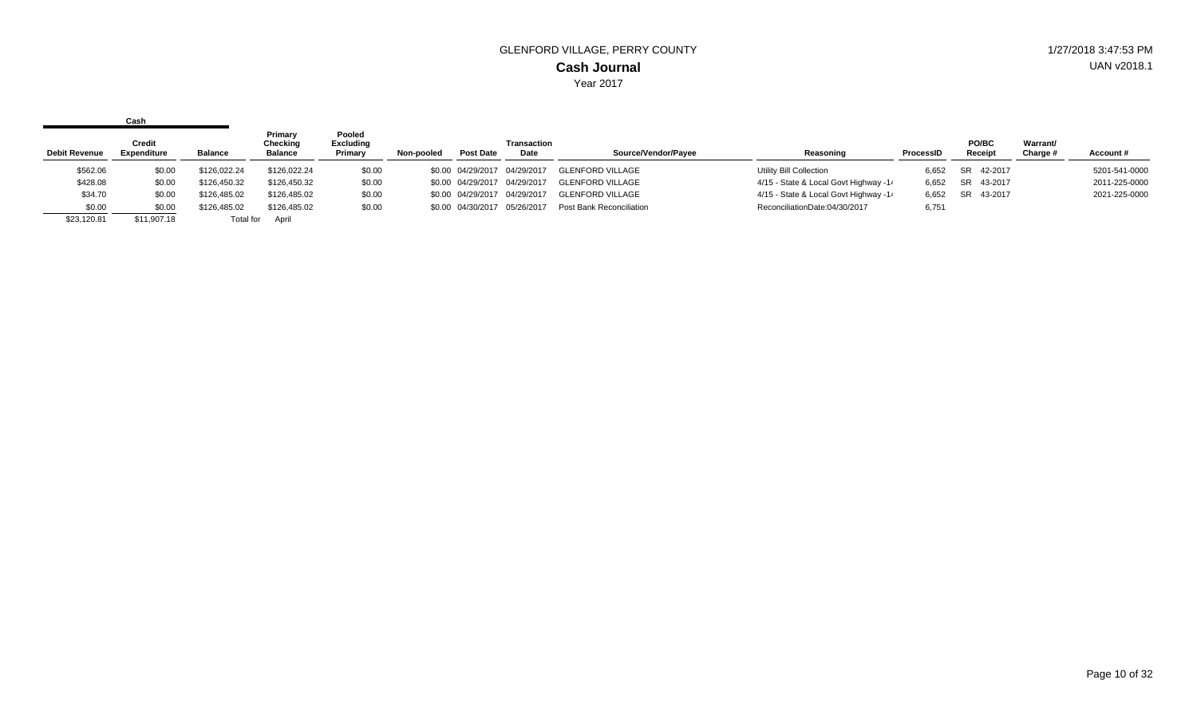|                      | Cash                                |              |                                       |                                       |            |                              |                            |                          |                                       |           |                  |                      |               |
|----------------------|-------------------------------------|--------------|---------------------------------------|---------------------------------------|------------|------------------------------|----------------------------|--------------------------|---------------------------------------|-----------|------------------|----------------------|---------------|
| <b>Debit Revenue</b> | <b>Credit</b><br><b>Expenditure</b> | Balance      | Primary<br>Checking<br><b>Balance</b> | Pooled<br><b>Excluding</b><br>Primary | Non-pooled | Post Date                    | <b>Transaction</b><br>Date | Source/Vendor/Pavee      | Reasoning                             | ProcessID | PO/BC<br>Receipt | Warrant/<br>Charge # | Account#      |
| \$562.06             | \$0.00                              | \$126.022.24 | \$126,022.24                          | \$0.00                                |            | \$0.00 04/29/2017            | 04/29/2017                 | <b>GLENFORD VILLAGE</b>  | Utility Bill Collection               | 6.652     | SR 42-2017       |                      | 5201-541-0000 |
| \$428.08             | \$0.00                              | \$126,450.32 | \$126,450.32                          | \$0.00                                |            | \$0.00 04/29/2017            | 04/29/2017                 | <b>GLENFORD VILLAGE</b>  | 4/15 - State & Local Govt Highway -14 | 6,652     | SR 43-2017       |                      | 2011-225-0000 |
| \$34.70              | \$0.00                              | \$126,485.02 | \$126,485.02                          | \$0.00                                |            | \$0.00 04/29/2017            | 04/29/2017                 | <b>GLENFORD VILLAGE</b>  | 4/15 - State & Local Govt Highway -14 | 6,652     | SR 43-2017       |                      | 2021-225-0000 |
| \$0.00               | \$0.00                              | \$126,485.02 | \$126,485.02                          | \$0.00                                |            | \$0.00 04/30/2017 05/26/2017 |                            | Post Bank Reconciliation | ReconciliationDate:04/30/2017         | 6,751     |                  |                      |               |
| \$23,120.81          | \$11,907.18                         | Total for    | April                                 |                                       |            |                              |                            |                          |                                       |           |                  |                      |               |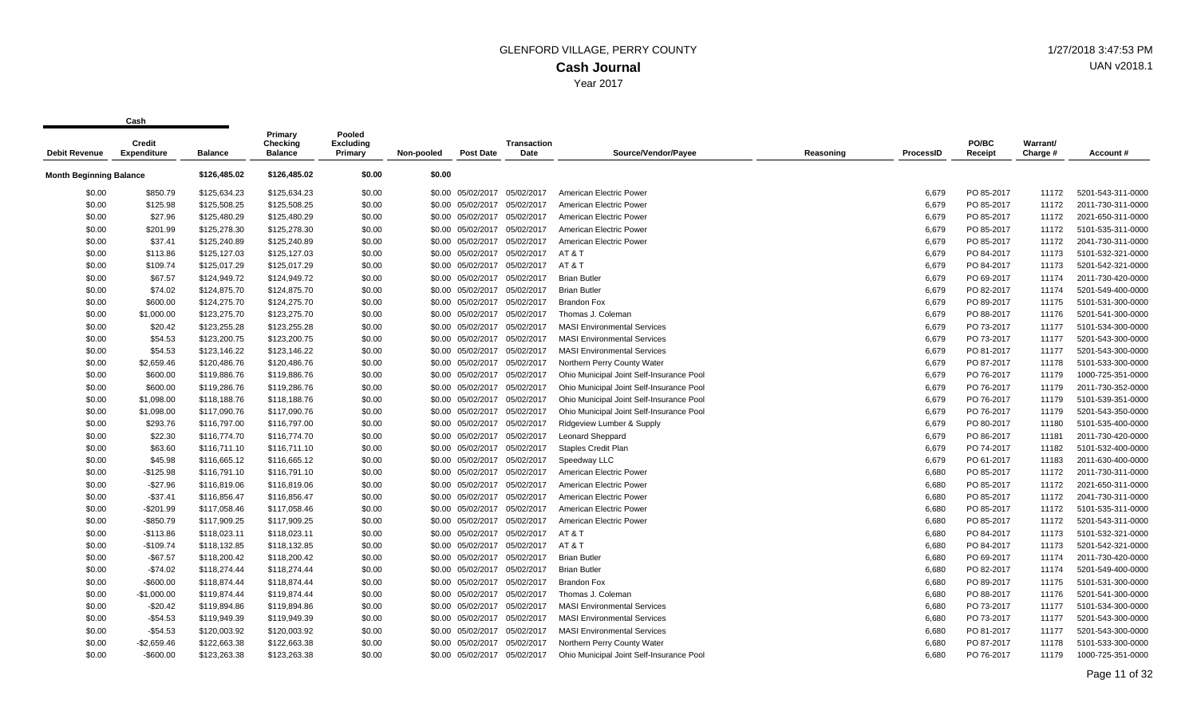| <b>Debit Revenue</b>           | Credit<br><b>Expenditure</b> | <b>Balance</b> | Primary<br>Checking<br><b>Balance</b> | Pooled<br>Excluding<br>Primary | Non-pooled | <b>Post Date</b>             | <b>Transaction</b><br>Date | Source/Vendor/Payee                      | Reasoning | <b>ProcessID</b> | PO/BC<br>Receipt | Warrant/<br>Charge # | Account #         |
|--------------------------------|------------------------------|----------------|---------------------------------------|--------------------------------|------------|------------------------------|----------------------------|------------------------------------------|-----------|------------------|------------------|----------------------|-------------------|
| <b>Month Beginning Balance</b> |                              | \$126,485.02   | \$126,485.02                          | \$0.00                         | \$0.00     |                              |                            |                                          |           |                  |                  |                      |                   |
| \$0.00                         | \$850.79                     | \$125,634.23   | \$125,634.23                          | \$0.00                         |            | \$0.00 05/02/2017            | 05/02/2017                 | American Electric Power                  |           | 6,679            | PO 85-2017       | 11172                | 5201-543-311-0000 |
| \$0.00                         | \$125.98                     | \$125,508.25   | \$125,508.25                          | \$0.00                         | \$0.00     | 05/02/2017                   | 05/02/2017                 | American Electric Power                  |           | 6,679            | PO 85-2017       | 11172                | 2011-730-311-0000 |
| \$0.00                         | \$27.96                      | \$125,480.29   | \$125,480.29                          | \$0.00                         |            | \$0.00 05/02/2017            | 05/02/2017                 | American Electric Power                  |           | 6,679            | PO 85-2017       | 11172                | 2021-650-311-0000 |
| \$0.00                         | \$201.99                     | \$125,278.30   | \$125,278.30                          | \$0.00                         |            | \$0.00 05/02/2017            | 05/02/2017                 | American Electric Power                  |           | 6,679            | PO 85-2017       | 11172                | 5101-535-311-0000 |
| \$0.00                         | \$37.41                      | \$125,240.89   | \$125,240.89                          | \$0.00                         |            | \$0.00 05/02/2017            | 05/02/2017                 | American Electric Power                  |           | 6,679            | PO 85-2017       | 11172                | 2041-730-311-0000 |
| \$0.00                         | \$113.86                     | \$125,127.03   | \$125,127.03                          | \$0.00                         |            | \$0.00 05/02/2017            | 05/02/2017                 | AT&T                                     |           | 6,679            | PO 84-2017       | 11173                | 5101-532-321-0000 |
| \$0.00                         | \$109.74                     | \$125,017.29   | \$125,017.29                          | \$0.00                         |            | \$0.00 05/02/2017            | 05/02/2017                 | AT&T                                     |           | 6,679            | PO 84-2017       | 11173                | 5201-542-321-0000 |
| \$0.00                         | \$67.57                      | \$124,949.72   | \$124,949.72                          | \$0.00                         |            | \$0.00 05/02/2017            | 05/02/2017                 | <b>Brian Butler</b>                      |           | 6,679            | PO 69-2017       | 11174                | 2011-730-420-0000 |
| \$0.00                         | \$74.02                      | \$124,875.70   | \$124,875.70                          | \$0.00                         |            | \$0.00 05/02/2017            | 05/02/2017                 | <b>Brian Butler</b>                      |           | 6,679            | PO 82-2017       | 11174                | 5201-549-400-0000 |
| \$0.00                         | \$600.00                     | \$124,275.70   | \$124,275.70                          | \$0.00                         |            | \$0.00 05/02/2017            | 05/02/2017                 | <b>Brandon Fox</b>                       |           | 6,679            | PO 89-2017       | 11175                | 5101-531-300-0000 |
| \$0.00                         | \$1,000.00                   | \$123,275.70   | \$123,275.70                          | \$0.00                         |            | \$0.00 05/02/2017            | 05/02/2017                 | Thomas J. Coleman                        |           | 6,679            | PO 88-2017       | 11176                | 5201-541-300-0000 |
| \$0.00                         | \$20.42                      | \$123,255.28   | \$123,255.28                          | \$0.00                         |            | \$0.00 05/02/2017            | 05/02/2017                 | <b>MASI Environmental Services</b>       |           | 6,679            | PO 73-2017       | 11177                | 5101-534-300-0000 |
| \$0.00                         | \$54.53                      | \$123,200.75   | \$123,200.75                          | \$0.00                         |            | \$0.00 05/02/2017            | 05/02/2017                 | <b>MASI Environmental Services</b>       |           | 6,679            | PO 73-2017       | 11177                | 5201-543-300-0000 |
| \$0.00                         | \$54.53                      | \$123,146.22   | \$123,146.22                          | \$0.00                         |            | \$0.00 05/02/2017            | 05/02/2017                 | <b>MASI Environmental Services</b>       |           | 6,679            | PO 81-2017       | 11177                | 5201-543-300-0000 |
| \$0.00                         | \$2,659.46                   | \$120,486.76   | \$120,486.76                          | \$0.00                         |            | \$0.00 05/02/2017            | 05/02/2017                 | Northern Perry County Water              |           | 6,679            | PO 87-2017       | 11178                | 5101-533-300-0000 |
| \$0.00                         | \$600.00                     | \$119,886.76   | \$119,886.76                          | \$0.00                         |            | \$0.00 05/02/2017 05/02/2017 |                            | Ohio Municipal Joint Self-Insurance Pool |           | 6,679            | PO 76-2017       | 11179                | 1000-725-351-0000 |
| \$0.00                         | \$600.00                     | \$119,286.76   | \$119,286.76                          | \$0.00                         |            | \$0.00 05/02/2017            | 05/02/2017                 | Ohio Municipal Joint Self-Insurance Pool |           | 6,679            | PO 76-2017       | 11179                | 2011-730-352-0000 |
| \$0.00                         | \$1,098.00                   | \$118,188.76   | \$118,188.76                          | \$0.00                         |            | \$0.00 05/02/2017            | 05/02/2017                 | Ohio Municipal Joint Self-Insurance Pool |           | 6,679            | PO 76-2017       | 11179                | 5101-539-351-0000 |
| \$0.00                         | \$1,098.00                   | \$117,090.76   | \$117,090.76                          | \$0.00                         |            | \$0.00 05/02/2017            | 05/02/2017                 | Ohio Municipal Joint Self-Insurance Pool |           | 6,679            | PO 76-2017       | 11179                | 5201-543-350-0000 |
| \$0.00                         | \$293.76                     | \$116,797.00   | \$116,797.00                          | \$0.00                         |            | \$0.00 05/02/2017            | 05/02/2017                 | Ridgeview Lumber & Supply                |           | 6,679            | PO 80-2017       | 11180                | 5101-535-400-0000 |
| \$0.00                         | \$22.30                      | \$116,774.70   | \$116,774.70                          | \$0.00                         |            | \$0.00 05/02/2017            | 05/02/2017                 | <b>Leonard Sheppard</b>                  |           | 6,679            | PO 86-2017       | 11181                | 2011-730-420-0000 |
| \$0.00                         | \$63.60                      | \$116,711.10   | \$116,711.10                          | \$0.00                         |            | \$0.00 05/02/2017            | 05/02/2017                 | Staples Credit Plan                      |           | 6,679            | PO 74-2017       | 11182                | 5101-532-400-0000 |
| \$0.00                         | \$45.98                      | \$116,665.12   | \$116,665.12                          | \$0.00                         |            | \$0.00 05/02/2017            | 05/02/2017                 | Speedway LLC                             |           | 6,679            | PO 61-2017       | 11183                | 2011-630-400-0000 |
| \$0.00                         | $-$125.98$                   | \$116,791.10   | \$116,791.10                          | \$0.00                         |            | \$0.00 05/02/2017            | 05/02/2017                 | American Electric Power                  |           | 6,680            | PO 85-2017       | 11172                | 2011-730-311-0000 |
| \$0.00                         | $-$27.96$                    | \$116,819.06   | \$116,819.06                          | \$0.00                         |            | \$0.00 05/02/2017            | 05/02/2017                 | American Electric Power                  |           | 6,680            | PO 85-2017       | 11172                | 2021-650-311-0000 |
| \$0.00                         | $-$37.41$                    | \$116,856.47   | \$116,856.47                          | \$0.00                         |            | \$0.00 05/02/2017            | 05/02/2017                 | American Electric Power                  |           | 6,680            | PO 85-2017       | 11172                | 2041-730-311-0000 |
| \$0.00                         | $-$201.99$                   | \$117,058.46   | \$117,058.46                          | \$0.00                         |            | \$0.00 05/02/2017            | 05/02/2017                 | American Electric Power                  |           | 6,680            | PO 85-2017       | 11172                | 5101-535-311-0000 |
| \$0.00                         | $-$ \$850.79                 | \$117,909.25   | \$117,909.25                          | \$0.00                         |            | \$0.00 05/02/2017            | 05/02/2017                 | American Electric Power                  |           | 6,680            | PO 85-2017       | 11172                | 5201-543-311-0000 |
| \$0.00                         | $-$113.86$                   | \$118,023.11   | \$118,023.11                          | \$0.00                         |            | \$0.00 05/02/2017            | 05/02/2017                 | AT&T                                     |           | 6,680            | PO 84-2017       | 11173                | 5101-532-321-0000 |
| \$0.00                         | $-$109.74$                   | \$118,132.85   | \$118,132.85                          | \$0.00                         |            | \$0.00 05/02/2017            | 05/02/2017                 | AT&T                                     |           | 6,680            | PO 84-2017       | 11173                | 5201-542-321-0000 |
| \$0.00                         | $-$67.57$                    | \$118,200.42   | \$118,200.42                          | \$0.00                         |            | \$0.00 05/02/2017            | 05/02/2017                 | <b>Brian Butler</b>                      |           | 6,680            | PO 69-2017       | 11174                | 2011-730-420-0000 |
| \$0.00                         | $-$74.02$                    | \$118,274.44   | \$118,274.44                          | \$0.00                         |            | \$0.00 05/02/2017            | 05/02/2017                 | <b>Brian Butler</b>                      |           | 6,680            | PO 82-2017       | 11174                | 5201-549-400-0000 |
| \$0.00                         | $-$600.00$                   | \$118,874.44   | \$118,874.44                          | \$0.00                         |            | \$0.00 05/02/2017            | 05/02/2017                 | <b>Brandon Fox</b>                       |           | 6,680            | PO 89-2017       | 11175                | 5101-531-300-0000 |
| \$0.00                         | $-$1,000.00$                 | \$119,874.44   | \$119,874.44                          | \$0.00                         |            | \$0.00 05/02/2017            | 05/02/2017                 | Thomas J. Coleman                        |           | 6,680            | PO 88-2017       | 11176                | 5201-541-300-0000 |
| \$0.00                         | $-$20.42$                    | \$119,894.86   | \$119,894.86                          | \$0.00                         |            | \$0.00 05/02/2017            | 05/02/2017                 | <b>MASI Environmental Services</b>       |           | 6,680            | PO 73-2017       | 11177                | 5101-534-300-0000 |
| \$0.00                         | $-$54.53$                    | \$119,949.39   | \$119,949.39                          | \$0.00                         |            | \$0.00 05/02/2017            | 05/02/2017                 | <b>MASI Environmental Services</b>       |           | 6,680            | PO 73-2017       | 11177                | 5201-543-300-0000 |
| \$0.00                         | $-$54.53$                    | \$120,003.92   | \$120,003.92                          | \$0.00                         |            | \$0.00 05/02/2017            | 05/02/2017                 | <b>MASI Environmental Services</b>       |           | 6,680            | PO 81-2017       | 11177                | 5201-543-300-0000 |
| \$0.00                         | $-$2,659.46$                 | \$122,663.38   | \$122,663.38                          | \$0.00                         |            | \$0.00 05/02/2017            | 05/02/2017                 | Northern Perry County Water              |           | 6,680            | PO 87-2017       | 11178                | 5101-533-300-0000 |
| \$0.00                         | $-$600.00$                   | \$123,263.38   | \$123,263.38                          | \$0.00                         |            | \$0.00 05/02/2017            | 05/02/2017                 | Ohio Municipal Joint Self-Insurance Pool |           | 6,680            | PO 76-2017       | 11179                | 1000-725-351-0000 |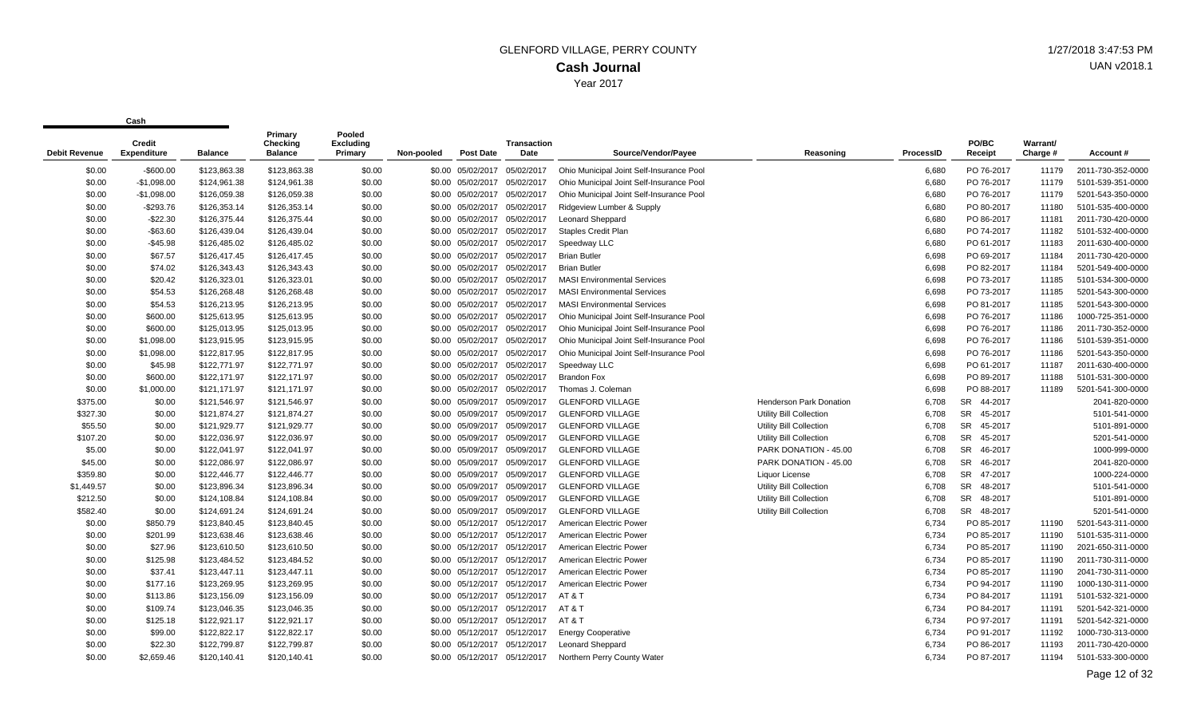| <b>Debit Revenue</b> | <b>Credit</b><br><b>Expenditure</b> | <b>Balance</b> | Primary<br>Checking<br><b>Balance</b> | Pooled<br><b>Excluding</b><br>Primary | Non-pooled | <b>Post Date</b>             | <b>Transaction</b><br>Date | Source/Vendor/Payee                      | Reasoning                      | <b>ProcessID</b> | PO/BC<br>Receipt     | <b>Warrant/</b><br>Charge # | Account#          |
|----------------------|-------------------------------------|----------------|---------------------------------------|---------------------------------------|------------|------------------------------|----------------------------|------------------------------------------|--------------------------------|------------------|----------------------|-----------------------------|-------------------|
| \$0.00               | $-$600.00$                          | \$123,863.38   | \$123,863.38                          | \$0.00                                |            | \$0.00 05/02/2017            | 05/02/2017                 | Ohio Municipal Joint Self-Insurance Pool |                                | 6,680            | PO 76-2017           | 11179                       | 2011-730-352-0000 |
| \$0.00               | $-$1,098.00$                        | \$124,961.38   | \$124,961.38                          | \$0.00                                |            | \$0.00 05/02/2017            | 05/02/2017                 | Ohio Municipal Joint Self-Insurance Pool |                                | 6,680            | PO 76-2017           | 11179                       | 5101-539-351-0000 |
| \$0.00               | $-$1,098.00$                        | \$126,059.38   | \$126,059.38                          | \$0.00                                |            | \$0.00 05/02/2017            | 05/02/2017                 | Ohio Municipal Joint Self-Insurance Pool |                                | 6,680            | PO 76-2017           | 11179                       | 5201-543-350-0000 |
| \$0.00               | $-$293.76$                          | \$126,353.14   | \$126,353.14                          | \$0.00                                |            | \$0.00 05/02/2017 05/02/2017 |                            | Ridgeview Lumber & Supply                |                                | 6,680            | PO 80-2017           | 11180                       | 5101-535-400-0000 |
| \$0.00               | $-$ \$22.30                         | \$126,375.44   | \$126,375.44                          | \$0.00                                |            | \$0.00 05/02/2017 05/02/2017 |                            | <b>Leonard Sheppard</b>                  |                                | 6,680            | PO 86-2017           | 11181                       | 2011-730-420-0000 |
| \$0.00               | $-$63.60$                           | \$126,439.04   | \$126,439.04                          | \$0.00                                |            | \$0.00 05/02/2017 05/02/2017 |                            | Staples Credit Plan                      |                                | 6,680            | PO 74-2017           | 11182                       | 5101-532-400-0000 |
| \$0.00               | $-$45.98$                           | \$126,485.02   | \$126,485.02                          | \$0.00                                |            | \$0.00 05/02/2017 05/02/2017 |                            | Speedway LLC                             |                                | 6,680            | PO 61-2017           | 11183                       | 2011-630-400-0000 |
| \$0.00               | \$67.57                             | \$126,417.45   | \$126,417.45                          | \$0.00                                |            | \$0.00 05/02/2017 05/02/2017 |                            | <b>Brian Butler</b>                      |                                | 6,698            | PO 69-2017           | 11184                       | 2011-730-420-0000 |
| \$0.00               | \$74.02                             | \$126,343.43   | \$126,343.43                          | \$0.00                                |            | \$0.00 05/02/2017            | 05/02/2017                 | <b>Brian Butler</b>                      |                                | 6,698            | PO 82-2017           | 11184                       | 5201-549-400-0000 |
| \$0.00               | \$20.42                             | \$126,323.01   | \$126,323.01                          | \$0.00                                |            | \$0.00 05/02/2017 05/02/2017 |                            | <b>MASI Environmental Services</b>       |                                | 6,698            | PO 73-2017           | 11185                       | 5101-534-300-0000 |
| \$0.00               | \$54.53                             | \$126,268.48   | \$126,268.48                          | \$0.00                                |            | \$0.00 05/02/2017 05/02/2017 |                            | <b>MASI Environmental Services</b>       |                                | 6,698            | PO 73-2017           | 11185                       | 5201-543-300-0000 |
| \$0.00               | \$54.53                             | \$126,213.95   | \$126,213.95                          | \$0.00                                |            | \$0.00 05/02/2017            | 05/02/2017                 | <b>MASI Environmental Services</b>       |                                | 6,698            | PO 81-2017           | 11185                       | 5201-543-300-0000 |
| \$0.00               | \$600.00                            | \$125,613.95   | \$125,613.95                          | \$0.00                                |            | \$0.00 05/02/2017 05/02/2017 |                            | Ohio Municipal Joint Self-Insurance Pool |                                | 6,698            | PO 76-2017           | 11186                       | 1000-725-351-0000 |
| \$0.00               | \$600.00                            | \$125,013.95   | \$125,013.95                          | \$0.00                                |            | \$0.00 05/02/2017 05/02/2017 |                            | Ohio Municipal Joint Self-Insurance Pool |                                | 6,698            | PO 76-2017           | 11186                       | 2011-730-352-0000 |
| \$0.00               | \$1,098.00                          | \$123,915.95   | \$123,915.95                          | \$0.00                                |            | \$0.00 05/02/2017            | 05/02/2017                 | Ohio Municipal Joint Self-Insurance Pool |                                | 6,698            | PO 76-2017           | 11186                       | 5101-539-351-0000 |
| \$0.00               | \$1,098.00                          | \$122,817.95   | \$122,817.95                          | \$0.00                                |            | \$0.00 05/02/2017 05/02/2017 |                            | Ohio Municipal Joint Self-Insurance Pool |                                | 6,698            | PO 76-2017           | 11186                       | 5201-543-350-0000 |
| \$0.00               | \$45.98                             | \$122,771.97   | \$122,771.97                          | \$0.00                                |            | \$0.00 05/02/2017 05/02/2017 |                            | Speedway LLC                             |                                | 6,698            | PO 61-2017           | 11187                       | 2011-630-400-0000 |
| \$0.00               | \$600.00                            | \$122,171.97   | \$122,171.97                          | \$0.00                                |            | \$0.00 05/02/2017 05/02/2017 |                            | <b>Brandon Fox</b>                       |                                | 6,698            | PO 89-2017           | 11188                       | 5101-531-300-0000 |
| \$0.00               | \$1,000.00                          | \$121,171.97   | \$121,171.97                          | \$0.00                                |            | \$0.00 05/02/2017 05/02/2017 |                            | Thomas J. Coleman                        |                                | 6,698            | PO 88-2017           | 11189                       | 5201-541-300-0000 |
| \$375.00             | \$0.00                              | \$121,546.97   | \$121,546.97                          | \$0.00                                |            | \$0.00 05/09/2017 05/09/2017 |                            | <b>GLENFORD VILLAGE</b>                  | <b>Henderson Park Donation</b> | 6,708            | 44-2017<br><b>SR</b> |                             | 2041-820-0000     |
| \$327.30             | \$0.00                              | \$121,874.27   | \$121,874.27                          | \$0.00                                |            | \$0.00 05/09/2017            | 05/09/2017                 | <b>GLENFORD VILLAGE</b>                  | Utility Bill Collection        | 6,708            | 45-2017<br>SR        |                             | 5101-541-0000     |
| \$55.50              | \$0.00                              | \$121,929.77   | \$121,929.77                          | \$0.00                                |            | \$0.00 05/09/2017            | 05/09/2017                 | <b>GLENFORD VILLAGE</b>                  | Utility Bill Collection        | 6,708            | SR<br>45-2017        |                             | 5101-891-0000     |
| \$107.20             | \$0.00                              | \$122,036.97   | \$122,036.97                          | \$0.00                                |            | \$0.00 05/09/2017 05/09/2017 |                            | <b>GLENFORD VILLAGE</b>                  | Utility Bill Collection        | 6,708            | <b>SR</b><br>45-2017 |                             | 5201-541-0000     |
| \$5.00               | \$0.00                              | \$122,041.97   | \$122,041.97                          | \$0.00                                |            | \$0.00 05/09/2017 05/09/2017 |                            | <b>GLENFORD VILLAGE</b>                  | PARK DONATION - 45.00          | 6,708            | <b>SR</b><br>46-2017 |                             | 1000-999-0000     |
| \$45.00              | \$0.00                              | \$122,086.97   | \$122,086.97                          | \$0.00                                |            | \$0.00 05/09/2017            | 05/09/2017                 | <b>GLENFORD VILLAGE</b>                  | PARK DONATION - 45.00          | 6,708            | <b>SR</b><br>46-2017 |                             | 2041-820-0000     |
| \$359.80             | \$0.00                              | \$122,446.77   | \$122,446.77                          | \$0.00                                |            | \$0.00 05/09/2017 05/09/2017 |                            | <b>GLENFORD VILLAGE</b>                  | Liquor License                 | 6,708            | <b>SR</b><br>47-2017 |                             | 1000-224-0000     |
| \$1,449.57           | \$0.00                              | \$123,896.34   | \$123,896.34                          | \$0.00                                |            | \$0.00 05/09/2017 05/09/2017 |                            | <b>GLENFORD VILLAGE</b>                  | Utility Bill Collection        | 6,708            | <b>SR</b><br>48-2017 |                             | 5101-541-0000     |
| \$212.50             | \$0.00                              | \$124,108.84   | \$124,108.84                          | \$0.00                                |            | \$0.00 05/09/2017            | 05/09/2017                 | <b>GLENFORD VILLAGE</b>                  | <b>Utility Bill Collection</b> | 6,708            | <b>SR</b><br>48-2017 |                             | 5101-891-0000     |
| \$582.40             | \$0.00                              | \$124,691.24   | \$124,691.24                          | \$0.00                                |            | \$0.00 05/09/2017 05/09/2017 |                            | <b>GLENFORD VILLAGE</b>                  | Utility Bill Collection        | 6,708            | SR 48-2017           |                             | 5201-541-0000     |
| \$0.00               | \$850.79                            | \$123,840.45   | \$123,840.45                          | \$0.00                                |            | \$0.00 05/12/2017 05/12/2017 |                            | American Electric Power                  |                                | 6,734            | PO 85-2017           | 11190                       | 5201-543-311-0000 |
| \$0.00               | \$201.99                            | \$123,638.46   | \$123,638.46                          | \$0.00                                |            | \$0.00 05/12/2017            | 05/12/2017                 | American Electric Power                  |                                | 6,734            | PO 85-2017           | 11190                       | 5101-535-311-0000 |
| \$0.00               | \$27.96                             | \$123,610.50   | \$123,610.50                          | \$0.00                                |            | \$0.00 05/12/2017 05/12/2017 |                            | American Electric Power                  |                                | 6,734            | PO 85-2017           | 11190                       | 2021-650-311-0000 |
| \$0.00               | \$125.98                            | \$123,484.52   | \$123,484.52                          | \$0.00                                |            | \$0.00 05/12/2017 05/12/2017 |                            | American Electric Power                  |                                | 6,734            | PO 85-2017           | 11190                       | 2011-730-311-0000 |
| \$0.00               | \$37.41                             | \$123,447.11   | \$123,447.11                          | \$0.00                                |            | \$0.00 05/12/2017 05/12/2017 |                            | American Electric Power                  |                                | 6,734            | PO 85-2017           | 11190                       | 2041-730-311-0000 |
| \$0.00               | \$177.16                            | \$123,269.95   | \$123,269.95                          | \$0.00                                |            | \$0.00 05/12/2017 05/12/2017 |                            | American Electric Power                  |                                | 6,734            | PO 94-2017           | 11190                       | 1000-130-311-0000 |
| \$0.00               | \$113.86                            | \$123,156.09   | \$123,156.09                          | \$0.00                                |            | \$0.00 05/12/2017 05/12/2017 |                            | AT&T                                     |                                | 6,734            | PO 84-2017           | 11191                       | 5101-532-321-0000 |
| \$0.00               | \$109.74                            | \$123,046.35   | \$123,046.35                          | \$0.00                                |            | \$0.00 05/12/2017 05/12/2017 |                            | AT&T                                     |                                | 6,734            | PO 84-2017           | 11191                       | 5201-542-321-0000 |
| \$0.00               | \$125.18                            | \$122,921.17   | \$122,921.17                          | \$0.00                                |            | \$0.00 05/12/2017            | 05/12/2017                 | AT&T                                     |                                | 6,734            | PO 97-2017           | 11191                       | 5201-542-321-0000 |
| \$0.00               | \$99.00                             | \$122,822.17   | \$122,822.17                          | \$0.00                                |            | \$0.00 05/12/2017 05/12/2017 |                            | <b>Energy Cooperative</b>                |                                | 6,734            | PO 91-2017           | 11192                       | 1000-730-313-0000 |
| \$0.00               | \$22.30                             | \$122,799.87   | \$122,799.87                          | \$0.00                                |            | \$0.00 05/12/2017 05/12/2017 |                            | <b>Leonard Sheppard</b>                  |                                | 6,734            | PO 86-2017           | 11193                       | 2011-730-420-0000 |
| \$0.00               | \$2,659.46                          | \$120.140.41   | \$120,140.41                          | \$0.00                                |            | \$0.00 05/12/2017 05/12/2017 |                            | Northern Perry County Water              |                                | 6.734            | PO 87-2017           | 11194                       | 5101-533-300-0000 |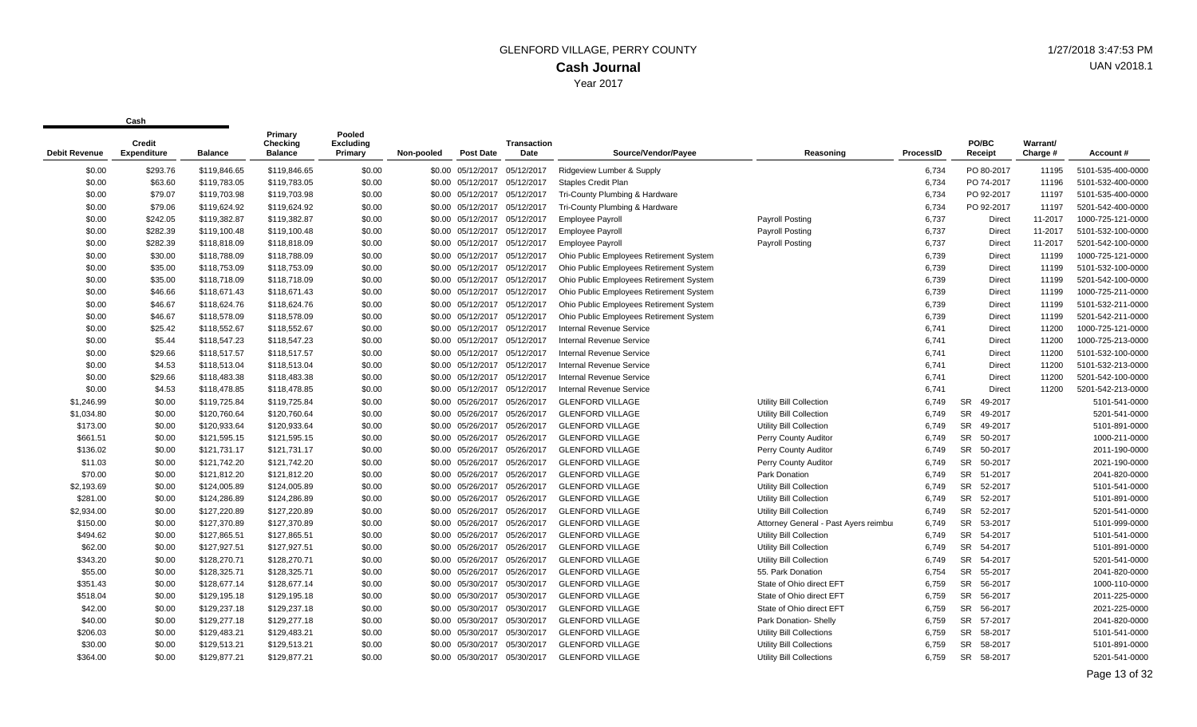| <b>Debit Revenue</b> | <b>Credit</b><br><b>Expenditure</b> | <b>Balance</b> | Primary<br>Checking<br><b>Balance</b> | Pooled<br><b>Excluding</b><br>Primary | Non-pooled | <b>Post Date</b>             | <b>Transaction</b><br>Date | Source/Vendor/Payee                     | Reasoning                             | <b>ProcessID</b> | PO/BC<br>Receipt     | Warrant/<br>Charge # | Account #         |
|----------------------|-------------------------------------|----------------|---------------------------------------|---------------------------------------|------------|------------------------------|----------------------------|-----------------------------------------|---------------------------------------|------------------|----------------------|----------------------|-------------------|
| \$0.00               | \$293.76                            | \$119,846.65   | \$119,846.65                          | \$0.00                                |            | \$0.00 05/12/2017            | 05/12/2017                 | Ridgeview Lumber & Supply               |                                       | 6,734            | PO 80-2017           | 11195                | 5101-535-400-0000 |
| \$0.00               | \$63.60                             | \$119,783.05   | \$119,783.05                          | \$0.00                                |            | \$0.00 05/12/2017            | 05/12/2017                 | Staples Credit Plan                     |                                       | 6,734            | PO 74-2017           | 11196                | 5101-532-400-0000 |
| \$0.00               | \$79.07                             | \$119,703.98   | \$119,703.98                          | \$0.00                                |            | \$0.00 05/12/2017            | 05/12/2017                 | Tri-County Plumbing & Hardware          |                                       | 6,734            | PO 92-2017           | 11197                | 5101-535-400-0000 |
| \$0.00               | \$79.06                             | \$119,624.92   | \$119,624.92                          | \$0.00                                |            | \$0.00 05/12/2017            | 05/12/2017                 | Tri-County Plumbing & Hardware          |                                       | 6,734            | PO 92-2017           | 11197                | 5201-542-400-0000 |
| \$0.00               | \$242.05                            | \$119,382.87   | \$119,382.87                          | \$0.00                                |            | \$0.00 05/12/2017            | 05/12/2017                 | <b>Employee Payroll</b>                 | Payroll Posting                       | 6,737            | Direct               | 11-2017              | 1000-725-121-0000 |
| \$0.00               | \$282.39                            | \$119,100.48   | \$119,100.48                          | \$0.00                                |            | \$0.00 05/12/2017            | 05/12/2017                 | <b>Employee Payroll</b>                 | Payroll Posting                       | 6,737            | Direct               | 11-2017              | 5101-532-100-0000 |
| \$0.00               | \$282.39                            | \$118,818.09   | \$118,818.09                          | \$0.00                                |            | \$0.00 05/12/2017            | 05/12/2017                 | <b>Employee Payroll</b>                 | Payroll Posting                       | 6,737            | Direct               | 11-2017              | 5201-542-100-0000 |
| \$0.00               | \$30.00                             | \$118,788.09   | \$118,788.09                          | \$0.00                                |            | \$0.00 05/12/2017 05/12/2017 |                            | Ohio Public Employees Retirement System |                                       | 6,739            | Direct               | 11199                | 1000-725-121-0000 |
| \$0.00               | \$35.00                             | \$118,753.09   | \$118,753.09                          | \$0.00                                |            | \$0.00 05/12/2017            | 05/12/2017                 | Ohio Public Employees Retirement System |                                       | 6,739            | <b>Direct</b>        | 11199                | 5101-532-100-0000 |
| \$0.00               | \$35.00                             | \$118,718.09   | \$118,718.09                          | \$0.00                                |            | \$0.00 05/12/2017            | 05/12/2017                 | Ohio Public Employees Retirement System |                                       | 6,739            | Direct               | 11199                | 5201-542-100-0000 |
| \$0.00               | \$46.66                             | \$118,671.43   | \$118,671.43                          | \$0.00                                |            | \$0.00 05/12/2017            | 05/12/2017                 | Ohio Public Employees Retirement System |                                       | 6,739            | Direct               | 11199                | 1000-725-211-0000 |
| \$0.00               | \$46.67                             | \$118,624.76   | \$118,624.76                          | \$0.00                                |            | \$0.00 05/12/2017            | 05/12/2017                 | Ohio Public Employees Retirement System |                                       | 6,739            | Direct               | 11199                | 5101-532-211-0000 |
| \$0.00               | \$46.67                             | \$118,578.09   | \$118,578.09                          | \$0.00                                |            | \$0.00 05/12/2017            | 05/12/2017                 | Ohio Public Employees Retirement System |                                       | 6,739            | Direct               | 11199                | 5201-542-211-0000 |
| \$0.00               | \$25.42                             | \$118,552.67   | \$118,552.67                          | \$0.00                                |            | \$0.00 05/12/2017            | 05/12/2017                 | Internal Revenue Service                |                                       | 6,741            | Direct               | 11200                | 1000-725-121-0000 |
| \$0.00               | \$5.44                              | \$118,547.23   | \$118,547.23                          | \$0.00                                |            | \$0.00 05/12/2017 05/12/2017 |                            | <b>Internal Revenue Service</b>         |                                       | 6,741            | <b>Direct</b>        | 11200                | 1000-725-213-0000 |
| \$0.00               | \$29.66                             | \$118,517.57   | \$118,517.57                          | \$0.00                                |            | \$0.00 05/12/2017            | 05/12/2017                 | <b>Internal Revenue Service</b>         |                                       | 6,741            | Direct               | 11200                | 5101-532-100-0000 |
| \$0.00               | \$4.53                              | \$118.513.04   | \$118,513.04                          | \$0.00                                |            | \$0.00 05/12/2017            | 05/12/2017                 | <b>Internal Revenue Service</b>         |                                       | 6,741            | <b>Direct</b>        | 11200                | 5101-532-213-0000 |
| \$0.00               | \$29.66                             | \$118,483.38   | \$118,483.38                          | \$0.00                                |            | \$0.00 05/12/2017 05/12/2017 |                            | <b>Internal Revenue Service</b>         |                                       | 6,741            | <b>Direct</b>        | 11200                | 5201-542-100-0000 |
| \$0.00               | \$4.53                              | \$118,478.85   | \$118,478.85                          | \$0.00                                |            | \$0.00 05/12/2017            | 05/12/2017                 | <b>Internal Revenue Service</b>         |                                       | 6,741            | <b>Direct</b>        | 11200                | 5201-542-213-0000 |
| \$1,246.99           | \$0.00                              | \$119,725.84   | \$119,725.84                          | \$0.00                                |            | \$0.00 05/26/2017            | 05/26/2017                 | <b>GLENFORD VILLAGE</b>                 | Utility Bill Collection               | 6,749            | 49-2017<br><b>SR</b> |                      | 5101-541-0000     |
| \$1,034.80           | \$0.00                              | \$120,760.64   | \$120,760.64                          | \$0.00                                |            | \$0.00 05/26/2017            | 05/26/2017                 | <b>GLENFORD VILLAGE</b>                 | Utility Bill Collection               | 6,749            | <b>SR</b><br>49-2017 |                      | 5201-541-0000     |
| \$173.00             | \$0.00                              | \$120,933.64   | \$120,933.64                          | \$0.00                                |            | \$0.00 05/26/2017 05/26/2017 |                            | <b>GLENFORD VILLAGE</b>                 | Utility Bill Collection               | 6,749            | SR<br>49-2017        |                      | 5101-891-0000     |
| \$661.51             | \$0.00                              | \$121,595.15   | \$121,595.15                          | \$0.00                                |            | \$0.00 05/26/2017            | 05/26/2017                 | <b>GLENFORD VILLAGE</b>                 | Perry County Auditor                  | 6,749            | SR<br>50-2017        |                      | 1000-211-0000     |
| \$136.02             | \$0.00                              | \$121,731.17   | \$121,731.17                          | \$0.00                                |            | \$0.00 05/26/2017            | 05/26/2017                 | <b>GLENFORD VILLAGE</b>                 | Perry County Auditor                  | 6,749            | <b>SR</b><br>50-2017 |                      | 2011-190-0000     |
| \$11.03              | \$0.00                              | \$121,742.20   | \$121,742.20                          | \$0.00                                |            | \$0.00 05/26/2017            | 05/26/2017                 | <b>GLENFORD VILLAGE</b>                 | Perry County Auditor                  | 6,749            | <b>SR</b><br>50-2017 |                      | 2021-190-0000     |
| \$70.00              | \$0.00                              | \$121,812.20   | \$121,812.20                          | \$0.00                                |            | \$0.00 05/26/2017            | 05/26/2017                 | <b>GLENFORD VILLAGE</b>                 | Park Donation                         | 6,749            | <b>SR</b><br>51-2017 |                      | 2041-820-0000     |
| \$2,193.69           | \$0.00                              | \$124,005.89   | \$124,005.89                          | \$0.00                                |            | \$0.00 05/26/2017            | 05/26/2017                 | <b>GLENFORD VILLAGE</b>                 | Utility Bill Collection               | 6,749            | <b>SR</b><br>52-2017 |                      | 5101-541-0000     |
| \$281.00             | \$0.00                              | \$124,286.89   | \$124,286.89                          | \$0.00                                |            | \$0.00 05/26/2017            | 05/26/2017                 | <b>GLENFORD VILLAGE</b>                 | Utility Bill Collection               | 6,749            | <b>SR</b><br>52-2017 |                      | 5101-891-0000     |
| \$2,934.00           | \$0.00                              | \$127,220.89   | \$127,220.89                          | \$0.00                                |            | \$0.00 05/26/2017            | 05/26/2017                 | <b>GLENFORD VILLAGE</b>                 | Utility Bill Collection               | 6,749            | <b>SR</b><br>52-2017 |                      | 5201-541-0000     |
| \$150.00             | \$0.00                              | \$127,370.89   | \$127,370.89                          | \$0.00                                |            | \$0.00 05/26/2017            | 05/26/2017                 | <b>GLENFORD VILLAGE</b>                 | Attorney General - Past Ayers reimbul | 6,749            | <b>SR</b><br>53-2017 |                      | 5101-999-0000     |
| \$494.62             | \$0.00                              | \$127,865.51   | \$127,865.51                          | \$0.00                                |            | \$0.00 05/26/2017            | 05/26/2017                 | <b>GLENFORD VILLAGE</b>                 | Utility Bill Collection               | 6,749            | <b>SR</b><br>54-2017 |                      | 5101-541-0000     |
| \$62.00              | \$0.00                              | \$127,927.51   | \$127,927.51                          | \$0.00                                |            | \$0.00 05/26/2017            | 05/26/2017                 | <b>GLENFORD VILLAGE</b>                 | Utility Bill Collection               | 6,749            | <b>SR</b><br>54-2017 |                      | 5101-891-0000     |
| \$343.20             | \$0.00                              | \$128,270.71   | \$128,270.71                          | \$0.00                                |            | \$0.00 05/26/2017            | 05/26/2017                 | <b>GLENFORD VILLAGE</b>                 | Utility Bill Collection               | 6,749            | <b>SR</b><br>54-2017 |                      | 5201-541-0000     |
| \$55.00              | \$0.00                              | \$128,325.71   | \$128,325.71                          | \$0.00                                |            | \$0.00 05/26/2017            | 05/26/2017                 | <b>GLENFORD VILLAGE</b>                 | 55. Park Donation                     | 6,754            | <b>SR</b><br>55-2017 |                      | 2041-820-0000     |
| \$351.43             | \$0.00                              | \$128,677.14   | \$128,677.14                          | \$0.00                                |            | \$0.00 05/30/2017            | 05/30/2017                 | <b>GLENFORD VILLAGE</b>                 | State of Ohio direct EFT              | 6,759            | <b>SR</b><br>56-2017 |                      | 1000-110-0000     |
| \$518.04             | \$0.00                              | \$129,195.18   | \$129,195.18                          | \$0.00                                |            | \$0.00 05/30/2017            | 05/30/2017                 | <b>GLENFORD VILLAGE</b>                 | State of Ohio direct EFT              | 6,759            | <b>SR</b><br>56-2017 |                      | 2011-225-0000     |
| \$42.00              | \$0.00                              | \$129,237.18   | \$129,237.18                          | \$0.00                                |            | \$0.00 05/30/2017            | 05/30/2017                 | <b>GLENFORD VILLAGE</b>                 | State of Ohio direct EFT              | 6,759            | <b>SR</b><br>56-2017 |                      | 2021-225-0000     |
| \$40.00              | \$0.00                              | \$129,277.18   | \$129,277.18                          | \$0.00                                |            | \$0.00 05/30/2017            | 05/30/2017                 | <b>GLENFORD VILLAGE</b>                 | Park Donation- Shelly                 | 6,759            | <b>SR</b><br>57-2017 |                      | 2041-820-0000     |
| \$206.03             | \$0.00                              | \$129,483.21   | \$129,483.21                          | \$0.00                                |            | \$0.00 05/30/2017            | 05/30/2017                 | <b>GLENFORD VILLAGE</b>                 | <b>Utility Bill Collections</b>       | 6,759            | <b>SR</b><br>58-2017 |                      | 5101-541-0000     |
| \$30.00              | \$0.00                              | \$129,513.21   | \$129,513.21                          | \$0.00                                |            | \$0.00 05/30/2017            | 05/30/2017                 | <b>GLENFORD VILLAGE</b>                 | <b>Utility Bill Collections</b>       | 6.759            | <b>SR</b><br>58-2017 |                      | 5101-891-0000     |
| \$364.00             | \$0.00                              | \$129,877.21   | \$129,877.21                          | \$0.00                                |            | \$0.00 05/30/2017            | 05/30/2017                 | <b>GLENFORD VILLAGE</b>                 | <b>Utility Bill Collections</b>       | 6.759            | <b>SR</b><br>58-2017 |                      | 5201-541-0000     |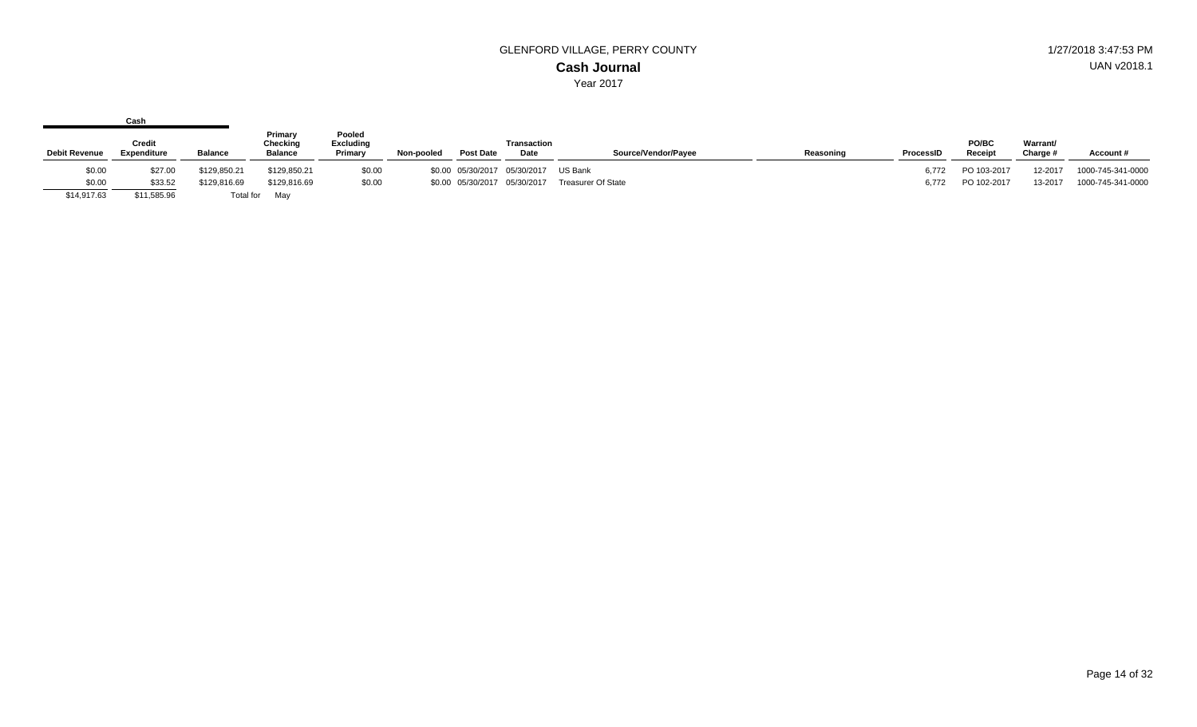|                      | Cash                         |                |                                       |                                       |            |                              |                            |                           |           |           |                   |                      |                   |
|----------------------|------------------------------|----------------|---------------------------------------|---------------------------------------|------------|------------------------------|----------------------------|---------------------------|-----------|-----------|-------------------|----------------------|-------------------|
| <b>Debit Revenue</b> | Credit<br><b>Expenditure</b> | <b>Balance</b> | Primary<br>Checking<br><b>Balance</b> | Pooled<br><b>Excluding</b><br>Primary | Non-pooled | <b>Post Date</b>             | <b>Transaction</b><br>Date | Source/Vendor/Payee       | Reasoning | ProcessID | PO/BC<br>Receipt  | Warrant/<br>Charge # | Account#          |
| \$0.00               | \$27.00                      | \$129,850.21   | \$129,850.21                          | \$0.00                                |            | \$0.00 05/30/2017 05/30/2017 |                            | US Bank                   |           | 6.772     | PO 103-2017       | 12-2017              | 1000-745-341-0000 |
| \$0.00               | \$33.52                      | \$129,816.69   | \$129,816.69                          | \$0.00                                |            | \$0.00 05/30/2017 05/30/2017 |                            | <b>Treasurer Of State</b> |           |           | 6,772 PO 102-2017 | 13-2017              | 1000-745-341-0000 |
| \$14,917.63          | \$11,585.96                  | Total for      | May                                   |                                       |            |                              |                            |                           |           |           |                   |                      |                   |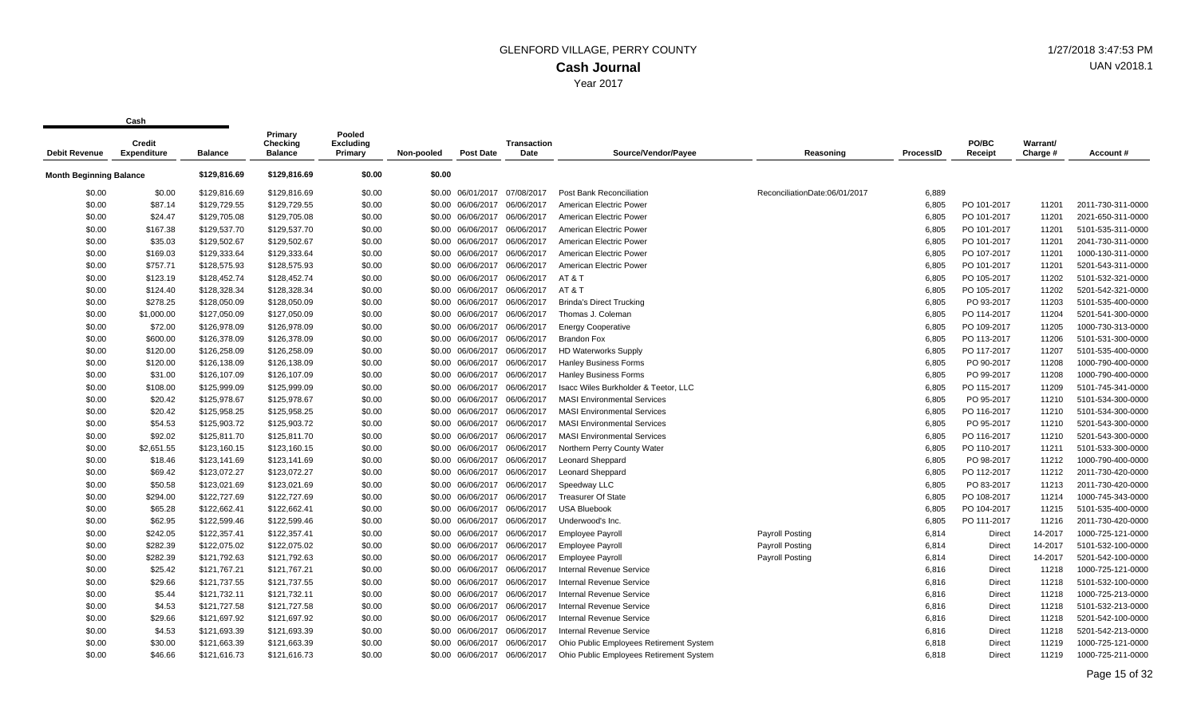| <b>Debit Revenue</b>           | Credit<br><b>Expenditure</b> | <b>Balance</b> | Primary<br>Checking<br><b>Balance</b> | Pooled<br><b>Excluding</b><br>Primary | Non-pooled | <b>Post Date</b>  | Transaction<br>Date | Source/Vendor/Payee                     | Reasoning                     | <b>ProcessID</b> | PO/BC<br>Receipt | Warrant/<br>Charge # | Account#          |
|--------------------------------|------------------------------|----------------|---------------------------------------|---------------------------------------|------------|-------------------|---------------------|-----------------------------------------|-------------------------------|------------------|------------------|----------------------|-------------------|
|                                |                              |                |                                       |                                       |            |                   |                     |                                         |                               |                  |                  |                      |                   |
| <b>Month Beginning Balance</b> |                              | \$129,816.69   | \$129,816.69                          | \$0.00                                | \$0.00     |                   |                     |                                         |                               |                  |                  |                      |                   |
| \$0.00                         | \$0.00                       | \$129,816.69   | \$129,816.69                          | \$0.00                                |            | \$0.00 06/01/2017 | 07/08/2017          | Post Bank Reconciliation                | ReconciliationDate:06/01/2017 | 6,889            |                  |                      |                   |
| \$0.00                         | \$87.14                      | \$129,729.55   | \$129,729.55                          | \$0.00                                |            | \$0.00 06/06/2017 | 06/06/2017          | American Electric Power                 |                               | 6,805            | PO 101-2017      | 11201                | 2011-730-311-0000 |
| \$0.00                         | \$24.47                      | \$129,705.08   | \$129,705.08                          | \$0.00                                |            | \$0.00 06/06/2017 | 06/06/2017          | American Electric Power                 |                               | 6,805            | PO 101-2017      | 11201                | 2021-650-311-0000 |
| \$0.00                         | \$167.38                     | \$129,537.70   | \$129,537.70                          | \$0.00                                |            | \$0.00 06/06/2017 | 06/06/2017          | American Electric Power                 |                               | 6,805            | PO 101-2017      | 11201                | 5101-535-311-0000 |
| \$0.00                         | \$35.03                      | \$129,502.67   | \$129,502.67                          | \$0.00                                |            | \$0.00 06/06/2017 | 06/06/2017          | American Electric Power                 |                               | 6,805            | PO 101-2017      | 11201                | 2041-730-311-0000 |
| \$0.00                         | \$169.03                     | \$129,333.64   | \$129,333.64                          | \$0.00                                |            | \$0.00 06/06/2017 | 06/06/2017          | American Electric Power                 |                               | 6,805            | PO 107-2017      | 11201                | 1000-130-311-0000 |
| \$0.00                         | \$757.71                     | \$128,575.93   | \$128,575.93                          | \$0.00                                |            | \$0.00 06/06/2017 | 06/06/2017          | American Electric Power                 |                               | 6,805            | PO 101-2017      | 11201                | 5201-543-311-0000 |
| \$0.00                         | \$123.19                     | \$128,452.74   | \$128,452.74                          | \$0.00                                |            | \$0.00 06/06/2017 | 06/06/2017          | AT&T                                    |                               | 6,805            | PO 105-2017      | 11202                | 5101-532-321-0000 |
| \$0.00                         | \$124.40                     | \$128,328.34   | \$128,328.34                          | \$0.00                                |            | \$0.00 06/06/2017 | 06/06/2017          | AT&T                                    |                               | 6,805            | PO 105-2017      | 11202                | 5201-542-321-0000 |
| \$0.00                         | \$278.25                     | \$128,050.09   | \$128,050.09                          | \$0.00                                |            | \$0.00 06/06/2017 | 06/06/2017          | <b>Brinda's Direct Trucking</b>         |                               | 6,805            | PO 93-2017       | 11203                | 5101-535-400-0000 |
| \$0.00                         | \$1,000.00                   | \$127,050.09   | \$127,050.09                          | \$0.00                                |            | \$0.00 06/06/2017 | 06/06/2017          | Thomas J. Coleman                       |                               | 6,805            | PO 114-2017      | 11204                | 5201-541-300-0000 |
| \$0.00                         | \$72.00                      | \$126,978.09   | \$126,978.09                          | \$0.00                                |            | \$0.00 06/06/2017 | 06/06/2017          | <b>Energy Cooperative</b>               |                               | 6,805            | PO 109-2017      | 11205                | 1000-730-313-0000 |
| \$0.00                         | \$600.00                     | \$126,378.09   | \$126,378.09                          | \$0.00                                |            | \$0.00 06/06/2017 | 06/06/2017          | <b>Brandon Fox</b>                      |                               | 6,805            | PO 113-2017      | 11206                | 5101-531-300-0000 |
| \$0.00                         | \$120.00                     | \$126,258.09   | \$126,258.09                          | \$0.00                                |            | \$0.00 06/06/2017 | 06/06/2017          | <b>HD Waterworks Supply</b>             |                               | 6,805            | PO 117-2017      | 11207                | 5101-535-400-0000 |
| \$0.00                         | \$120.00                     | \$126,138.09   | \$126,138.09                          | \$0.00                                |            | \$0.00 06/06/2017 | 06/06/2017          | <b>Hanley Business Forms</b>            |                               | 6,805            | PO 90-2017       | 11208                | 1000-790-400-0000 |
| \$0.00                         | \$31.00                      | \$126,107.09   | \$126,107.09                          | \$0.00                                |            | \$0.00 06/06/2017 | 06/06/2017          | <b>Hanley Business Forms</b>            |                               | 6,805            | PO 99-2017       | 11208                | 1000-790-400-0000 |
| \$0.00                         | \$108.00                     | \$125,999.09   | \$125,999.09                          | \$0.00                                |            | \$0.00 06/06/2017 | 06/06/2017          | Isacc Wiles Burkholder & Teetor, LLC    |                               | 6,805            | PO 115-2017      | 11209                | 5101-745-341-0000 |
| \$0.00                         | \$20.42                      | \$125,978.67   | \$125,978.67                          | \$0.00                                |            | \$0.00 06/06/2017 | 06/06/2017          | <b>MASI Environmental Services</b>      |                               | 6,805            | PO 95-2017       | 11210                | 5101-534-300-0000 |
| \$0.00                         | \$20.42                      | \$125,958.25   | \$125,958.25                          | \$0.00                                |            | \$0.00 06/06/2017 | 06/06/2017          | <b>MASI Environmental Services</b>      |                               | 6,805            | PO 116-2017      | 11210                | 5101-534-300-0000 |
| \$0.00                         | \$54.53                      | \$125,903.72   | \$125,903.72                          | \$0.00                                |            | \$0.00 06/06/2017 | 06/06/2017          | <b>MASI Environmental Services</b>      |                               | 6,805            | PO 95-2017       | 11210                | 5201-543-300-0000 |
| \$0.00                         | \$92.02                      | \$125,811.70   | \$125,811.70                          | \$0.00                                |            | \$0.00 06/06/2017 | 06/06/2017          | <b>MASI Environmental Services</b>      |                               | 6,805            | PO 116-2017      | 11210                | 5201-543-300-0000 |
| \$0.00                         | \$2,651.55                   | \$123,160.15   | \$123,160.15                          | \$0.00                                |            | \$0.00 06/06/2017 | 06/06/2017          | Northern Perry County Water             |                               | 6,805            | PO 110-2017      | 11211                | 5101-533-300-0000 |
| \$0.00                         | \$18.46                      | \$123,141.69   | \$123,141.69                          | \$0.00                                |            | \$0.00 06/06/2017 | 06/06/2017          | Leonard Sheppard                        |                               | 6,805            | PO 98-2017       | 11212                | 1000-790-400-0000 |
| \$0.00                         | \$69.42                      | \$123,072.27   | \$123,072.27                          | \$0.00                                |            | \$0.00 06/06/2017 | 06/06/2017          | <b>Leonard Sheppard</b>                 |                               | 6,805            | PO 112-2017      | 11212                | 2011-730-420-0000 |
| \$0.00                         | \$50.58                      | \$123,021.69   | \$123,021.69                          | \$0.00                                |            | \$0.00 06/06/2017 | 06/06/2017          | Speedway LLC                            |                               | 6,805            | PO 83-2017       | 11213                | 2011-730-420-0000 |
| \$0.00                         | \$294.00                     | \$122,727.69   | \$122,727.69                          | \$0.00                                |            | \$0.00 06/06/2017 | 06/06/2017          | <b>Treasurer Of State</b>               |                               | 6,805            | PO 108-2017      | 11214                | 1000-745-343-0000 |
| \$0.00                         | \$65.28                      | \$122,662.41   | \$122,662.41                          | \$0.00                                |            | \$0.00 06/06/2017 | 06/06/2017          | <b>USA Bluebook</b>                     |                               | 6,805            | PO 104-2017      | 11215                | 5101-535-400-0000 |
| \$0.00                         | \$62.95                      | \$122,599.46   | \$122,599.46                          | \$0.00                                |            | \$0.00 06/06/2017 | 06/06/2017          | Underwood's Inc.                        |                               | 6,805            | PO 111-2017      | 11216                | 2011-730-420-0000 |
| \$0.00                         | \$242.05                     | \$122,357.41   | \$122,357.41                          | \$0.00                                |            | \$0.00 06/06/2017 | 06/06/2017          | <b>Employee Payroll</b>                 | <b>Payroll Posting</b>        | 6,814            | Direct           | 14-2017              | 1000-725-121-0000 |
| \$0.00                         | \$282.39                     | \$122,075.02   | \$122,075.02                          | \$0.00                                |            | \$0.00 06/06/2017 | 06/06/2017          | <b>Employee Payroll</b>                 | <b>Payroll Posting</b>        | 6,814            | <b>Direct</b>    | 14-2017              | 5101-532-100-0000 |
| \$0.00                         | \$282.39                     | \$121,792.63   | \$121,792.63                          | \$0.00                                |            | \$0.00 06/06/2017 | 06/06/2017          | <b>Employee Payroll</b>                 | <b>Payroll Posting</b>        | 6,814            | <b>Direct</b>    | 14-2017              | 5201-542-100-0000 |
| \$0.00                         | \$25.42                      | \$121,767.21   | \$121,767.21                          | \$0.00                                |            | \$0.00 06/06/2017 | 06/06/2017          | <b>Internal Revenue Service</b>         |                               | 6,816            | Direct           | 11218                | 1000-725-121-0000 |
| \$0.00                         | \$29.66                      | \$121.737.55   | \$121,737.55                          | \$0.00                                |            | \$0.00 06/06/2017 | 06/06/2017          | Internal Revenue Service                |                               | 6,816            | <b>Direct</b>    | 11218                | 5101-532-100-0000 |
| \$0.00                         | \$5.44                       | \$121,732.11   | \$121,732.11                          | \$0.00                                |            | \$0.00 06/06/2017 | 06/06/2017          | <b>Internal Revenue Service</b>         |                               | 6,816            | Direct           | 11218                | 1000-725-213-0000 |
| \$0.00                         | \$4.53                       | \$121,727.58   | \$121,727.58                          | \$0.00                                |            | \$0.00 06/06/2017 | 06/06/2017          | <b>Internal Revenue Service</b>         |                               | 6,816            | Direct           | 11218                | 5101-532-213-0000 |
| \$0.00                         | \$29.66                      | \$121,697.92   | \$121,697.92                          | \$0.00                                |            | \$0.00 06/06/2017 | 06/06/2017          | Internal Revenue Service                |                               | 6,816            | Direct           | 11218                | 5201-542-100-0000 |
| \$0.00                         | \$4.53                       | \$121,693.39   | \$121,693.39                          | \$0.00                                |            | \$0.00 06/06/2017 | 06/06/2017          | <b>Internal Revenue Service</b>         |                               | 6,816            | Direct           | 11218                | 5201-542-213-0000 |
| \$0.00                         | \$30.00                      | \$121,663.39   | \$121,663.39                          | \$0.00                                |            | \$0.00 06/06/2017 | 06/06/2017          | Ohio Public Employees Retirement System |                               | 6,818            | <b>Direct</b>    | 11219                | 1000-725-121-0000 |
| \$0.00                         | \$46.66                      | \$121.616.73   | \$121,616.73                          | \$0.00                                |            | \$0.00 06/06/2017 | 06/06/2017          | Ohio Public Employees Retirement System |                               | 6.818            | <b>Direct</b>    | 11219                | 1000-725-211-0000 |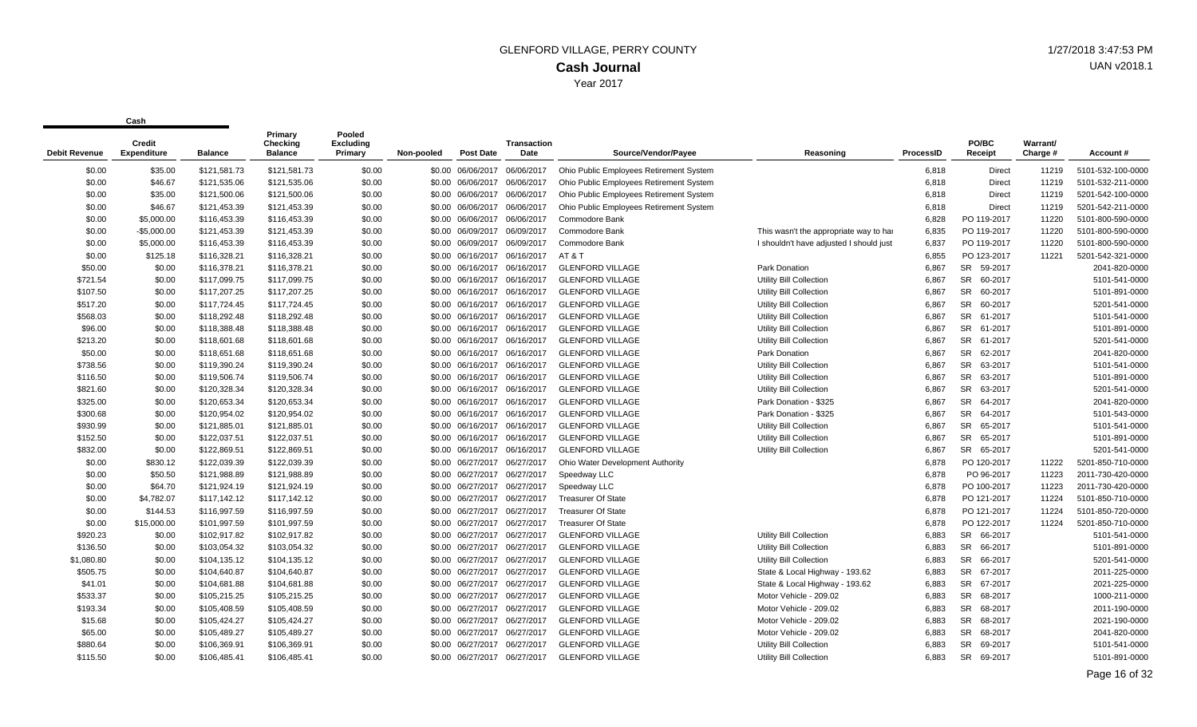| <b>Debit Revenue</b> | Credit<br><b>Expenditure</b> | <b>Balance</b> | Primary<br>Checking<br><b>Balance</b> | Pooled<br><b>Excluding</b><br>Primary | Non-pooled | <b>Post Date</b>             | Transaction<br>Date | Source/Vendor/Payee                     | Reasoning                               | ProcessID | PO/BC<br>Receipt     | Warrant/<br>Charge # | Account#          |
|----------------------|------------------------------|----------------|---------------------------------------|---------------------------------------|------------|------------------------------|---------------------|-----------------------------------------|-----------------------------------------|-----------|----------------------|----------------------|-------------------|
| \$0.00               | \$35.00                      | \$121,581.73   | \$121,581.73                          | \$0.00                                |            | \$0.00 06/06/2017            | 06/06/2017          | Ohio Public Employees Retirement System |                                         | 6,818     | Direct               | 11219                | 5101-532-100-0000 |
| \$0.00               | \$46.67                      | \$121,535.06   | \$121,535.06                          | \$0.00                                |            | \$0.00 06/06/2017            | 06/06/2017          | Ohio Public Employees Retirement System |                                         | 6,818     | Direct               | 11219                | 5101-532-211-0000 |
| \$0.00               | \$35.00                      | \$121,500.06   | \$121,500.06                          | \$0.00                                |            | \$0.00 06/06/2017            | 06/06/2017          | Ohio Public Employees Retirement System |                                         | 6,818     | Direct               | 11219                | 5201-542-100-0000 |
| \$0.00               | \$46.67                      | \$121,453.39   | \$121,453.39                          | \$0.00                                |            | \$0.00 06/06/2017            | 06/06/2017          | Ohio Public Employees Retirement System |                                         | 6,818     | Direct               | 11219                | 5201-542-211-0000 |
| \$0.00               | \$5,000.00                   | \$116,453.39   | \$116,453.39                          | \$0.00                                |            | \$0.00 06/06/2017            | 06/06/2017          | Commodore Bank                          |                                         | 6,828     | PO 119-2017          | 11220                | 5101-800-590-0000 |
| \$0.00               | $-$5,000.00$                 | \$121,453.39   | \$121,453.39                          | \$0.00                                |            | \$0.00 06/09/2017            | 06/09/2017          | Commodore Bank                          | This wasn't the appropriate way to har  | 6,835     | PO 119-2017          | 11220                | 5101-800-590-0000 |
| \$0.00               | \$5,000.00                   | \$116,453.39   | \$116,453.39                          | \$0.00                                |            | \$0.00 06/09/2017            | 06/09/2017          | Commodore Bank                          | I shouldn't have adjusted I should just | 6,837     | PO 119-2017          | 11220                | 5101-800-590-0000 |
| \$0.00               | \$125.18                     | \$116,328.21   | \$116,328.21                          | \$0.00                                |            | \$0.00 06/16/2017            | 06/16/2017          | AT&T                                    |                                         | 6,855     | PO 123-2017          | 11221                | 5201-542-321-0000 |
| \$50.00              | \$0.00                       | \$116,378.21   | \$116,378.21                          | \$0.00                                |            | \$0.00 06/16/2017            | 06/16/2017          | <b>GLENFORD VILLAGE</b>                 | Park Donation                           | 6,867     | SR 59-2017           |                      | 2041-820-0000     |
| \$721.54             | \$0.00                       | \$117,099.75   | \$117,099.75                          | \$0.00                                |            | \$0.00 06/16/2017            | 06/16/2017          | <b>GLENFORD VILLAGE</b>                 | <b>Utility Bill Collection</b>          | 6,867     | SR 60-2017           |                      | 5101-541-0000     |
| \$107.50             | \$0.00                       | \$117,207.25   | \$117,207.25                          | \$0.00                                |            | \$0.00 06/16/2017            | 06/16/2017          | <b>GLENFORD VILLAGE</b>                 | <b>Utility Bill Collection</b>          | 6,867     | SR 60-2017           |                      | 5101-891-0000     |
| \$517.20             | \$0.00                       | \$117,724.45   | \$117,724.45                          | \$0.00                                |            | \$0.00 06/16/2017            | 06/16/2017          | <b>GLENFORD VILLAGE</b>                 | Utility Bill Collection                 | 6,867     | SR 60-2017           |                      | 5201-541-0000     |
| \$568.03             | \$0.00                       | \$118,292.48   | \$118,292.48                          | \$0.00                                |            | \$0.00 06/16/2017            | 06/16/2017          | <b>GLENFORD VILLAGE</b>                 | Utility Bill Collection                 | 6,867     | SR 61-2017           |                      | 5101-541-0000     |
| \$96.00              | \$0.00                       | \$118,388.48   | \$118,388.48                          | \$0.00                                |            | \$0.00 06/16/2017            | 06/16/2017          | <b>GLENFORD VILLAGE</b>                 | <b>Utility Bill Collection</b>          | 6,867     | SR 61-2017           |                      | 5101-891-0000     |
| \$213.20             | \$0.00                       | \$118,601.68   | \$118,601.68                          | \$0.00                                |            | \$0.00 06/16/2017 06/16/2017 |                     | <b>GLENFORD VILLAGE</b>                 | <b>Utility Bill Collection</b>          | 6,867     | SR 61-2017           |                      | 5201-541-0000     |
| \$50.00              | \$0.00                       | \$118,651.68   | \$118,651.68                          | \$0.00                                |            | \$0.00 06/16/2017 06/16/2017 |                     | <b>GLENFORD VILLAGE</b>                 | Park Donation                           | 6,867     | SR 62-2017           |                      | 2041-820-0000     |
| \$738.56             | \$0.00                       | \$119,390.24   | \$119,390.24                          | \$0.00                                |            | \$0.00 06/16/2017            | 06/16/2017          | <b>GLENFORD VILLAGE</b>                 | <b>Utility Bill Collection</b>          | 6,867     | SR 63-2017           |                      | 5101-541-0000     |
| \$116.50             | \$0.00                       | \$119,506.74   | \$119,506.74                          | \$0.00                                |            | \$0.00 06/16/2017 06/16/2017 |                     | <b>GLENFORD VILLAGE</b>                 | <b>Utility Bill Collection</b>          | 6,867     | SR 63-2017           |                      | 5101-891-0000     |
| \$821.60             | \$0.00                       | \$120,328.34   | \$120,328.34                          | \$0.00                                |            | \$0.00 06/16/2017            | 06/16/2017          | <b>GLENFORD VILLAGE</b>                 | Utility Bill Collection                 | 6,867     | SR 63-2017           |                      | 5201-541-0000     |
| \$325.00             | \$0.00                       | \$120,653.34   | \$120,653.34                          | \$0.00                                |            | \$0.00 06/16/2017            | 06/16/2017          | <b>GLENFORD VILLAGE</b>                 | Park Donation - \$325                   | 6,867     | SR 64-2017           |                      | 2041-820-0000     |
| \$300.68             | \$0.00                       | \$120,954.02   | \$120,954.02                          | \$0.00                                |            | \$0.00 06/16/2017            | 06/16/2017          | <b>GLENFORD VILLAGE</b>                 | Park Donation - \$325                   | 6,867     | SR 64-2017           |                      | 5101-543-0000     |
| \$930.99             | \$0.00                       | \$121,885.01   | \$121,885.01                          | \$0.00                                |            | \$0.00 06/16/2017 06/16/2017 |                     | <b>GLENFORD VILLAGE</b>                 | Utility Bill Collection                 | 6,867     | SR 65-2017           |                      | 5101-541-0000     |
| \$152.50             | \$0.00                       | \$122,037.51   | \$122,037.51                          | \$0.00                                |            | \$0.00 06/16/2017            | 06/16/2017          | <b>GLENFORD VILLAGE</b>                 | Utility Bill Collection                 | 6,867     | SR 65-2017           |                      | 5101-891-0000     |
| \$832.00             | \$0.00                       | \$122,869.51   | \$122,869.51                          | \$0.00                                |            | \$0.00 06/16/2017            | 06/16/2017          | <b>GLENFORD VILLAGE</b>                 | <b>Utility Bill Collection</b>          | 6.867     | SR 65-2017           |                      | 5201-541-0000     |
| \$0.00               | \$830.12                     | \$122,039.39   | \$122,039.39                          | \$0.00                                |            | \$0.00 06/27/2017            | 06/27/2017          | Ohio Water Development Authority        |                                         | 6,878     | PO 120-2017          | 11222                | 5201-850-710-0000 |
| \$0.00               | \$50.50                      | \$121,988.89   | \$121,988.89                          | \$0.00                                |            | \$0.00 06/27/2017            | 06/27/2017          | Speedway LLC                            |                                         | 6,878     | PO 96-2017           | 11223                | 2011-730-420-0000 |
| \$0.00               | \$64.70                      | \$121,924.19   | \$121,924.19                          | \$0.00                                |            | \$0.00 06/27/2017            | 06/27/2017          | Speedway LLC                            |                                         | 6,878     | PO 100-2017          | 11223                | 2011-730-420-0000 |
| \$0.00               | \$4,782.07                   | \$117,142.12   | \$117,142.12                          | \$0.00                                |            | \$0.00 06/27/2017            | 06/27/2017          | <b>Treasurer Of State</b>               |                                         | 6,878     | PO 121-2017          | 11224                | 5101-850-710-0000 |
| \$0.00               | \$144.53                     | \$116,997.59   | \$116,997.59                          | \$0.00                                |            | \$0.00 06/27/2017 06/27/2017 |                     | <b>Treasurer Of State</b>               |                                         | 6,878     | PO 121-2017          | 11224                | 5101-850-720-0000 |
| \$0.00               | \$15,000.00                  | \$101,997.59   | \$101,997.59                          | \$0.00                                |            | \$0.00 06/27/2017            | 06/27/2017          | <b>Treasurer Of State</b>               |                                         | 6,878     | PO 122-2017          | 11224                | 5201-850-710-0000 |
| \$920.23             | \$0.00                       | \$102,917.82   | \$102,917.82                          | \$0.00                                |            | \$0.00 06/27/2017            | 06/27/2017          | <b>GLENFORD VILLAGE</b>                 | Utility Bill Collection                 | 6,883     | SR 66-2017           |                      | 5101-541-0000     |
| \$136.50             | \$0.00                       | \$103,054.32   | \$103,054.32                          | \$0.00                                |            | \$0.00 06/27/2017            | 06/27/2017          | <b>GLENFORD VILLAGE</b>                 | <b>Utility Bill Collection</b>          | 6,883     | SR 66-2017           |                      | 5101-891-0000     |
| \$1,080.80           | \$0.00                       | \$104,135.12   | \$104,135.12                          | \$0.00                                |            | \$0.00 06/27/2017            | 06/27/2017          | <b>GLENFORD VILLAGE</b>                 | Utility Bill Collection                 | 6,883     | SR 66-2017           |                      | 5201-541-0000     |
| \$505.75             | \$0.00                       | \$104,640.87   | \$104,640.87                          | \$0.00                                |            | \$0.00 06/27/2017            | 06/27/2017          | <b>GLENFORD VILLAGE</b>                 | State & Local Highway - 193.62          | 6,883     | <b>SR</b><br>67-2017 |                      | 2011-225-0000     |
| \$41.01              | \$0.00                       | \$104,681.88   | \$104,681.88                          | \$0.00                                |            | \$0.00 06/27/2017            | 06/27/2017          | <b>GLENFORD VILLAGE</b>                 | State & Local Highway - 193.62          | 6,883     | SR 67-2017           |                      | 2021-225-0000     |
| \$533.37             | \$0.00                       | \$105,215.25   | \$105,215.25                          | \$0.00                                |            | \$0.00 06/27/2017            | 06/27/2017          | <b>GLENFORD VILLAGE</b>                 | Motor Vehicle - 209.02                  | 6.883     | SR 68-2017           |                      | 1000-211-0000     |
| \$193.34             | \$0.00                       | \$105,408.59   | \$105,408.59                          | \$0.00                                |            | \$0.00 06/27/2017            | 06/27/2017          | <b>GLENFORD VILLAGE</b>                 | Motor Vehicle - 209.02                  | 6,883     | SR 68-2017           |                      | 2011-190-0000     |
| \$15.68              | \$0.00                       | \$105,424.27   | \$105,424.27                          | \$0.00                                |            | \$0.00 06/27/2017            | 06/27/2017          | <b>GLENFORD VILLAGE</b>                 | Motor Vehicle - 209.02                  | 6,883     | SR 68-2017           |                      | 2021-190-0000     |
| \$65.00              | \$0.00                       | \$105,489.27   | \$105,489.27                          | \$0.00                                |            | \$0.00 06/27/2017            | 06/27/2017          | <b>GLENFORD VILLAGE</b>                 | Motor Vehicle - 209.02                  | 6.883     | SR 68-2017           |                      | 2041-820-0000     |
| \$880.64             | \$0.00                       | \$106,369.91   | \$106,369.91                          | \$0.00                                |            | \$0.00 06/27/2017            | 06/27/2017          | <b>GLENFORD VILLAGE</b>                 | <b>Utility Bill Collection</b>          | 6.883     | SR 69-2017           |                      | 5101-541-0000     |
| \$115.50             | \$0.00                       | \$106.485.41   | \$106.485.41                          | \$0.00                                |            | \$0.00 06/27/2017            | 06/27/2017          | <b>GLENFORD VILLAGE</b>                 | Utility Bill Collection                 | 6.883     | <b>SR</b><br>69-2017 |                      | 5101-891-0000     |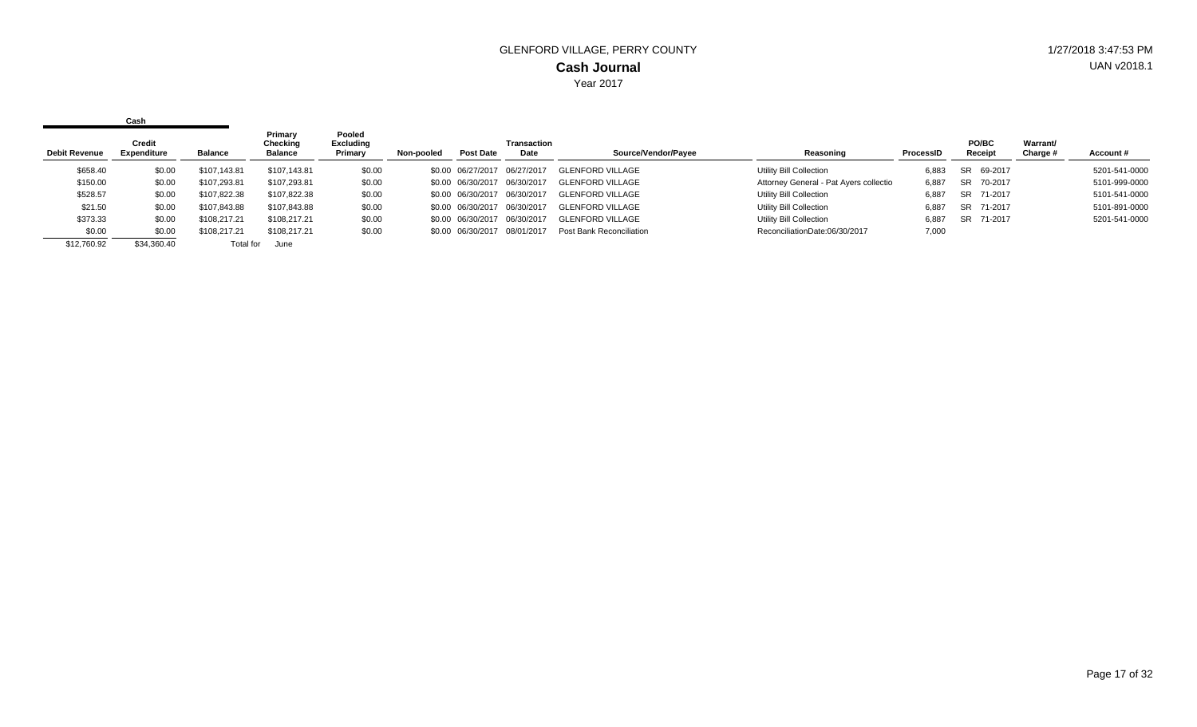|                      | Cash                  |                |                                       |                                       |            |                   |                            |                          |                                        |           |                  |                             |               |
|----------------------|-----------------------|----------------|---------------------------------------|---------------------------------------|------------|-------------------|----------------------------|--------------------------|----------------------------------------|-----------|------------------|-----------------------------|---------------|
| <b>Debit Revenue</b> | Credit<br>Expenditure | <b>Balance</b> | Primary<br>Checking<br><b>Balance</b> | Pooled<br><b>Excluding</b><br>Primary | Non-pooled | Post Date         | <b>Transaction</b><br>Date | Source/Vendor/Payee      | Reasoning                              | ProcessID | PO/BC<br>Receipt | <b>Warrant/</b><br>Charge # | Account#      |
| \$658.40             | \$0.00                | \$107.143.81   | \$107.143.81                          | \$0.00                                |            | \$0.00 06/27/2017 | 06/27/2017                 | <b>GLENFORD VILLAGE</b>  | Utility Bill Collection                | 6.883     | SR 69-2017       |                             | 5201-541-0000 |
| \$150.00             | \$0.00                | \$107.293.81   | \$107,293.81                          | \$0.00                                |            | \$0.00 06/30/2017 | 06/30/2017                 | <b>GLENFORD VILLAGE</b>  | Attorney General - Pat Ayers collectio | 6,887     | SR 70-2017       |                             | 5101-999-0000 |
| \$528.57             | \$0.00                | \$107,822.38   | \$107,822.38                          | \$0.00                                |            | \$0.00 06/30/2017 | 06/30/2017                 | <b>GLENFORD VILLAGE</b>  | Utility Bill Collection                | 6,887     | SR 71-2017       |                             | 5101-541-0000 |
| \$21.50              | \$0.00                | \$107.843.88   | \$107,843.88                          | \$0.00                                |            | \$0.00 06/30/2017 | 06/30/2017                 | <b>GLENFORD VILLAGE</b>  | Utility Bill Collection                | 6,887     | 71-2017<br>SR    |                             | 5101-891-0000 |
| \$373.33             | \$0.00                | \$108,217.21   | \$108.217.21                          | \$0.00                                |            | \$0.00 06/30/2017 | 06/30/2017                 | <b>GLENFORD VILLAGE</b>  | Utility Bill Collection                | 6.887     | SR 71-2017       |                             | 5201-541-0000 |
| \$0.00               | \$0.00                | \$108,217.21   | \$108,217.21                          | \$0.00                                |            | \$0.00 06/30/2017 | 08/01/2017                 | Post Bank Reconciliation | ReconciliationDate:06/30/2017          | 7,000     |                  |                             |               |
| \$12,760.92          | \$34,360,40           | Total for      | June                                  |                                       |            |                   |                            |                          |                                        |           |                  |                             |               |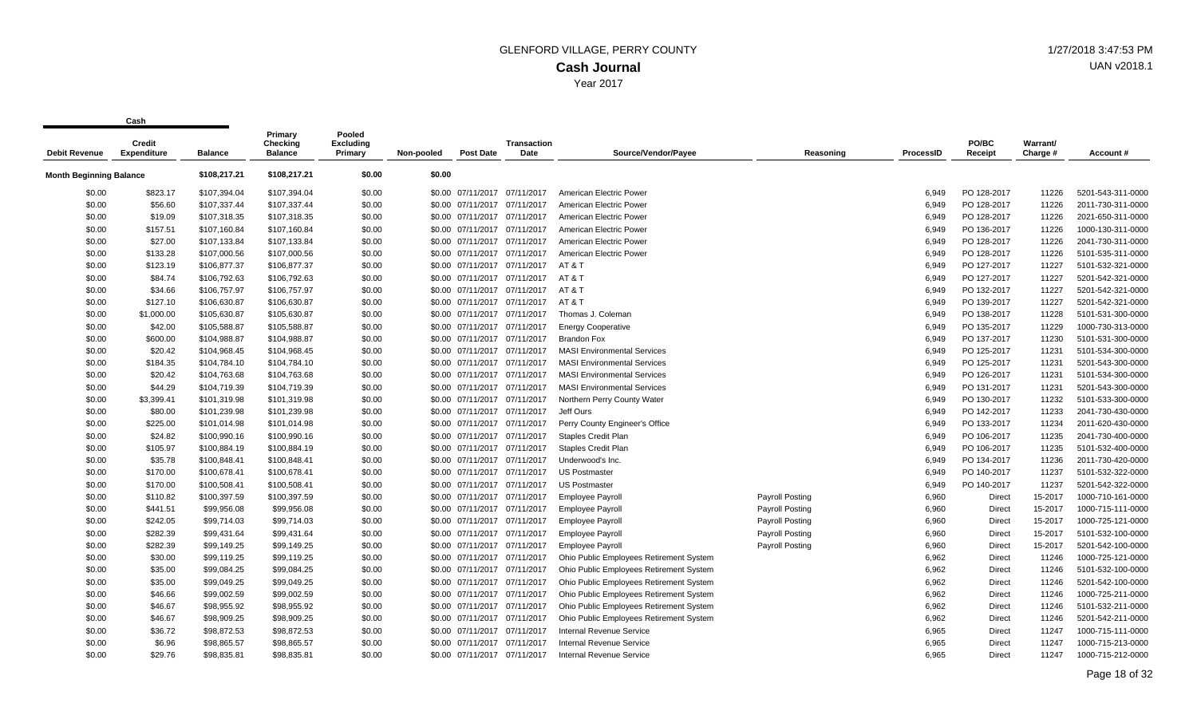| <b>Debit Revenue</b>           | Credit<br><b>Expenditure</b> | <b>Balance</b> | Primary<br>Checking<br><b>Balance</b> | Pooled<br><b>Excluding</b><br>Primary | Non-pooled | <b>Post Date</b>             | <b>Transaction</b><br>Date | Source/Vendor/Payee                     | Reasoning       | <b>ProcessID</b> | PO/BC<br>Receipt | Warrant/<br>Charge # | Account #         |
|--------------------------------|------------------------------|----------------|---------------------------------------|---------------------------------------|------------|------------------------------|----------------------------|-----------------------------------------|-----------------|------------------|------------------|----------------------|-------------------|
| <b>Month Beginning Balance</b> |                              | \$108,217.21   | \$108,217.21                          | \$0.00                                | \$0.00     |                              |                            |                                         |                 |                  |                  |                      |                   |
| \$0.00                         | \$823.17                     | \$107,394.04   | \$107,394.04                          | \$0.00                                |            | \$0.00 07/11/2017 07/11/2017 |                            | American Electric Power                 |                 | 6.949            | PO 128-2017      | 11226                | 5201-543-311-0000 |
| \$0.00                         | \$56.60                      | \$107,337.44   | \$107,337.44                          | \$0.00                                |            | \$0.00 07/11/2017            | 07/11/2017                 | American Electric Power                 |                 | 6,949            | PO 128-2017      | 11226                | 2011-730-311-0000 |
| \$0.00                         | \$19.09                      | \$107,318.35   | \$107,318.35                          | \$0.00                                |            | \$0.00 07/11/2017 07/11/2017 |                            | American Electric Power                 |                 | 6,949            | PO 128-2017      | 11226                | 2021-650-311-0000 |
| \$0.00                         | \$157.51                     | \$107,160.84   | \$107,160.84                          | \$0.00                                |            | \$0.00 07/11/2017 07/11/2017 |                            | American Electric Power                 |                 | 6,949            | PO 136-2017      | 11226                | 1000-130-311-0000 |
| \$0.00                         | \$27.00                      | \$107,133.84   | \$107,133.84                          | \$0.00                                |            | \$0.00 07/11/2017 07/11/2017 |                            | American Electric Power                 |                 | 6,949            | PO 128-2017      | 11226                | 2041-730-311-0000 |
| \$0.00                         | \$133.28                     | \$107,000.56   | \$107,000.56                          | \$0.00                                |            | \$0.00 07/11/2017            | 07/11/2017                 | American Electric Power                 |                 | 6,949            | PO 128-2017      | 11226                | 5101-535-311-0000 |
| \$0.00                         | \$123.19                     | \$106,877.37   | \$106,877.37                          | \$0.00                                |            | \$0.00 07/11/2017 07/11/2017 |                            | AT&T                                    |                 | 6.949            | PO 127-2017      | 11227                | 5101-532-321-0000 |
| \$0.00                         | \$84.74                      | \$106,792.63   | \$106,792.63                          | \$0.00                                |            | \$0.00 07/11/2017 07/11/2017 |                            | AT&T                                    |                 | 6,949            | PO 127-2017      | 11227                | 5201-542-321-0000 |
| \$0.00                         | \$34.66                      | \$106,757.97   | \$106,757.97                          | \$0.00                                |            | \$0.00 07/11/2017            | 07/11/2017                 | AT & T                                  |                 | 6,949            | PO 132-2017      | 11227                | 5201-542-321-0000 |
| \$0.00                         | \$127.10                     | \$106,630.87   | \$106,630.87                          | \$0.00                                |            | \$0.00 07/11/2017 07/11/2017 |                            | AT & T                                  |                 | 6,949            | PO 139-2017      | 11227                | 5201-542-321-0000 |
| \$0.00                         | \$1,000.00                   | \$105,630.87   | \$105,630.87                          | \$0.00                                |            | \$0.00 07/11/2017 07/11/2017 |                            | Thomas J. Coleman                       |                 | 6,949            | PO 138-2017      | 11228                | 5101-531-300-0000 |
| \$0.00                         | \$42.00                      | \$105,588.87   | \$105,588.87                          | \$0.00                                |            | \$0.00 07/11/2017            | 07/11/2017                 | <b>Energy Cooperative</b>               |                 | 6,949            | PO 135-2017      | 11229                | 1000-730-313-0000 |
| \$0.00                         | \$600.00                     | \$104,988.87   | \$104,988.87                          | \$0.00                                |            | \$0.00 07/11/2017 07/11/2017 |                            | <b>Brandon Fox</b>                      |                 | 6,949            | PO 137-2017      | 11230                | 5101-531-300-0000 |
| \$0.00                         | \$20.42                      | \$104,968.45   | \$104,968.45                          | \$0.00                                |            | \$0.00 07/11/2017 07/11/2017 |                            | <b>MASI Environmental Services</b>      |                 | 6.949            | PO 125-2017      | 11231                | 5101-534-300-0000 |
| \$0.00                         | \$184.35                     | \$104,784.10   | \$104,784.10                          | \$0.00                                |            | \$0.00 07/11/2017 07/11/2017 |                            | <b>MASI Environmental Services</b>      |                 | 6,949            | PO 125-2017      | 11231                | 5201-543-300-0000 |
| \$0.00                         | \$20.42                      | \$104,763.68   | \$104,763.68                          | \$0.00                                |            | \$0.00 07/11/2017 07/11/2017 |                            | <b>MASI Environmental Services</b>      |                 | 6,949            | PO 126-2017      | 11231                | 5101-534-300-0000 |
| \$0.00                         | \$44.29                      | \$104,719.39   | \$104,719.39                          | \$0.00                                |            | \$0.00 07/11/2017 07/11/2017 |                            | <b>MASI Environmental Services</b>      |                 | 6,949            | PO 131-2017      | 11231                | 5201-543-300-0000 |
| \$0.00                         | \$3,399.41                   | \$101,319.98   | \$101,319.98                          | \$0.00                                |            | \$0.00 07/11/2017 07/11/2017 |                            | Northern Perry County Water             |                 | 6,949            | PO 130-2017      | 11232                | 5101-533-300-0000 |
| \$0.00                         | \$80.00                      | \$101,239.98   | \$101,239.98                          | \$0.00                                |            | \$0.00 07/11/2017            | 07/11/2017                 | Jeff Ours                               |                 | 6,949            | PO 142-2017      | 11233                | 2041-730-430-0000 |
| \$0.00                         | \$225.00                     | \$101,014.98   | \$101,014.98                          | \$0.00                                |            | \$0.00 07/11/2017 07/11/2017 |                            | Perry County Engineer's Office          |                 | 6.949            | PO 133-2017      | 11234                | 2011-620-430-0000 |
| \$0.00                         | \$24.82                      | \$100,990.16   | \$100,990.16                          | \$0.00                                |            | \$0.00 07/11/2017 07/11/2017 |                            | <b>Staples Credit Plan</b>              |                 | 6,949            | PO 106-2017      | 11235                | 2041-730-400-0000 |
| \$0.00                         | \$105.97                     | \$100,884.19   | \$100,884.19                          | \$0.00                                |            | \$0.00 07/11/2017 07/11/2017 |                            | <b>Staples Credit Plan</b>              |                 | 6,949            | PO 106-2017      | 11235                | 5101-532-400-0000 |
| \$0.00                         | \$35.78                      | \$100,848.41   | \$100,848.41                          | \$0.00                                |            | \$0.00 07/11/2017 07/11/2017 |                            | Underwood's Inc.                        |                 | 6,949            | PO 134-2017      | 11236                | 2011-730-420-0000 |
| \$0.00                         | \$170.00                     | \$100,678.41   | \$100,678.41                          | \$0.00                                |            | \$0.00 07/11/2017 07/11/2017 |                            | <b>US Postmaster</b>                    |                 | 6,949            | PO 140-2017      | 11237                | 5101-532-322-0000 |
| \$0.00                         | \$170.00                     | \$100,508.41   | \$100,508.41                          | \$0.00                                |            | \$0.00 07/11/2017            | 07/11/2017                 | <b>US Postmaster</b>                    |                 | 6,949            | PO 140-2017      | 11237                | 5201-542-322-0000 |
| \$0.00                         | \$110.82                     | \$100,397.59   | \$100,397.59                          | \$0.00                                |            | \$0.00 07/11/2017            | 07/11/2017                 | <b>Employee Payroll</b>                 | Payroll Posting | 6,960            | Direct           | 15-2017              | 1000-710-161-0000 |
| \$0.00                         | \$441.51                     | \$99,956.08    | \$99,956.08                           | \$0.00                                |            | \$0.00 07/11/2017 07/11/2017 |                            | <b>Employee Payroll</b>                 | Payroll Posting | 6,960            | Direct           | 15-2017              | 1000-715-111-0000 |
| \$0.00                         | \$242.05                     | \$99,714.03    | \$99,714.03                           | \$0.00                                |            | \$0.00 07/11/2017 07/11/2017 |                            | <b>Employee Payroll</b>                 | Payroll Posting | 6,960            | Direct           | 15-2017              | 1000-725-121-0000 |
| \$0.00                         | \$282.39                     | \$99,431.64    | \$99,431.64                           | \$0.00                                |            | \$0.00 07/11/2017            | 07/11/2017                 | <b>Employee Payroll</b>                 | Payroll Posting | 6,960            | Direct           | 15-2017              | 5101-532-100-0000 |
| \$0.00                         | \$282.39                     | \$99,149.25    | \$99,149.25                           | \$0.00                                |            | \$0.00 07/11/2017 07/11/2017 |                            | <b>Employee Payroll</b>                 | Payroll Posting | 6,960            | Direct           | 15-2017              | 5201-542-100-0000 |
| \$0.00                         | \$30.00                      | \$99,119.25    | \$99,119.25                           | \$0.00                                |            | \$0.00 07/11/2017 07/11/2017 |                            | Ohio Public Employees Retirement System |                 | 6,962            | Direct           | 11246                | 1000-725-121-0000 |
| \$0.00                         | \$35.00                      | \$99,084.25    | \$99,084.25                           | \$0.00                                |            | \$0.00 07/11/2017 07/11/2017 |                            | Ohio Public Employees Retirement System |                 | 6,962            | Direct           | 11246                | 5101-532-100-0000 |
| \$0.00                         | \$35.00                      | \$99,049.25    | \$99,049.25                           | \$0.00                                |            | \$0.00 07/11/2017 07/11/2017 |                            | Ohio Public Employees Retirement System |                 | 6,962            | Direct           | 11246                | 5201-542-100-0000 |
| \$0.00                         | \$46.66                      | \$99,002.59    | \$99,002.59                           | \$0.00                                |            | \$0.00 07/11/2017 07/11/2017 |                            | Ohio Public Employees Retirement System |                 | 6,962            | Direct           | 11246                | 1000-725-211-0000 |
| \$0.00                         | \$46.67                      | \$98,955.92    | \$98,955.92                           | \$0.00                                |            | \$0.00 07/11/2017            | 07/11/2017                 | Ohio Public Employees Retirement System |                 | 6,962            | Direct           | 11246                | 5101-532-211-0000 |
| \$0.00                         | \$46.67                      | \$98,909.25    | \$98,909.25                           | \$0.00                                |            | \$0.00 07/11/2017 07/11/2017 |                            | Ohio Public Employees Retirement System |                 | 6,962            | Direct           | 11246                | 5201-542-211-0000 |
| \$0.00                         | \$36.72                      | \$98,872.53    | \$98,872.53                           | \$0.00                                |            | \$0.00 07/11/2017 07/11/2017 |                            | <b>Internal Revenue Service</b>         |                 | 6,965            | Direct           | 11247                | 1000-715-111-0000 |
| \$0.00                         | \$6.96                       | \$98,865.57    | \$98,865.57                           | \$0.00                                |            | \$0.00 07/11/2017            | 07/11/2017                 | Internal Revenue Service                |                 | 6,965            | Direct           | 11247                | 1000-715-213-0000 |
| \$0.00                         | \$29.76                      | \$98,835.81    | \$98,835.81                           | \$0.00                                |            | \$0.00 07/11/2017 07/11/2017 |                            | <b>Internal Revenue Service</b>         |                 | 6.965            | Direct           | 11247                | 1000-715-212-0000 |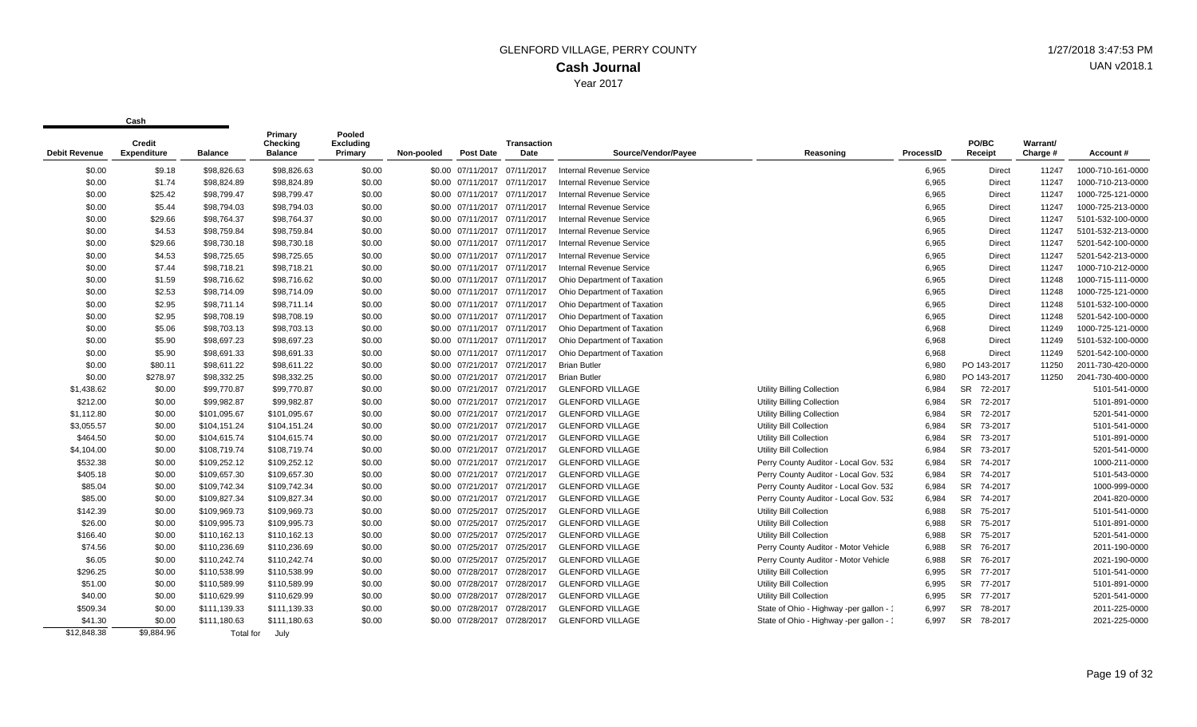|                      | Credit             |                | Primary<br>Checking | Pooled<br><b>Excluding</b> |            |                              | <b>Transaction</b> |                                 |                                         |           | PO/BC         | Warrant/ |                   |
|----------------------|--------------------|----------------|---------------------|----------------------------|------------|------------------------------|--------------------|---------------------------------|-----------------------------------------|-----------|---------------|----------|-------------------|
| <b>Debit Revenue</b> | <b>Expenditure</b> | <b>Balance</b> | <b>Balance</b>      | Primary                    | Non-pooled | <b>Post Date</b>             | Date               | Source/Vendor/Pavee             | Reasoning                               | ProcessID | Receipt       | Charge # | Account#          |
| \$0.00               | \$9.18             | \$98,826.63    | \$98,826.63         | \$0.00                     |            | \$0.00 07/11/2017 07/11/2017 |                    | Internal Revenue Service        |                                         | 6,965     | <b>Direct</b> | 11247    | 1000-710-161-0000 |
| \$0.00               | \$1.74             | \$98,824.89    | \$98,824.89         | \$0.00                     |            | \$0.00 07/11/2017 07/11/2017 |                    | <b>Internal Revenue Service</b> |                                         | 6,965     | <b>Direct</b> | 11247    | 1000-710-213-0000 |
| \$0.00               | \$25.42            | \$98,799.47    | \$98,799.47         | \$0.00                     |            | \$0.00 07/11/2017 07/11/2017 |                    | <b>Internal Revenue Service</b> |                                         | 6,965     | <b>Direct</b> | 11247    | 1000-725-121-0000 |
| \$0.00               | \$5.44             | \$98,794.03    | \$98,794.03         | \$0.00                     |            | \$0.00 07/11/2017 07/11/2017 |                    | <b>Internal Revenue Service</b> |                                         | 6,965     | <b>Direct</b> | 11247    | 1000-725-213-0000 |
| \$0.00               | \$29.66            | \$98,764.37    | \$98,764.37         | \$0.00                     |            | \$0.00 07/11/2017 07/11/2017 |                    | <b>Internal Revenue Service</b> |                                         | 6,965     | <b>Direct</b> | 11247    | 5101-532-100-0000 |
| \$0.00               | \$4.53             | \$98,759.84    | \$98,759.84         | \$0.00                     |            | \$0.00 07/11/2017 07/11/2017 |                    | <b>Internal Revenue Service</b> |                                         | 6,965     | <b>Direct</b> | 11247    | 5101-532-213-0000 |
| \$0.00               | \$29.66            | \$98,730.18    | \$98,730.18         | \$0.00                     |            | \$0.00 07/11/2017 07/11/2017 |                    | <b>Internal Revenue Service</b> |                                         | 6,965     | <b>Direct</b> | 11247    | 5201-542-100-0000 |
| \$0.00               | \$4.53             | \$98,725.65    | \$98,725.65         | \$0.00                     |            | \$0.00 07/11/2017 07/11/2017 |                    | <b>Internal Revenue Service</b> |                                         | 6,965     | <b>Direct</b> | 11247    | 5201-542-213-0000 |
| \$0.00               | \$7.44             | \$98,718.21    | \$98,718.21         | \$0.00                     |            | \$0.00 07/11/2017 07/11/2017 |                    | <b>Internal Revenue Service</b> |                                         | 6,965     | <b>Direct</b> | 11247    | 1000-710-212-0000 |
| \$0.00               | \$1.59             | \$98,716.62    | \$98,716.62         | \$0.00                     |            | \$0.00 07/11/2017 07/11/2017 |                    | Ohio Department of Taxation     |                                         | 6,965     | <b>Direct</b> | 11248    | 1000-715-111-0000 |
| \$0.00               | \$2.53             | \$98,714.09    | \$98,714.09         | \$0.00                     |            | \$0.00 07/11/2017 07/11/2017 |                    | Ohio Department of Taxation     |                                         | 6,965     | <b>Direct</b> | 11248    | 1000-725-121-0000 |
| \$0.00               | \$2.95             | \$98,711.14    | \$98,711.14         | \$0.00                     |            | \$0.00 07/11/2017 07/11/2017 |                    | Ohio Department of Taxation     |                                         | 6,965     | <b>Direct</b> | 11248    | 5101-532-100-0000 |
| \$0.00               | \$2.95             | \$98,708.19    | \$98,708.19         | \$0.00                     |            | \$0.00 07/11/2017 07/11/2017 |                    | Ohio Department of Taxation     |                                         | 6,965     | Direct        | 11248    | 5201-542-100-0000 |
| \$0.00               | \$5.06             | \$98,703.13    | \$98,703.13         | \$0.00                     |            | \$0.00 07/11/2017 07/11/2017 |                    | Ohio Department of Taxation     |                                         | 6,968     | <b>Direct</b> | 11249    | 1000-725-121-0000 |
| \$0.00               | \$5.90             | \$98,697.23    | \$98,697.23         | \$0.00                     |            | \$0.00 07/11/2017 07/11/2017 |                    | Ohio Department of Taxation     |                                         | 6,968     | <b>Direct</b> | 11249    | 5101-532-100-0000 |
| \$0.00               | \$5.90             | \$98,691.33    | \$98,691.33         | \$0.00                     |            | \$0.00 07/11/2017 07/11/2017 |                    | Ohio Department of Taxation     |                                         | 6,968     | <b>Direct</b> | 11249    | 5201-542-100-0000 |
| \$0.00               | \$80.11            | \$98,611.22    | \$98,611.22         | \$0.00                     |            | \$0.00 07/21/2017 07/21/2017 |                    | <b>Brian Butler</b>             |                                         | 6,980     | PO 143-2017   | 11250    | 2011-730-420-0000 |
| \$0.00               | \$278.97           | \$98,332.25    | \$98,332.25         | \$0.00                     |            | \$0.00 07/21/2017 07/21/2017 |                    | <b>Brian Butler</b>             |                                         | 6,980     | PO 143-2017   | 11250    | 2041-730-400-0000 |
| \$1,438.62           | \$0.00             | \$99,770.87    | \$99,770.87         | \$0.00                     |            | \$0.00 07/21/2017 07/21/2017 |                    | <b>GLENFORD VILLAGE</b>         | <b>Utility Billing Collection</b>       | 6,984     | SR 72-2017    |          | 5101-541-0000     |
| \$212.00             | \$0.00             | \$99,982.87    | \$99,982.87         | \$0.00                     |            | \$0.00 07/21/2017 07/21/2017 |                    | <b>GLENFORD VILLAGE</b>         | Utility Billing Collection              | 6,984     | SR 72-2017    |          | 5101-891-0000     |
| \$1,112.80           | \$0.00             | \$101,095.67   | \$101,095.67        | \$0.00                     |            | \$0.00 07/21/2017 07/21/2017 |                    | <b>GLENFORD VILLAGE</b>         | <b>Utility Billing Collection</b>       | 6,984     | SR 72-2017    |          | 5201-541-0000     |
| \$3,055.57           | \$0.00             | \$104,151.24   | \$104,151.24        | \$0.00                     |            | \$0.00 07/21/2017 07/21/2017 |                    | <b>GLENFORD VILLAGE</b>         | Utility Bill Collection                 | 6,984     | SR 73-2017    |          | 5101-541-0000     |
| \$464.50             | \$0.00             | \$104,615.74   | \$104,615.74        | \$0.00                     |            | \$0.00 07/21/2017 07/21/2017 |                    | <b>GLENFORD VILLAGE</b>         | Utility Bill Collection                 | 6,984     | SR 73-2017    |          | 5101-891-0000     |
| \$4,104.00           | \$0.00             | \$108,719.74   | \$108,719.74        | \$0.00                     |            | \$0.00 07/21/2017 07/21/2017 |                    | <b>GLENFORD VILLAGE</b>         | Utility Bill Collection                 | 6,984     | SR 73-2017    |          | 5201-541-0000     |
| \$532.38             | \$0.00             | \$109,252.12   | \$109,252.12        | \$0.00                     |            | \$0.00 07/21/2017 07/21/2017 |                    | <b>GLENFORD VILLAGE</b>         | Perry County Auditor - Local Gov. 532   | 6,984     | SR 74-2017    |          | 1000-211-0000     |
| \$405.18             | \$0.00             | \$109,657.30   | \$109,657.30        | \$0.00                     |            | \$0.00 07/21/2017 07/21/2017 |                    | <b>GLENFORD VILLAGE</b>         | Perry County Auditor - Local Gov. 532   | 6,984     | SR 74-2017    |          | 5101-543-0000     |
| \$85.04              | \$0.00             | \$109.742.34   | \$109,742.34        | \$0.00                     |            | \$0.00 07/21/2017 07/21/2017 |                    | <b>GLENFORD VILLAGE</b>         | Perry County Auditor - Local Gov. 532   | 6,984     | SR 74-2017    |          | 1000-999-0000     |
| \$85.00              | \$0.00             | \$109,827.34   | \$109,827.34        | \$0.00                     |            | \$0.00 07/21/2017 07/21/2017 |                    | <b>GLENFORD VILLAGE</b>         | Perry County Auditor - Local Gov. 532   | 6,984     | SR 74-2017    |          | 2041-820-0000     |
| \$142.39             | \$0.00             | \$109,969.73   | \$109,969.73        | \$0.00                     |            | \$0.00 07/25/2017 07/25/2017 |                    | <b>GLENFORD VILLAGE</b>         | Utility Bill Collection                 | 6,988     | SR 75-2017    |          | 5101-541-0000     |
| \$26.00              | \$0.00             | \$109,995.73   | \$109,995.73        | \$0.00                     |            | \$0.00 07/25/2017 07/25/2017 |                    | <b>GLENFORD VILLAGE</b>         | Utility Bill Collection                 | 6,988     | SR 75-2017    |          | 5101-891-0000     |
| \$166.40             | \$0.00             | \$110,162.13   | \$110,162.13        | \$0.00                     |            | \$0.00 07/25/2017 07/25/2017 |                    | <b>GLENFORD VILLAGE</b>         | Utility Bill Collection                 | 6,988     | SR 75-2017    |          | 5201-541-0000     |
| \$74.56              | \$0.00             | \$110,236.69   | \$110,236.69        | \$0.00                     |            | \$0.00 07/25/2017 07/25/2017 |                    | <b>GLENFORD VILLAGE</b>         | Perry County Auditor - Motor Vehicle    | 6,988     | SR 76-2017    |          | 2011-190-0000     |
| \$6.05               | \$0.00             | \$110,242.74   | \$110,242.74        | \$0.00                     |            | \$0.00 07/25/2017 07/25/2017 |                    | <b>GLENFORD VILLAGE</b>         | Perry County Auditor - Motor Vehicle    | 6,988     | SR 76-2017    |          | 2021-190-0000     |
| \$296.25             | \$0.00             | \$110,538.99   | \$110,538.99        | \$0.00                     |            | \$0.00 07/28/2017 07/28/2017 |                    | <b>GLENFORD VILLAGE</b>         | Utility Bill Collection                 | 6,995     | SR 77-2017    |          | 5101-541-0000     |
| \$51.00              | \$0.00             | \$110,589.99   | \$110,589.99        | \$0.00                     |            | \$0.00 07/28/2017 07/28/2017 |                    | <b>GLENFORD VILLAGE</b>         | Utility Bill Collection                 | 6,995     | SR 77-2017    |          | 5101-891-0000     |
| \$40.00              | \$0.00             | \$110,629.99   | \$110,629.99        | \$0.00                     |            | \$0.00 07/28/2017 07/28/2017 |                    | <b>GLENFORD VILLAGE</b>         | Utility Bill Collection                 | 6,995     | SR 77-2017    |          | 5201-541-0000     |
| \$509.34             | \$0.00             | \$111,139.33   | \$111,139.33        | \$0.00                     |            | \$0.00 07/28/2017 07/28/2017 |                    | <b>GLENFORD VILLAGE</b>         | State of Ohio - Highway -per gallon - 1 | 6,997     | SR 78-2017    |          | 2011-225-0000     |
| \$41.30              | \$0.00             | \$111,180.63   | \$111,180.63        | \$0.00                     |            | \$0.00 07/28/2017 07/28/2017 |                    | <b>GLENFORD VILLAGE</b>         | State of Ohio - Highway -per gallon - 1 | 6,997     | SR 78-2017    |          | 2021-225-0000     |
| \$12,848.38          | \$9,884.96         | Total for      | July                |                            |            |                              |                    |                                 |                                         |           |               |          |                   |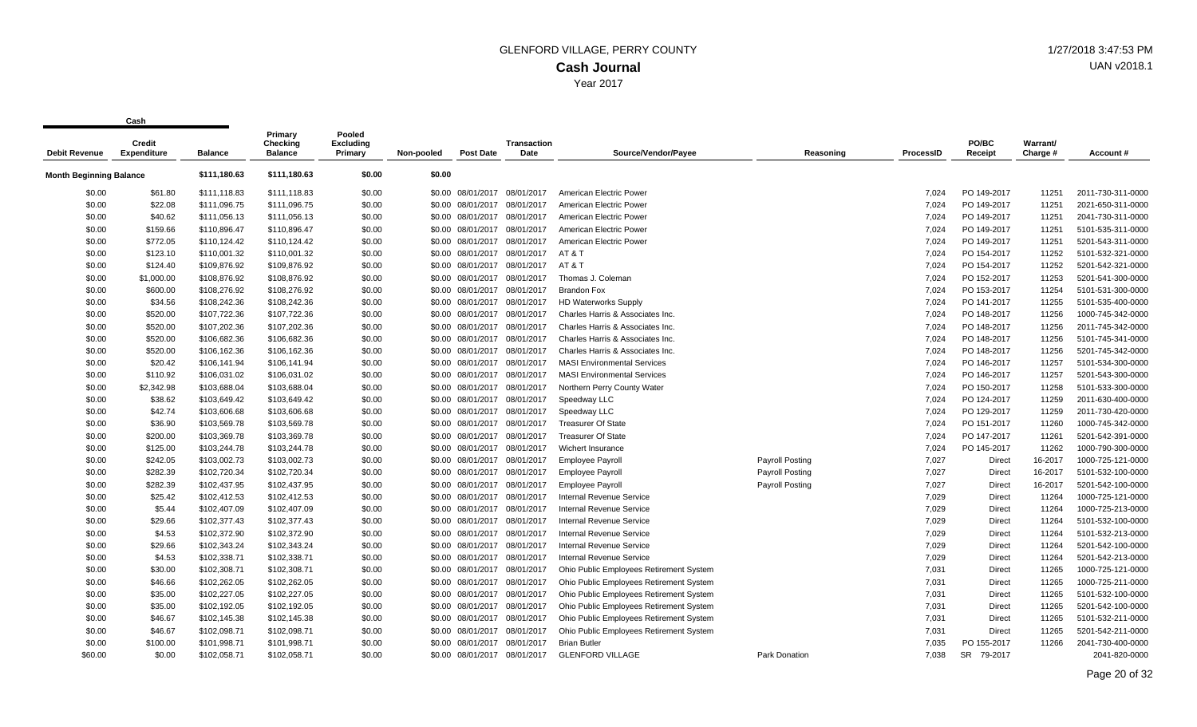| <b>Debit Revenue</b>           | Credit<br><b>Expenditure</b> | <b>Balance</b> | Primary<br>Checking<br><b>Balance</b> | Pooled<br>Excluding<br>Primary | Non-pooled | <b>Post Date</b>             | <b>Transaction</b><br>Date | Source/Vendor/Payee                     | Reasoning       | <b>ProcessID</b> | PO/BC<br>Receipt | Warrant/<br>Charge # | Account#          |
|--------------------------------|------------------------------|----------------|---------------------------------------|--------------------------------|------------|------------------------------|----------------------------|-----------------------------------------|-----------------|------------------|------------------|----------------------|-------------------|
| <b>Month Beginning Balance</b> |                              | \$111,180.63   | \$111,180.63                          | \$0.00                         | \$0.00     |                              |                            |                                         |                 |                  |                  |                      |                   |
| \$0.00                         | \$61.80                      | \$111,118.83   | \$111,118.83                          | \$0.00                         |            | \$0.00 08/01/2017            | 08/01/2017                 | American Electric Power                 |                 | 7.024            | PO 149-2017      | 11251                | 2011-730-311-0000 |
| \$0.00                         | \$22.08                      | \$111,096.75   | \$111,096.75                          | \$0.00                         | \$0.00     | 08/01/2017                   | 08/01/2017                 | American Electric Power                 |                 | 7.024            | PO 149-2017      | 11251                | 2021-650-311-0000 |
| \$0.00                         | \$40.62                      | \$111,056.13   | \$111,056.13                          | \$0.00                         |            | \$0.00 08/01/2017 08/01/2017 |                            | American Electric Power                 |                 | 7,024            | PO 149-2017      | 11251                | 2041-730-311-0000 |
| \$0.00                         | \$159.66                     | \$110,896.47   | \$110,896.47                          | \$0.00                         |            | \$0.00 08/01/2017            | 08/01/2017                 | American Electric Power                 |                 | 7,024            | PO 149-2017      | 11251                | 5101-535-311-0000 |
| \$0.00                         | \$772.05                     | \$110,124.42   | \$110,124.42                          | \$0.00                         |            | \$0.00 08/01/2017            | 08/01/2017                 | American Electric Power                 |                 | 7,024            | PO 149-2017      | 11251                | 5201-543-311-0000 |
| \$0.00                         | \$123.10                     | \$110,001.32   | \$110,001.32                          | \$0.00                         |            | \$0.00 08/01/2017 08/01/2017 |                            | AT&T                                    |                 | 7,024            | PO 154-2017      | 11252                | 5101-532-321-0000 |
| \$0.00                         | \$124.40                     | \$109,876.92   | \$109,876.92                          | \$0.00                         |            | \$0.00 08/01/2017 08/01/2017 |                            | AT & T                                  |                 | 7,024            | PO 154-2017      | 11252                | 5201-542-321-0000 |
| \$0.00                         | \$1,000.00                   | \$108,876.92   | \$108,876.92                          | \$0.00                         |            | \$0.00 08/01/2017            | 08/01/2017                 | Thomas J. Coleman                       |                 | 7,024            | PO 152-2017      | 11253                | 5201-541-300-0000 |
| \$0.00                         | \$600.00                     | \$108,276.92   | \$108,276.92                          | \$0.00                         |            | \$0.00 08/01/2017            | 08/01/2017                 | <b>Brandon Fox</b>                      |                 | 7,024            | PO 153-2017      | 11254                | 5101-531-300-0000 |
| \$0.00                         | \$34.56                      | \$108,242.36   | \$108,242.36                          | \$0.00                         |            | \$0.00 08/01/2017            | 08/01/2017                 | <b>HD Waterworks Supply</b>             |                 | 7.024            | PO 141-2017      | 11255                | 5101-535-400-0000 |
| \$0.00                         | \$520.00                     | \$107,722.36   | \$107,722.36                          | \$0.00                         |            | \$0.00 08/01/2017            | 08/01/2017                 | Charles Harris & Associates Inc.        |                 | 7,024            | PO 148-2017      | 11256                | 1000-745-342-0000 |
| \$0.00                         | \$520.00                     | \$107,202.36   | \$107,202.36                          | \$0.00                         |            | \$0.00 08/01/2017            | 08/01/2017                 | Charles Harris & Associates Inc.        |                 | 7,024            | PO 148-2017      | 11256                | 2011-745-342-0000 |
| \$0.00                         | \$520.00                     | \$106,682.36   | \$106,682.36                          | \$0.00                         |            | \$0.00 08/01/2017 08/01/2017 |                            | Charles Harris & Associates Inc.        |                 | 7,024            | PO 148-2017      | 11256                | 5101-745-341-0000 |
| \$0.00                         | \$520.00                     | \$106,162.36   | \$106,162.36                          | \$0.00                         |            | \$0.00 08/01/2017            | 08/01/2017                 | Charles Harris & Associates Inc.        |                 | 7,024            | PO 148-2017      | 11256                | 5201-745-342-0000 |
| \$0.00                         | \$20.42                      | \$106,141.94   | \$106,141.94                          | \$0.00                         |            | \$0.00 08/01/2017            | 08/01/2017                 | <b>MASI Environmental Services</b>      |                 | 7.024            | PO 146-2017      | 11257                | 5101-534-300-0000 |
| \$0.00                         | \$110.92                     | \$106,031.02   | \$106,031.02                          | \$0.00                         |            | \$0.00 08/01/2017 08/01/2017 |                            | <b>MASI Environmental Services</b>      |                 | 7.024            | PO 146-2017      | 11257                | 5201-543-300-0000 |
| \$0.00                         | \$2,342.98                   | \$103,688.04   | \$103,688.04                          | \$0.00                         |            | \$0.00 08/01/2017 08/01/2017 |                            | Northern Perry County Water             |                 | 7,024            | PO 150-2017      | 11258                | 5101-533-300-0000 |
| \$0.00                         | \$38.62                      | \$103,649.42   | \$103,649.42                          | \$0.00                         |            | \$0.00 08/01/2017            | 08/01/2017                 | Speedway LLC                            |                 | 7,024            | PO 124-2017      | 11259                | 2011-630-400-0000 |
| \$0.00                         | \$42.74                      | \$103,606.68   | \$103,606.68                          | \$0.00                         |            | \$0.00 08/01/2017            | 08/01/2017                 | Speedway LLC                            |                 | 7,024            | PO 129-2017      | 11259                | 2011-730-420-0000 |
| \$0.00                         | \$36.90                      | \$103,569.78   | \$103,569.78                          | \$0.00                         |            | \$0.00 08/01/2017 08/01/2017 |                            | <b>Treasurer Of State</b>               |                 | 7,024            | PO 151-2017      | 11260                | 1000-745-342-0000 |
| \$0.00                         | \$200.00                     | \$103,369.78   | \$103,369.78                          | \$0.00                         |            | \$0.00 08/01/2017            | 08/01/2017                 | <b>Treasurer Of State</b>               |                 | 7,024            | PO 147-2017      | 11261                | 5201-542-391-0000 |
| \$0.00                         | \$125.00                     | \$103,244.78   | \$103,244.78                          | \$0.00                         |            | \$0.00 08/01/2017            | 08/01/2017                 | Wichert Insurance                       |                 | 7,024            | PO 145-2017      | 11262                | 1000-790-300-0000 |
| \$0.00                         | \$242.05                     | \$103,002.73   | \$103,002.73                          | \$0.00                         |            | \$0.00 08/01/2017            | 08/01/2017                 | <b>Employee Payroll</b>                 | Payroll Posting | 7,027            | Direct           | 16-2017              | 1000-725-121-0000 |
| \$0.00                         | \$282.39                     | \$102,720.34   | \$102,720.34                          | \$0.00                         |            | \$0.00 08/01/2017            | 08/01/2017                 | <b>Employee Payroll</b>                 | Payroll Posting | 7,027            | Direct           | 16-2017              | 5101-532-100-0000 |
| \$0.00                         | \$282.39                     | \$102,437.95   | \$102,437.95                          | \$0.00                         |            | \$0.00 08/01/2017            | 08/01/2017                 | <b>Employee Payroll</b>                 | Payroll Posting | 7,027            | Direct           | 16-2017              | 5201-542-100-0000 |
| \$0.00                         | \$25.42                      | \$102,412.53   | \$102,412.53                          | \$0.00                         |            | \$0.00 08/01/2017 08/01/2017 |                            | Internal Revenue Service                |                 | 7,029            | Direct           | 11264                | 1000-725-121-0000 |
| \$0.00                         | \$5.44                       | \$102,407.09   | \$102,407.09                          | \$0.00                         |            | \$0.00 08/01/2017 08/01/2017 |                            | <b>Internal Revenue Service</b>         |                 | 7,029            | Direct           | 11264                | 1000-725-213-0000 |
| \$0.00                         | \$29.66                      | \$102,377.43   | \$102,377.43                          | \$0.00                         |            | \$0.00 08/01/2017            | 08/01/2017                 | <b>Internal Revenue Service</b>         |                 | 7,029            | Direct           | 11264                | 5101-532-100-0000 |
| \$0.00                         | \$4.53                       | \$102,372.90   | \$102,372.90                          | \$0.00                         |            | \$0.00 08/01/2017            | 08/01/2017                 | <b>Internal Revenue Service</b>         |                 | 7,029            | Direct           | 11264                | 5101-532-213-0000 |
| \$0.00                         | \$29.66                      | \$102,343.24   | \$102,343.24                          | \$0.00                         |            | \$0.00 08/01/2017            | 08/01/2017                 | Internal Revenue Service                |                 | 7,029            | Direct           | 11264                | 5201-542-100-0000 |
| \$0.00                         | \$4.53                       | \$102,338.71   | \$102,338.71                          | \$0.00                         |            | \$0.00 08/01/2017            | 08/01/2017                 | <b>Internal Revenue Service</b>         |                 | 7,029            | Direct           | 11264                | 5201-542-213-0000 |
| \$0.00                         | \$30.00                      | \$102,308.71   | \$102,308.71                          | \$0.00                         |            | \$0.00 08/01/2017            | 08/01/2017                 | Ohio Public Employees Retirement System |                 | 7,031            | Direct           | 11265                | 1000-725-121-0000 |
| \$0.00                         | \$46.66                      | \$102,262.05   | \$102,262.05                          | \$0.00                         |            | \$0.00 08/01/2017 08/01/2017 |                            | Ohio Public Employees Retirement System |                 | 7,031            | Direct           | 11265                | 1000-725-211-0000 |
| \$0.00                         | \$35.00                      | \$102,227.05   | \$102,227.05                          | \$0.00                         |            | \$0.00 08/01/2017            | 08/01/2017                 | Ohio Public Employees Retirement System |                 | 7,031            | Direct           | 11265                | 5101-532-100-0000 |
| \$0.00                         | \$35.00                      | \$102,192.05   | \$102,192.05                          | \$0.00                         |            | \$0.00 08/01/2017            | 08/01/2017                 | Ohio Public Employees Retirement System |                 | 7,031            | Direct           | 11265                | 5201-542-100-0000 |
| \$0.00                         | \$46.67                      | \$102,145.38   | \$102,145.38                          | \$0.00                         |            | \$0.00 08/01/2017            | 08/01/2017                 | Ohio Public Employees Retirement System |                 | 7,031            | Direct           | 11265                | 5101-532-211-0000 |
| \$0.00                         | \$46.67                      | \$102,098.71   | \$102,098.71                          | \$0.00                         |            | \$0.00 08/01/2017            | 08/01/2017                 | Ohio Public Employees Retirement System |                 | 7,031            | <b>Direct</b>    | 11265                | 5201-542-211-0000 |
| \$0.00                         | \$100.00                     | \$101,998.71   | \$101,998.71                          | \$0.00                         |            | \$0.00 08/01/2017            | 08/01/2017                 | <b>Brian Butler</b>                     |                 | 7.035            | PO 155-2017      | 11266                | 2041-730-400-0000 |
| \$60.00                        | \$0.00                       | \$102,058.71   | \$102,058.71                          | \$0.00                         |            | \$0.00 08/01/2017 08/01/2017 |                            | <b>GLENFORD VILLAGE</b>                 | Park Donation   | 7.038            | SR 79-2017       |                      | 2041-820-0000     |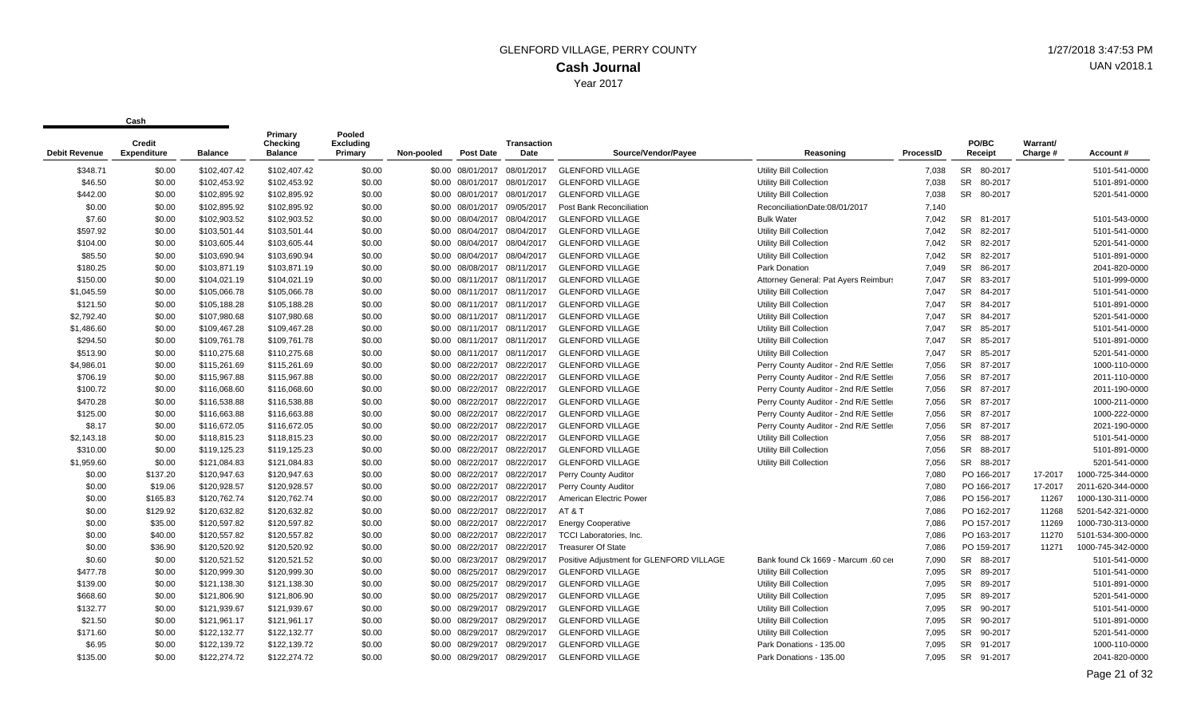| <b>Debit Revenue</b> | Credit<br><b>Expenditure</b> | <b>Balance</b> | Primary<br>Checking<br><b>Balance</b> | Pooled<br><b>Excluding</b><br>Primary | Non-pooled | <b>Post Date</b>             | Transaction<br>Date | Source/Vendor/Payee                      | Reasoning                              | ProcessID | PO/BC<br>Receipt     | Warrant/<br>Charge # | Account#          |
|----------------------|------------------------------|----------------|---------------------------------------|---------------------------------------|------------|------------------------------|---------------------|------------------------------------------|----------------------------------------|-----------|----------------------|----------------------|-------------------|
| \$348.71             | \$0.00                       | \$102,407.42   | \$102,407.42                          | \$0.00                                |            | \$0.00 08/01/2017            | 08/01/2017          | <b>GLENFORD VILLAGE</b>                  | Utility Bill Collection                | 7,038     | SR 80-2017           |                      | 5101-541-0000     |
| \$46.50              | \$0.00                       | \$102,453.92   | \$102,453.92                          | \$0.00                                |            | \$0.00 08/01/2017 08/01/2017 |                     | <b>GLENFORD VILLAGE</b>                  | <b>Utility Bill Collection</b>         | 7,038     | SR 80-2017           |                      | 5101-891-0000     |
| \$442.00             | \$0.00                       | \$102,895.92   | \$102,895.92                          | \$0.00                                |            | \$0.00 08/01/2017            | 08/01/2017          | <b>GLENFORD VILLAGE</b>                  | <b>Utility Bill Collection</b>         | 7,038     | SR 80-2017           |                      | 5201-541-0000     |
| \$0.00               | \$0.00                       | \$102.895.92   | \$102,895.92                          | \$0.00                                |            | \$0.00 08/01/2017            | 09/05/2017          | Post Bank Reconciliation                 | ReconciliationDate:08/01/2017          | 7.140     |                      |                      |                   |
| \$7.60               | \$0.00                       | \$102.903.52   | \$102.903.52                          | \$0.00                                |            | \$0.00 08/04/2017            | 08/04/2017          | <b>GLENFORD VILLAGE</b>                  | <b>Bulk Water</b>                      | 7.042     | SR 81-2017           |                      | 5101-543-0000     |
| \$597.92             | \$0.00                       | \$103,501.44   | \$103,501.44                          | \$0.00                                |            | \$0.00 08/04/2017            | 08/04/2017          | <b>GLENFORD VILLAGE</b>                  | <b>Utility Bill Collection</b>         | 7,042     | <b>SR</b><br>82-2017 |                      | 5101-541-0000     |
| \$104.00             | \$0.00                       | \$103,605.44   | \$103,605.44                          | \$0.00                                |            | \$0.00 08/04/2017            | 08/04/2017          | <b>GLENFORD VILLAGE</b>                  | <b>Utility Bill Collection</b>         | 7,042     | <b>SR</b><br>82-2017 |                      | 5201-541-0000     |
| \$85.50              | \$0.00                       | \$103,690.94   | \$103,690.94                          | \$0.00                                |            | \$0.00 08/04/2017            | 08/04/2017          | <b>GLENFORD VILLAGE</b>                  | <b>Utility Bill Collection</b>         | 7.042     | <b>SR</b><br>82-2017 |                      | 5101-891-0000     |
| \$180.25             | \$0.00                       | \$103,871.19   | \$103,871.19                          | \$0.00                                |            | \$0.00 08/08/2017 08/11/2017 |                     | <b>GLENFORD VILLAGE</b>                  | Park Donation                          | 7,049     | <b>SR</b><br>86-2017 |                      | 2041-820-0000     |
| \$150.00             | \$0.00                       | \$104,021.19   | \$104,021.19                          | \$0.00                                |            | \$0.00 08/11/2017            | 08/11/2017          | <b>GLENFORD VILLAGE</b>                  | Attorney General: Pat Ayers Reimburs   | 7,047     | <b>SR</b><br>83-2017 |                      | 5101-999-0000     |
| \$1,045.59           | \$0.00                       | \$105,066.78   | \$105,066.78                          | \$0.00                                |            | \$0.00 08/11/2017            | 08/11/2017          | <b>GLENFORD VILLAGE</b>                  | <b>Utility Bill Collection</b>         | 7,047     | <b>SR</b><br>84-2017 |                      | 5101-541-0000     |
| \$121.50             | \$0.00                       | \$105,188.28   | \$105,188.28                          | \$0.00                                |            | \$0.00 08/11/2017            | 08/11/2017          | <b>GLENFORD VILLAGE</b>                  | <b>Utility Bill Collection</b>         | 7.047     | SR 84-2017           |                      | 5101-891-0000     |
| \$2.792.40           | \$0.00                       | \$107,980.68   | \$107,980.68                          | \$0.00                                |            | \$0.00 08/11/2017            | 08/11/2017          | <b>GLENFORD VILLAGE</b>                  | <b>Utility Bill Collection</b>         | 7.047     | SR 84-2017           |                      | 5201-541-0000     |
| \$1,486.60           | \$0.00                       | \$109,467.28   | \$109,467.28                          | \$0.00                                |            | \$0.00 08/11/2017            | 08/11/2017          | <b>GLENFORD VILLAGE</b>                  | <b>Utility Bill Collection</b>         | 7.047     | <b>SR</b><br>85-2017 |                      | 5101-541-0000     |
| \$294.50             | \$0.00                       | \$109,761.78   | \$109,761.78                          | \$0.00                                |            | \$0.00 08/11/2017 08/11/2017 |                     | <b>GLENFORD VILLAGE</b>                  | <b>Utility Bill Collection</b>         | 7,047     | SR 85-2017           |                      | 5101-891-0000     |
| \$513.90             | \$0.00                       | \$110,275.68   | \$110,275.68                          | \$0.00                                |            | \$0.00 08/11/2017            | 08/11/2017          | <b>GLENFORD VILLAGE</b>                  | Utility Bill Collection                | 7,047     | <b>SR</b><br>85-2017 |                      | 5201-541-0000     |
| \$4,986.01           | \$0.00                       | \$115,261.69   | \$115,261.69                          | \$0.00                                |            | \$0.00 08/22/2017            | 08/22/2017          | <b>GLENFORD VILLAGE</b>                  | Perry County Auditor - 2nd R/E Settler | 7,056     | <b>SR</b><br>87-2017 |                      | 1000-110-0000     |
| \$706.19             | \$0.00                       | \$115,967.88   | \$115,967.88                          | \$0.00                                |            | \$0.00 08/22/2017            | 08/22/2017          | <b>GLENFORD VILLAGE</b>                  | Perry County Auditor - 2nd R/E Settler | 7,056     | SR 87-2017           |                      | 2011-110-0000     |
| \$100.72             | \$0.00                       | \$116,068.60   | \$116,068.60                          | \$0.00                                |            | \$0.00 08/22/2017            | 08/22/2017          | <b>GLENFORD VILLAGE</b>                  | Perry County Auditor - 2nd R/E Settler | 7,056     | SR 87-2017           |                      | 2011-190-0000     |
| \$470.28             | \$0.00                       | \$116,538.88   | \$116,538.88                          | \$0.00                                |            | \$0.00 08/22/2017            | 08/22/2017          | <b>GLENFORD VILLAGE</b>                  | Perry County Auditor - 2nd R/E Settler | 7,056     | <b>SR</b><br>87-2017 |                      | 1000-211-0000     |
| \$125.00             | \$0.00                       | \$116,663.88   | \$116,663.88                          | \$0.00                                |            | \$0.00 08/22/2017            | 08/22/2017          | <b>GLENFORD VILLAGE</b>                  | Perry County Auditor - 2nd R/E Settler | 7,056     | <b>SR</b><br>87-2017 |                      | 1000-222-0000     |
| \$8.17               | \$0.00                       | \$116,672.05   | \$116,672.05                          | \$0.00                                |            | \$0.00 08/22/2017            | 08/22/2017          | <b>GLENFORD VILLAGE</b>                  | Perry County Auditor - 2nd R/E Settler | 7,056     | SR 87-2017           |                      | 2021-190-0000     |
| \$2,143.18           | \$0.00                       | \$118,815.23   | \$118,815.23                          | \$0.00                                |            | \$0.00 08/22/2017            | 08/22/2017          | <b>GLENFORD VILLAGE</b>                  | Utility Bill Collection                | 7.056     | SR 88-2017           |                      | 5101-541-0000     |
| \$310.00             | \$0.00                       | \$119,125.23   | \$119,125.23                          | \$0.00                                |            | \$0.00 08/22/2017            | 08/22/2017          | <b>GLENFORD VILLAGE</b>                  | <b>Utility Bill Collection</b>         | 7,056     | SR 88-2017           |                      | 5101-891-0000     |
| \$1,959.60           | \$0.00                       | \$121,084.83   | \$121,084.83                          | \$0.00                                |            | \$0.00 08/22/2017            | 08/22/2017          | <b>GLENFORD VILLAGE</b>                  | <b>Utility Bill Collection</b>         | 7,056     | SR 88-2017           |                      | 5201-541-0000     |
| \$0.00               | \$137.20                     | \$120,947.63   | \$120,947.63                          | \$0.00                                |            | \$0.00 08/22/2017            | 08/22/2017          | Perry County Auditor                     |                                        | 7,080     | PO 166-2017          | 17-2017              | 1000-725-344-0000 |
| \$0.00               | \$19.06                      | \$120,928.57   | \$120,928.57                          | \$0.00                                |            | \$0.00 08/22/2017            | 08/22/2017          | Perry County Auditor                     |                                        | 7,080     | PO 166-2017          | 17-2017              | 2011-620-344-0000 |
| \$0.00               | \$165.83                     | \$120,762.74   | \$120,762.74                          | \$0.00                                |            | \$0.00 08/22/2017            | 08/22/2017          | American Electric Power                  |                                        | 7.086     | PO 156-2017          | 11267                | 1000-130-311-0000 |
| \$0.00               | \$129.92                     | \$120,632.82   | \$120,632.82                          | \$0.00                                |            | \$0.00 08/22/2017 08/22/2017 |                     | AT&T                                     |                                        | 7.086     | PO 162-2017          | 11268                | 5201-542-321-0000 |
| \$0.00               | \$35.00                      | \$120,597.82   | \$120,597.82                          | \$0.00                                |            | \$0.00 08/22/2017            | 08/22/2017          | <b>Energy Cooperative</b>                |                                        | 7.086     | PO 157-2017          | 11269                | 1000-730-313-0000 |
| \$0.00               | \$40.00                      | \$120,557.82   | \$120,557.82                          | \$0.00                                |            | \$0.00 08/22/2017            | 08/22/2017          | <b>TCCI Laboratories. Inc.</b>           |                                        | 7,086     | PO 163-2017          | 11270                | 5101-534-300-0000 |
| \$0.00               | \$36.90                      | \$120,520.92   | \$120,520.92                          | \$0.00                                |            | \$0.00 08/22/2017            | 08/22/2017          | <b>Treasurer Of State</b>                |                                        | 7.086     | PO 159-2017          | 11271                | 1000-745-342-0000 |
| \$0.60               | \$0.00                       | \$120,521.52   | \$120,521.52                          | \$0.00                                |            | \$0.00 08/23/2017            | 08/29/2017          | Positive Adjustment for GLENFORD VILLAGE | Bank found Ck 1669 - Marcum .60 cer    | 7,090     | SR 88-2017           |                      | 5101-541-0000     |
| \$477.78             | \$0.00                       | \$120,999.30   | \$120,999.30                          | \$0.00                                |            | \$0.00 08/25/2017            | 08/29/2017          | <b>GLENFORD VILLAGE</b>                  | Utility Bill Collection                | 7,095     | 89-2017<br>SR        |                      | 5101-541-0000     |
| \$139.00             | \$0.00                       | \$121,138.30   | \$121,138.30                          | \$0.00                                |            | \$0.00 08/25/2017            | 08/29/2017          | <b>GLENFORD VILLAGE</b>                  | Utility Bill Collection                | 7,095     | SR 89-2017           |                      | 5101-891-0000     |
| \$668.60             | \$0.00                       | \$121,806.90   | \$121,806.90                          | \$0.00                                |            | \$0.00 08/25/2017            | 08/29/2017          | <b>GLENFORD VILLAGE</b>                  | Utility Bill Collection                | 7,095     | SR<br>89-2017        |                      | 5201-541-0000     |
| \$132.77             | \$0.00                       | \$121,939.67   | \$121,939.67                          | \$0.00                                |            | \$0.00 08/29/2017            | 08/29/2017          | <b>GLENFORD VILLAGE</b>                  | <b>Utility Bill Collection</b>         | 7,095     | <b>SR</b><br>90-2017 |                      | 5101-541-0000     |
| \$21.50              | \$0.00                       | \$121,961.17   | \$121,961.17                          | \$0.00                                |            | \$0.00 08/29/2017            | 08/29/2017          | <b>GLENFORD VILLAGE</b>                  | <b>Utility Bill Collection</b>         | 7.095     | SR 90-2017           |                      | 5101-891-0000     |
| \$171.60             | \$0.00                       | \$122,132.77   | \$122,132.77                          | \$0.00                                |            | \$0.00 08/29/2017            | 08/29/2017          | <b>GLENFORD VILLAGE</b>                  | Utility Bill Collection                | 7.095     | SR 90-2017           |                      | 5201-541-0000     |
| \$6.95               | \$0.00                       | \$122,139.72   | \$122,139.72                          | \$0.00                                |            | \$0.00 08/29/2017            | 08/29/2017          | <b>GLENFORD VILLAGE</b>                  | Park Donations - 135.00                | 7.095     | SR 91-2017           |                      | 1000-110-0000     |
| \$135.00             | \$0.00                       | \$122,274.72   | \$122,274.72                          | \$0.00                                |            | \$0.00 08/29/2017            | 08/29/2017          | <b>GLENFORD VILLAGE</b>                  | Park Donations - 135.00                | 7.095     | SR 91-2017           |                      | 2041-820-0000     |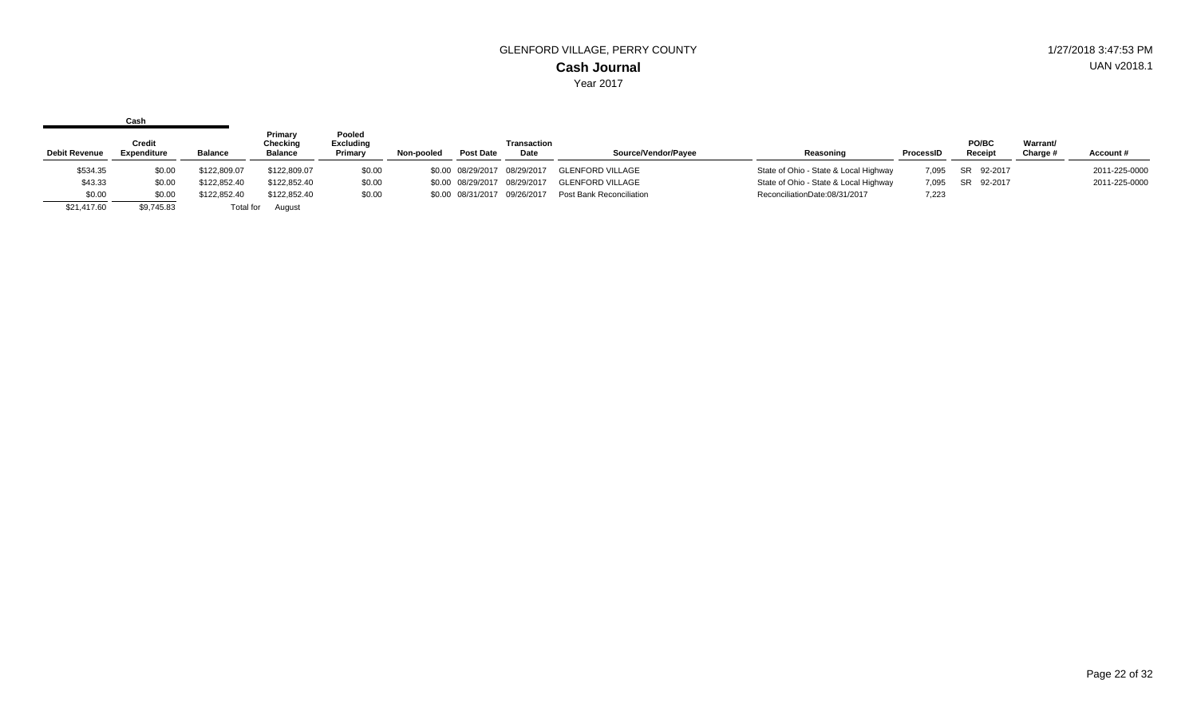|                      | Cash                         |                |                                       |                                       |            |                              |                              |                          |                                       |           |                  |                      |               |
|----------------------|------------------------------|----------------|---------------------------------------|---------------------------------------|------------|------------------------------|------------------------------|--------------------------|---------------------------------------|-----------|------------------|----------------------|---------------|
| <b>Debit Revenue</b> | Credit<br><b>Expenditure</b> | <b>Balance</b> | Primary<br>Checking<br><b>Balance</b> | Pooled<br><b>Excluding</b><br>Primary | Non-pooled | <b>Post Date</b>             | Transaction<br>Date          | Source/Vendor/Pavee      | Reasoning                             | ProcessID | PO/BC<br>Receipt | Warrant/<br>Charge # | Account#      |
| \$534.35             | \$0.00                       | \$122,809.07   | \$122,809.07                          | \$0.00                                |            | \$0.00 08/29/2017 08/29/2017 |                              | <b>GLENFORD VILLAGE</b>  | State of Ohio - State & Local Highway | 7.095     | SR 92-2017       |                      | 2011-225-0000 |
| \$43.33              | \$0.00                       | \$122,852.40   | \$122,852.40                          | \$0.00                                |            | \$0.00 08/29/2017 08/29/2017 |                              | <b>GLENFORD VILLAGE</b>  | State of Ohio - State & Local Highway | 7,095     | SR 92-2017       |                      | 2011-225-0000 |
| \$0.00               | \$0.00                       | \$122.852.40   | \$122,852.40                          | \$0.00                                |            |                              | \$0.00 08/31/2017 09/26/2017 | Post Bank Reconciliation | ReconciliationDate:08/31/2017         | 7,223     |                  |                      |               |
| \$21,417.60          | \$9,745.83                   | Total for      | August                                |                                       |            |                              |                              |                          |                                       |           |                  |                      |               |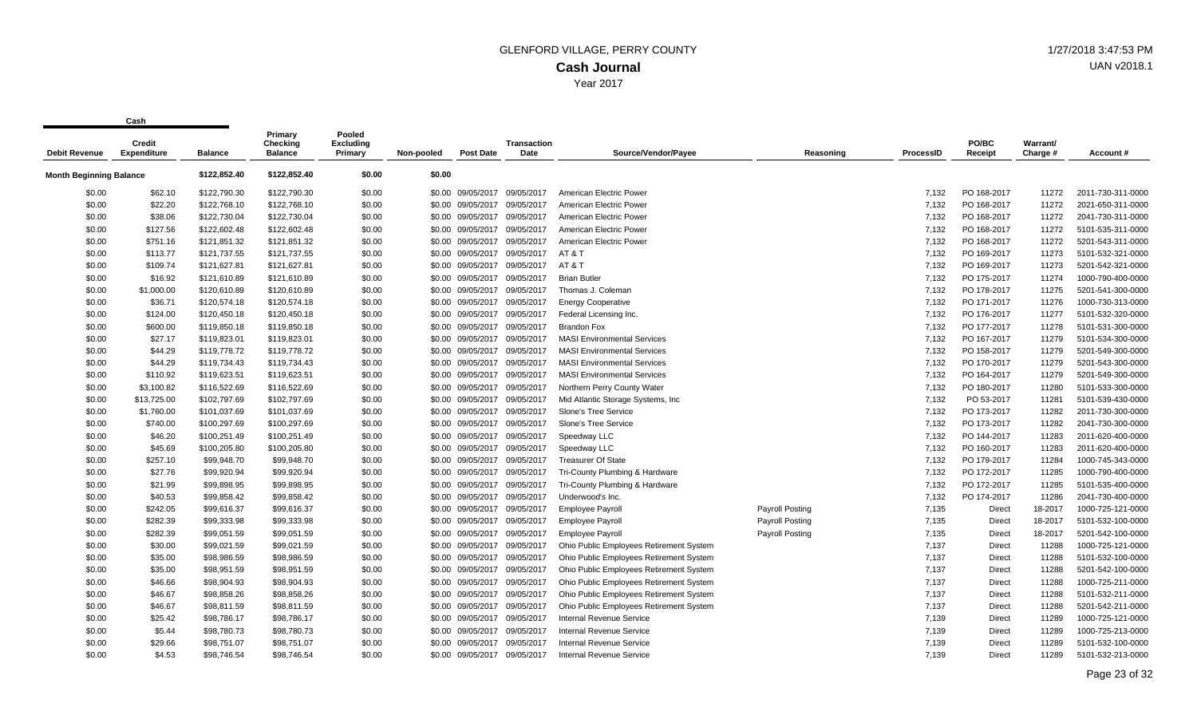| <b>Debit Revenue</b>           | <b>Credit</b><br><b>Expenditure</b> | <b>Balance</b> | Primary<br><b>Checking</b><br><b>Balance</b> | Pooled<br><b>Excluding</b><br>Primary | Non-pooled | <b>Post Date</b>  | Transaction<br>Date          | Source/Vendor/Payee                     | Reasoning              | <b>ProcessID</b> | PO/BC<br>Receipt | Warrant/<br>Charge # | Account#          |
|--------------------------------|-------------------------------------|----------------|----------------------------------------------|---------------------------------------|------------|-------------------|------------------------------|-----------------------------------------|------------------------|------------------|------------------|----------------------|-------------------|
| <b>Month Beginning Balance</b> |                                     | \$122,852.40   | \$122,852.40                                 | \$0.00                                | \$0.00     |                   |                              |                                         |                        |                  |                  |                      |                   |
| \$0.00                         | \$62.10                             | \$122,790.30   | \$122,790.30                                 | \$0.00                                |            | \$0.00 09/05/2017 | 09/05/2017                   | American Electric Power                 |                        | 7.132            | PO 168-2017      | 11272                | 2011-730-311-0000 |
| \$0.00                         | \$22.20                             | \$122,768.10   | \$122,768.10                                 | \$0.00                                |            | \$0.00 09/05/2017 | 09/05/2017                   | American Electric Power                 |                        | 7,132            | PO 168-2017      | 11272                | 2021-650-311-0000 |
| \$0.00                         | \$38.06                             | \$122,730.04   | \$122,730.04                                 | \$0.00                                |            | \$0.00 09/05/2017 | 09/05/2017                   | American Electric Power                 |                        | 7,132            | PO 168-2017      | 11272                | 2041-730-311-0000 |
| \$0.00                         | \$127.56                            | \$122,602.48   | \$122,602.48                                 | \$0.00                                |            | \$0.00 09/05/2017 | 09/05/2017                   | American Electric Power                 |                        | 7,132            | PO 168-2017      | 11272                | 5101-535-311-0000 |
| \$0.00                         | \$751.16                            | \$121,851.32   | \$121,851.32                                 | \$0.00                                |            | \$0.00 09/05/2017 | 09/05/2017                   | American Electric Power                 |                        | 7,132            | PO 168-2017      | 11272                | 5201-543-311-0000 |
| \$0.00                         | \$113.77                            | \$121,737.55   | \$121,737.55                                 | \$0.00                                |            | \$0.00 09/05/2017 | 09/05/2017                   | AT&T                                    |                        | 7,132            | PO 169-2017      | 11273                | 5101-532-321-0000 |
| \$0.00                         | \$109.74                            | \$121,627.81   | \$121,627.81                                 | \$0.00                                |            |                   | \$0.00 09/05/2017 09/05/2017 | AT&T                                    |                        | 7,132            | PO 169-2017      | 11273                | 5201-542-321-0000 |
| \$0.00                         | \$16.92                             | \$121,610.89   | \$121,610.89                                 | \$0.00                                |            | \$0.00 09/05/2017 | 09/05/2017                   | <b>Brian Butler</b>                     |                        | 7,132            | PO 175-2017      | 11274                | 1000-790-400-0000 |
| \$0.00                         | \$1,000.00                          | \$120,610.89   | \$120,610.89                                 | \$0.00                                |            | \$0.00 09/05/2017 | 09/05/2017                   | Thomas J. Coleman                       |                        | 7,132            | PO 178-2017      | 11275                | 5201-541-300-0000 |
| \$0.00                         | \$36.71                             | \$120,574.18   | \$120,574.18                                 | \$0.00                                |            | \$0.00 09/05/2017 | 09/05/2017                   | <b>Energy Cooperative</b>               |                        | 7,132            | PO 171-2017      | 11276                | 1000-730-313-0000 |
| \$0.00                         | \$124.00                            | \$120,450.18   | \$120,450.18                                 | \$0.00                                |            | \$0.00 09/05/2017 | 09/05/2017                   | Federal Licensing Inc.                  |                        | 7,132            | PO 176-2017      | 11277                | 5101-532-320-0000 |
| \$0.00                         | \$600.00                            | \$119,850.18   | \$119,850.18                                 | \$0.00                                |            | \$0.00 09/05/2017 | 09/05/2017                   | <b>Brandon Fox</b>                      |                        | 7.132            | PO 177-2017      | 11278                | 5101-531-300-0000 |
| \$0.00                         | \$27.17                             | \$119,823.01   | \$119,823.01                                 | \$0.00                                |            |                   | \$0.00 09/05/2017 09/05/2017 | <b>MASI Environmental Services</b>      |                        | 7,132            | PO 167-2017      | 11279                | 5101-534-300-0000 |
| \$0.00                         | \$44.29                             | \$119,778.72   | \$119,778.72                                 | \$0.00                                |            | \$0.00 09/05/2017 | 09/05/2017                   | <b>MASI Environmental Services</b>      |                        | 7,132            | PO 158-2017      | 11279                | 5201-549-300-0000 |
| \$0.00                         | \$44.29                             | \$119,734.43   | \$119,734.43                                 | \$0.00                                |            | \$0.00 09/05/2017 | 09/05/2017                   | <b>MASI Environmental Services</b>      |                        | 7,132            | PO 170-2017      | 11279                | 5201-543-300-0000 |
| \$0.00                         | \$110.92                            | \$119,623.51   | \$119,623.51                                 | \$0.00                                |            | \$0.00 09/05/2017 | 09/05/2017                   | <b>MASI Environmental Services</b>      |                        | 7,132            | PO 164-2017      | 11279                | 5201-549-300-0000 |
| \$0.00                         | \$3,100.82                          | \$116,522.69   | \$116,522.69                                 | \$0.00                                |            | \$0.00 09/05/2017 | 09/05/2017                   | Northern Perry County Water             |                        | 7,132            | PO 180-2017      | 11280                | 5101-533-300-0000 |
| \$0.00                         | \$13,725.00                         | \$102,797.69   | \$102,797.69                                 | \$0.00                                |            | \$0.00 09/05/2017 | 09/05/2017                   | Mid Atlantic Storage Systems, Inc.      |                        | 7,132            | PO 53-2017       | 11281                | 5101-539-430-0000 |
| \$0.00                         | \$1,760.00                          | \$101,037.69   | \$101,037.69                                 | \$0.00                                |            | \$0.00 09/05/2017 | 09/05/2017                   | Slone's Tree Service                    |                        | 7,132            | PO 173-2017      | 11282                | 2011-730-300-0000 |
| \$0.00                         | \$740.00                            | \$100,297.69   | \$100,297.69                                 | \$0.00                                |            | \$0.00 09/05/2017 | 09/05/2017                   | Slone's Tree Service                    |                        | 7,132            | PO 173-2017      | 11282                | 2041-730-300-0000 |
| \$0.00                         | \$46.20                             | \$100,251.49   | \$100,251.49                                 | \$0.00                                |            | \$0.00 09/05/2017 | 09/05/2017                   | Speedway LLC                            |                        | 7,132            | PO 144-2017      | 11283                | 2011-620-400-0000 |
| \$0.00                         | \$45.69                             | \$100,205.80   | \$100,205.80                                 | \$0.00                                |            | \$0.00 09/05/2017 | 09/05/2017                   | Speedway LLC                            |                        | 7,132            | PO 160-2017      | 11283                | 2011-620-400-0000 |
| \$0.00                         | \$257.10                            | \$99,948.70    | \$99,948.70                                  | \$0.00                                |            | \$0.00 09/05/2017 | 09/05/2017                   | <b>Treasurer Of State</b>               |                        | 7,132            | PO 179-2017      | 11284                | 1000-745-343-0000 |
| \$0.00                         | \$27.76                             | \$99,920.94    | \$99,920.94                                  | \$0.00                                |            | \$0.00 09/05/2017 | 09/05/2017                   | Tri-County Plumbing & Hardware          |                        | 7,132            | PO 172-2017      | 11285                | 1000-790-400-0000 |
| \$0.00                         | \$21.99                             | \$99,898.95    | \$99,898.95                                  | \$0.00                                |            | \$0.00 09/05/2017 | 09/05/2017                   | Tri-County Plumbing & Hardware          |                        | 7,132            | PO 172-2017      | 11285                | 5101-535-400-0000 |
| \$0.00                         | \$40.53                             | \$99,858.42    | \$99,858.42                                  | \$0.00                                |            | \$0.00 09/05/2017 | 09/05/2017                   | Underwood's Inc.                        |                        | 7,132            | PO 174-2017      | 11286                | 2041-730-400-0000 |
| \$0.00                         | \$242.05                            | \$99,616.37    | \$99,616.37                                  | \$0.00                                |            | \$0.00 09/05/2017 | 09/05/2017                   | <b>Employee Payroll</b>                 | <b>Payroll Posting</b> | 7,135            | Direct           | 18-2017              | 1000-725-121-0000 |
| \$0.00                         | \$282.39                            | \$99,333.98    | \$99,333.98                                  | \$0.00                                |            | \$0.00 09/05/2017 | 09/05/2017                   | <b>Employee Payroll</b>                 | <b>Payroll Posting</b> | 7,135            | Direct           | 18-2017              | 5101-532-100-0000 |
| \$0.00                         | \$282.39                            | \$99,051.59    | \$99,051.59                                  | \$0.00                                |            | \$0.00 09/05/2017 | 09/05/2017                   | <b>Employee Payroll</b>                 | <b>Payroll Posting</b> | 7,135            | Direct           | 18-2017              | 5201-542-100-0000 |
| \$0.00                         | \$30.00                             | \$99,021.59    | \$99,021.59                                  | \$0.00                                |            | \$0.00 09/05/2017 | 09/05/2017                   | Ohio Public Employees Retirement System |                        | 7,137            | Direct           | 11288                | 1000-725-121-0000 |
| \$0.00                         | \$35.00                             | \$98,986.59    | \$98,986.59                                  | \$0.00                                |            | \$0.00 09/05/2017 | 09/05/2017                   | Ohio Public Employees Retirement System |                        | 7,137            | Direct           | 11288                | 5101-532-100-0000 |
| \$0.00                         | \$35.00                             | \$98,951.59    | \$98,951.59                                  | \$0.00                                |            | \$0.00 09/05/2017 | 09/05/2017                   | Ohio Public Employees Retirement System |                        | 7,137            | Direct           | 11288                | 5201-542-100-0000 |
| \$0.00                         | \$46.66                             | \$98,904.93    | \$98,904.93                                  | \$0.00                                |            | \$0.00 09/05/2017 | 09/05/2017                   | Ohio Public Employees Retirement System |                        | 7,137            | Direct           | 11288                | 1000-725-211-0000 |
| \$0.00                         | \$46.67                             | \$98,858.26    | \$98,858.26                                  | \$0.00                                |            | \$0.00 09/05/2017 | 09/05/2017                   | Ohio Public Employees Retirement System |                        | 7,137            | Direct           | 11288                | 5101-532-211-0000 |
| \$0.00                         | \$46.67                             | \$98,811.59    | \$98,811.59                                  | \$0.00                                |            | \$0.00 09/05/2017 | 09/05/2017                   | Ohio Public Employees Retirement System |                        | 7,137            | Direct           | 11288                | 5201-542-211-0000 |
| \$0.00                         | \$25.42                             | \$98,786.17    | \$98,786.17                                  | \$0.00                                |            | \$0.00 09/05/2017 | 09/05/2017                   | Internal Revenue Service                |                        | 7,139            | Direct           | 11289                | 1000-725-121-0000 |
| \$0.00                         | \$5.44                              | \$98,780.73    | \$98,780.73                                  | \$0.00                                |            | \$0.00 09/05/2017 | 09/05/2017                   | <b>Internal Revenue Service</b>         |                        | 7,139            | Direct           | 11289                | 1000-725-213-0000 |
| \$0.00                         | \$29.66                             | \$98,751.07    | \$98,751.07                                  | \$0.00                                |            | \$0.00 09/05/2017 | 09/05/2017                   | Internal Revenue Service                |                        | 7,139            | Direct           | 11289                | 5101-532-100-0000 |
| \$0.00                         | \$4.53                              | \$98.746.54    | \$98.746.54                                  | \$0.00                                |            | \$0.00 09/05/2017 | 09/05/2017                   | <b>Internal Revenue Service</b>         |                        | 7.139            | <b>Direct</b>    | 11289                | 5101-532-213-0000 |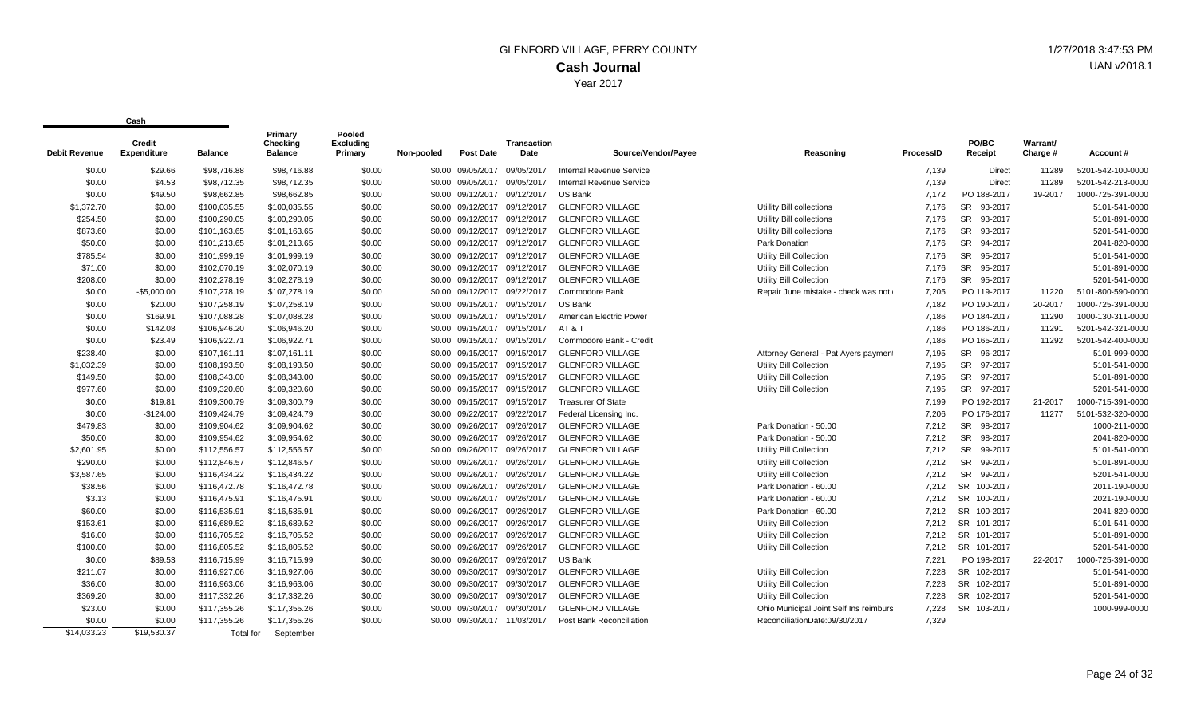| <b>Debit Revenue</b> | <b>Credit</b><br><b>Expenditure</b> | <b>Balance</b> | Primary<br><b>Checking</b><br><b>Balance</b> | Pooled<br><b>Excluding</b><br>Primary | Non-pooled | <b>Post Date</b>             | <b>Transaction</b><br><b>Date</b> | Source/Vendor/Payee       | Reasoning                              | ProcessID | PO/BC<br>Receipt     | Warrant/<br>Charge # | Account#          |
|----------------------|-------------------------------------|----------------|----------------------------------------------|---------------------------------------|------------|------------------------------|-----------------------------------|---------------------------|----------------------------------------|-----------|----------------------|----------------------|-------------------|
| \$0.00               | \$29.66                             | \$98,716.88    | \$98,716.88                                  | \$0.00                                |            | \$0.00 09/05/2017            | 09/05/2017                        | Internal Revenue Service  |                                        | 7,139     | <b>Direct</b>        | 11289                | 5201-542-100-0000 |
| \$0.00               | \$4.53                              | \$98,712.35    | \$98,712.35                                  | \$0.00                                |            | \$0.00 09/05/2017            | 09/05/2017                        | Internal Revenue Service  |                                        | 7,139     | <b>Direct</b>        | 11289                | 5201-542-213-0000 |
| \$0.00               | \$49.50                             | \$98,662.85    | \$98,662.85                                  | \$0.00                                |            | \$0.00 09/12/2017            | 09/12/2017                        | US Bank                   |                                        | 7,172     | PO 188-2017          | 19-2017              | 1000-725-391-0000 |
| \$1,372.70           | \$0.00                              | \$100,035.55   | \$100,035.55                                 | \$0.00                                |            | \$0.00 09/12/2017 09/12/2017 |                                   | <b>GLENFORD VILLAGE</b>   | Utility Bill collections               | 7,176     | <b>SR</b><br>93-2017 |                      | 5101-541-0000     |
| \$254.50             | \$0.00                              | \$100,290.05   | \$100,290.05                                 | \$0.00                                |            | \$0.00 09/12/2017 09/12/2017 |                                   | <b>GLENFORD VILLAGE</b>   | Utility Bill collections               | 7.176     | <b>SR</b><br>93-2017 |                      | 5101-891-0000     |
| \$873.60             | \$0.00                              | \$101,163.65   | \$101,163.65                                 | \$0.00                                |            | \$0.00 09/12/2017 09/12/2017 |                                   | <b>GLENFORD VILLAGE</b>   | Utility Bill collections               | 7,176     | <b>SR</b><br>93-2017 |                      | 5201-541-0000     |
| \$50.00              | \$0.00                              | \$101,213.65   | \$101,213.65                                 | \$0.00                                |            | \$0.00 09/12/2017            | 09/12/2017                        | <b>GLENFORD VILLAGE</b>   | Park Donation                          | 7,176     | <b>SR</b><br>94-2017 |                      | 2041-820-0000     |
| \$785.54             | \$0.00                              | \$101,999.19   | \$101,999.19                                 | \$0.00                                |            | \$0.00 09/12/2017            | 09/12/2017                        | <b>GLENFORD VILLAGE</b>   | Utility Bill Collection                | 7,176     | <b>SR</b><br>95-2017 |                      | 5101-541-0000     |
| \$71.00              | \$0.00                              | \$102,070.19   | \$102,070.19                                 | \$0.00                                |            | \$0.00 09/12/2017 09/12/2017 |                                   | <b>GLENFORD VILLAGE</b>   | Utility Bill Collection                | 7.176     | <b>SR</b><br>95-2017 |                      | 5101-891-0000     |
| \$208.00             | \$0.00                              | \$102,278.19   | \$102,278.19                                 | \$0.00                                |            | \$0.00 09/12/2017            | 09/12/2017                        | <b>GLENFORD VILLAGE</b>   | Utility Bill Collection                | 7.176     | SR 95-2017           |                      | 5201-541-0000     |
| \$0.00               | $-$5,000.00$                        | \$107,278.19   | \$107,278.19                                 | \$0.00                                |            | \$0.00 09/12/2017 09/22/2017 |                                   | Commodore Bank            | Repair June mistake - check was not    | 7,205     | PO 119-2017          | 11220                | 5101-800-590-0000 |
| \$0.00               | \$20.00                             | \$107,258.19   | \$107,258.19                                 | \$0.00                                |            | \$0.00 09/15/2017            | 09/15/2017                        | US Bank                   |                                        | 7.182     | PO 190-2017          | 20-2017              | 1000-725-391-0000 |
| \$0.00               | \$169.91                            | \$107,088.28   | \$107,088.28                                 | \$0.00                                |            | \$0.00 09/15/2017            | 09/15/2017                        | American Electric Power   |                                        | 7,186     | PO 184-2017          | 11290                | 1000-130-311-0000 |
| \$0.00               | \$142.08                            | \$106,946.20   | \$106,946.20                                 | \$0.00                                |            | \$0.00 09/15/2017 09/15/2017 |                                   | <b>AT &amp; T</b>         |                                        | 7,186     | PO 186-2017          | 11291                | 5201-542-321-0000 |
| \$0.00               | \$23.49                             | \$106,922.71   | \$106,922.71                                 | \$0.00                                |            | \$0.00 09/15/2017 09/15/2017 |                                   | Commodore Bank - Credit   |                                        | 7,186     | PO 165-2017          | 11292                | 5201-542-400-0000 |
| \$238.40             | \$0.00                              | \$107,161.11   | \$107,161.11                                 | \$0.00                                |            | \$0.00 09/15/2017            | 09/15/2017                        | <b>GLENFORD VILLAGE</b>   | Attorney General - Pat Ayers payment   | 7,195     | SR 96-2017           |                      | 5101-999-0000     |
| \$1,032.39           | \$0.00                              | \$108,193.50   | \$108,193.50                                 | \$0.00                                |            | \$0.00 09/15/2017            | 09/15/2017                        | <b>GLENFORD VILLAGE</b>   | <b>Utility Bill Collection</b>         | 7,195     | <b>SR</b><br>97-2017 |                      | 5101-541-0000     |
| \$149.50             | \$0.00                              | \$108,343.00   | \$108,343.00                                 | \$0.00                                |            | \$0.00 09/15/2017 09/15/2017 |                                   | <b>GLENFORD VILLAGE</b>   | <b>Utility Bill Collection</b>         | 7,195     | <b>SR</b><br>97-2017 |                      | 5101-891-0000     |
| \$977.60             | \$0.00                              | \$109,320.60   | \$109,320.60                                 | \$0.00                                |            | \$0.00 09/15/2017 09/15/2017 |                                   | <b>GLENFORD VILLAGE</b>   | Utility Bill Collection                | 7,195     | SR 97-2017           |                      | 5201-541-0000     |
| \$0.00               | \$19.81                             | \$109,300.79   | \$109,300.79                                 | \$0.00                                |            | \$0.00 09/15/2017 09/15/2017 |                                   | <b>Treasurer Of State</b> |                                        | 7,199     | PO 192-2017          | 21-2017              | 1000-715-391-0000 |
| \$0.00               | $-$124.00$                          | \$109,424.79   | \$109,424.79                                 | \$0.00                                |            | \$0.00 09/22/2017            | 09/22/2017                        | Federal Licensing Inc.    |                                        | 7,206     | PO 176-2017          | 11277                | 5101-532-320-0000 |
| \$479.83             | \$0.00                              | \$109,904.62   | \$109,904.62                                 | \$0.00                                |            | \$0.00 09/26/2017            | 09/26/2017                        | <b>GLENFORD VILLAGE</b>   | Park Donation - 50.00                  | 7,212     | <b>SR</b><br>98-2017 |                      | 1000-211-0000     |
| \$50.00              | \$0.00                              | \$109,954.62   | \$109,954.62                                 | \$0.00                                |            | \$0.00 09/26/2017            | 09/26/2017                        | <b>GLENFORD VILLAGE</b>   | Park Donation - 50.00                  | 7,212     | <b>SR</b><br>98-2017 |                      | 2041-820-0000     |
| \$2,601.95           | \$0.00                              | \$112,556.57   | \$112,556.57                                 | \$0.00                                |            | \$0.00 09/26/2017            | 09/26/2017                        | <b>GLENFORD VILLAGE</b>   | Utility Bill Collection                | 7,212     | <b>SR</b><br>99-2017 |                      | 5101-541-0000     |
| \$290.00             | \$0.00                              | \$112,846.57   | \$112,846.57                                 | \$0.00                                |            | \$0.00 09/26/2017            | 09/26/2017                        | <b>GLENFORD VILLAGE</b>   | Utility Bill Collection                | 7,212     | <b>SR</b><br>99-2017 |                      | 5101-891-0000     |
| \$3,587.65           | \$0.00                              | \$116,434.22   | \$116,434.22                                 | \$0.00                                |            | \$0.00 09/26/2017            | 09/26/2017                        | <b>GLENFORD VILLAGE</b>   | Utility Bill Collection                | 7,212     | <b>SR</b><br>99-2017 |                      | 5201-541-0000     |
| \$38.56              | \$0.00                              | \$116,472.78   | \$116,472.78                                 | \$0.00                                |            | \$0.00 09/26/2017            | 09/26/2017                        | <b>GLENFORD VILLAGE</b>   | Park Donation - 60.00                  | 7,212     | SR 100-2017          |                      | 2011-190-0000     |
| \$3.13               | \$0.00                              | \$116,475.91   | \$116,475.91                                 | \$0.00                                |            | \$0.00 09/26/2017            | 09/26/2017                        | <b>GLENFORD VILLAGE</b>   | Park Donation - 60.00                  | 7,212     | SR 100-2017          |                      | 2021-190-0000     |
| \$60.00              | \$0.00                              | \$116,535.91   | \$116,535.91                                 | \$0.00                                |            | \$0.00 09/26/2017            | 09/26/2017                        | <b>GLENFORD VILLAGE</b>   | Park Donation - 60.00                  | 7,212     | SR 100-2017          |                      | 2041-820-0000     |
| \$153.61             | \$0.00                              | \$116,689.52   | \$116,689.52                                 | \$0.00                                |            | \$0.00 09/26/2017            | 09/26/2017                        | <b>GLENFORD VILLAGE</b>   | Utility Bill Collection                | 7,212     | SR 101-2017          |                      | 5101-541-0000     |
| \$16.00              | \$0.00                              | \$116,705.52   | \$116,705.52                                 | \$0.00                                |            | \$0.00 09/26/2017            | 09/26/2017                        | <b>GLENFORD VILLAGE</b>   | Utility Bill Collection                | 7,212     | SR 101-2017          |                      | 5101-891-0000     |
| \$100.00             | \$0.00                              | \$116,805.52   | \$116,805.52                                 | \$0.00                                |            | \$0.00 09/26/2017            | 09/26/2017                        | <b>GLENFORD VILLAGE</b>   | Utility Bill Collection                | 7,212     | SR 101-2017          |                      | 5201-541-0000     |
| \$0.00               | \$89.53                             | \$116,715.99   | \$116,715.99                                 | \$0.00                                |            | \$0.00 09/26/2017            | 09/26/2017                        | US Bank                   |                                        | 7.221     | PO 198-2017          | 22-2017              | 1000-725-391-0000 |
| \$211.07             | \$0.00                              | \$116,927.06   | \$116,927.06                                 | \$0.00                                |            | \$0.00 09/30/2017            | 09/30/2017                        | <b>GLENFORD VILLAGE</b>   | Utility Bill Collection                | 7.228     | SR 102-2017          |                      | 5101-541-0000     |
| \$36.00              | \$0.00                              | \$116,963.06   | \$116,963.06                                 | \$0.00                                |            | \$0.00 09/30/2017            | 09/30/2017                        | <b>GLENFORD VILLAGE</b>   | Utility Bill Collection                | 7,228     | SR 102-2017          |                      | 5101-891-0000     |
| \$369.20             | \$0.00                              | \$117,332.26   | \$117,332.26                                 | \$0.00                                |            | \$0.00 09/30/2017            | 09/30/2017                        | <b>GLENFORD VILLAGE</b>   | Utility Bill Collection                | 7,228     | SR 102-2017          |                      | 5201-541-0000     |
| \$23.00              | \$0.00                              | \$117,355.26   | \$117,355.26                                 | \$0.00                                |            | \$0.00 09/30/2017            | 09/30/2017                        | <b>GLENFORD VILLAGE</b>   | Ohio Municipal Joint Self Ins reimburs | 7,228     | SR 103-2017          |                      | 1000-999-0000     |
| \$0.00               | \$0.00                              | \$117,355.26   | \$117,355.26                                 | \$0.00                                |            | \$0.00 09/30/2017 11/03/2017 |                                   | Post Bank Reconciliation  | ReconciliationDate:09/30/2017          | 7,329     |                      |                      |                   |
| \$14,033.23          | \$19,530.37                         | Total for      | September                                    |                                       |            |                              |                                   |                           |                                        |           |                      |                      |                   |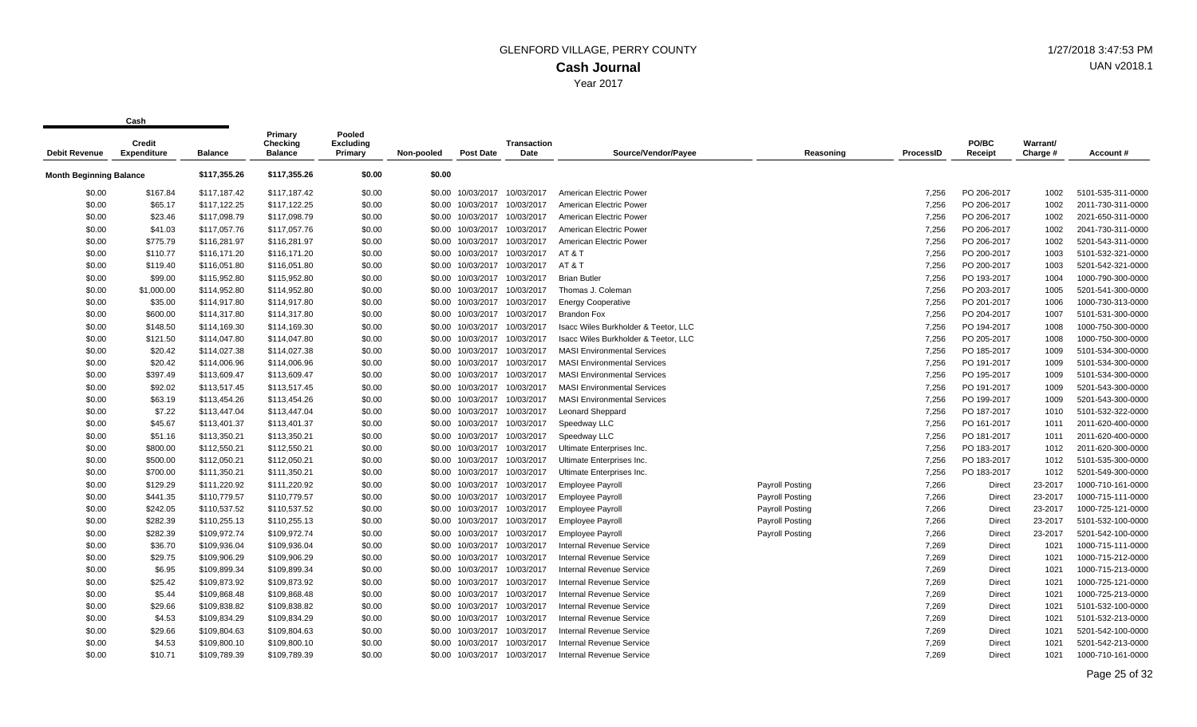|                                | Credit             |                | Primary<br>Checking | Pooled<br><b>Excluding</b> |            |                   | Transaction |                                      |                        |                  | PO/BC         | Warrant/ |                   |
|--------------------------------|--------------------|----------------|---------------------|----------------------------|------------|-------------------|-------------|--------------------------------------|------------------------|------------------|---------------|----------|-------------------|
| <b>Debit Revenue</b>           | <b>Expenditure</b> | <b>Balance</b> | <b>Balance</b>      | Primary                    | Non-pooled | <b>Post Date</b>  | Date        | Source/Vendor/Payee                  | Reasoning              | <b>ProcessID</b> | Receipt       | Charge # | Account #         |
| <b>Month Beginning Balance</b> |                    | \$117,355.26   | \$117,355.26        | \$0.00                     | \$0.00     |                   |             |                                      |                        |                  |               |          |                   |
| \$0.00                         | \$167.84           | \$117,187.42   | \$117,187.42        | \$0.00                     | \$0.00     | 10/03/2017        | 10/03/2017  | American Electric Power              |                        | 7.256            | PO 206-2017   | 1002     | 5101-535-311-0000 |
| \$0.00                         | \$65.17            | \$117,122.25   | \$117,122.25        | \$0.00                     | \$0.00     | 10/03/2017        | 10/03/2017  | American Electric Power              |                        | 7,256            | PO 206-2017   | 1002     | 2011-730-311-0000 |
| \$0.00                         | \$23.46            | \$117,098.79   | \$117,098.79        | \$0.00                     |            | \$0.00 10/03/2017 | 10/03/2017  | American Electric Power              |                        | 7,256            | PO 206-2017   | 1002     | 2021-650-311-0000 |
| \$0.00                         | \$41.03            | \$117,057.76   | \$117,057.76        | \$0.00                     | \$0.00     | 10/03/2017        | 10/03/2017  | American Electric Power              |                        | 7,256            | PO 206-2017   | 1002     | 2041-730-311-0000 |
| \$0.00                         | \$775.79           | \$116,281.97   | \$116,281.97        | \$0.00                     | \$0.00     | 10/03/2017        | 10/03/2017  | American Electric Power              |                        | 7,256            | PO 206-2017   | 1002     | 5201-543-311-0000 |
| \$0.00                         | \$110.77           | \$116.171.20   | \$116,171.20        | \$0.00                     |            | \$0.00 10/03/2017 | 10/03/2017  | AT&T                                 |                        | 7.256            | PO 200-2017   | 1003     | 5101-532-321-0000 |
| \$0.00                         | \$119.40           | \$116,051.80   | \$116,051.80        | \$0.00                     |            | \$0.00 10/03/2017 | 10/03/2017  | AT & T                               |                        | 7,256            | PO 200-2017   | 1003     | 5201-542-321-0000 |
| \$0.00                         | \$99.00            | \$115,952.80   | \$115,952.80        | \$0.00                     | \$0.00     | 10/03/2017        | 10/03/2017  | <b>Brian Butler</b>                  |                        | 7,256            | PO 193-2017   | 1004     | 1000-790-300-0000 |
| \$0.00                         | \$1,000.00         | \$114,952.80   | \$114,952.80        | \$0.00                     | \$0.00     | 10/03/2017        | 10/03/2017  | Thomas J. Coleman                    |                        | 7,256            | PO 203-2017   | 1005     | 5201-541-300-0000 |
| \$0.00                         | \$35.00            | \$114,917.80   | \$114,917.80        | \$0.00                     |            | \$0.00 10/03/2017 | 10/03/2017  | <b>Energy Cooperative</b>            |                        | 7,256            | PO 201-2017   | 1006     | 1000-730-313-0000 |
| \$0.00                         | \$600.00           | \$114,317.80   | \$114,317.80        | \$0.00                     | \$0.00     | 10/03/2017        | 10/03/2017  | <b>Brandon Fox</b>                   |                        | 7.256            | PO 204-2017   | 1007     | 5101-531-300-0000 |
| \$0.00                         | \$148.50           | \$114,169.30   | \$114,169.30        | \$0.00                     | \$0.00     | 10/03/2017        | 10/03/2017  | Isacc Wiles Burkholder & Teetor, LLC |                        | 7,256            | PO 194-2017   | 1008     | 1000-750-300-0000 |
| \$0.00                         | \$121.50           | \$114,047.80   | \$114,047.80        | \$0.00                     |            | \$0.00 10/03/2017 | 10/03/2017  | Isacc Wiles Burkholder & Teetor, LLC |                        | 7,256            | PO 205-2017   | 1008     | 1000-750-300-0000 |
| \$0.00                         | \$20.42            | \$114,027.38   | \$114,027.38        | \$0.00                     | \$0.00     | 10/03/2017        | 10/03/2017  | <b>MASI Environmental Services</b>   |                        | 7,256            | PO 185-2017   | 1009     | 5101-534-300-0000 |
| \$0.00                         | \$20.42            | \$114,006.96   | \$114,006.96        | \$0.00                     | \$0.00     | 10/03/2017        | 10/03/2017  | <b>MASI Environmental Services</b>   |                        | 7,256            | PO 191-2017   | 1009     | 5101-534-300-0000 |
| \$0.00                         | \$397.49           | \$113,609.47   | \$113,609.47        | \$0.00                     |            | \$0.00 10/03/2017 | 10/03/2017  | <b>MASI Environmental Services</b>   |                        | 7,256            | PO 195-2017   | 1009     | 5101-534-300-0000 |
| \$0.00                         | \$92.02            | \$113,517.45   | \$113,517.45        | \$0.00                     | \$0.00     | 10/03/2017        | 10/03/2017  | <b>MASI Environmental Services</b>   |                        | 7.256            | PO 191-2017   | 1009     | 5201-543-300-0000 |
| \$0.00                         | \$63.19            | \$113,454.26   | \$113,454.26        | \$0.00                     | \$0.00     | 10/03/2017        | 10/03/2017  | <b>MASI Environmental Services</b>   |                        | 7,256            | PO 199-2017   | 1009     | 5201-543-300-0000 |
| \$0.00                         | \$7.22             | \$113,447.04   | \$113,447.04        | \$0.00                     | \$0.00     | 10/03/2017        | 10/03/2017  | Leonard Sheppard                     |                        | 7,256            | PO 187-2017   | 1010     | 5101-532-322-0000 |
| \$0.00                         | \$45.67            | \$113,401.37   | \$113,401.37        | \$0.00                     |            | \$0.00 10/03/2017 | 10/03/2017  | Speedway LLC                         |                        | 7,256            | PO 161-2017   | 1011     | 2011-620-400-0000 |
| \$0.00                         | \$51.16            | \$113,350.21   | \$113,350.21        | \$0.00                     | \$0.00     | 10/03/2017        | 10/03/2017  | Speedway LLC                         |                        | 7,256            | PO 181-2017   | 1011     | 2011-620-400-0000 |
| \$0.00                         | \$800.00           | \$112,550.21   | \$112,550.21        | \$0.00                     | \$0.00     | 10/03/2017        | 10/03/2017  | Ultimate Enterprises Inc.            |                        | 7,256            | PO 183-2017   | 1012     | 2011-620-300-0000 |
| \$0.00                         | \$500.00           | \$112,050.21   | \$112,050.21        | \$0.00                     |            | \$0.00 10/03/2017 | 10/03/2017  | Ultimate Enterprises Inc.            |                        | 7,256            | PO 183-2017   | 1012     | 5101-535-300-0000 |
| \$0.00                         | \$700.00           | \$111,350.21   | \$111,350.21        | \$0.00                     | \$0.00     | 10/03/2017        | 10/03/2017  | Ultimate Enterprises Inc.            |                        | 7,256            | PO 183-2017   | 1012     | 5201-549-300-0000 |
| \$0.00                         | \$129.29           | \$111,220.92   | \$111,220.92        | \$0.00                     | \$0.00     | 10/03/2017        | 10/03/2017  | <b>Employee Payroll</b>              | <b>Payroll Posting</b> | 7,266            | <b>Direct</b> | 23-2017  | 1000-710-161-0000 |
| \$0.00                         | \$441.35           | \$110,779.57   | \$110,779.57        | \$0.00                     |            | \$0.00 10/03/2017 | 10/03/2017  | <b>Employee Payroll</b>              | Payroll Posting        | 7,266            | Direct        | 23-2017  | 1000-715-111-0000 |
| \$0.00                         | \$242.05           | \$110,537.52   | \$110,537.52        | \$0.00                     | \$0.00     | 10/03/2017        | 10/03/2017  | <b>Employee Payroll</b>              | <b>Payroll Posting</b> | 7,266            | Direct        | 23-2017  | 1000-725-121-0000 |
| \$0.00                         | \$282.39           | \$110,255.13   | \$110,255.13        | \$0.00                     | \$0.00     | 10/03/2017        | 10/03/2017  | <b>Employee Payroll</b>              | Payroll Posting        | 7,266            | <b>Direct</b> | 23-2017  | 5101-532-100-0000 |
| \$0.00                         | \$282.39           | \$109,972.74   | \$109,972.74        | \$0.00                     |            | \$0.00 10/03/2017 | 10/03/2017  | <b>Employee Payroll</b>              | <b>Payroll Posting</b> | 7,266            | Direct        | 23-2017  | 5201-542-100-0000 |
| \$0.00                         | \$36.70            | \$109,936.04   | \$109,936.04        | \$0.00                     | \$0.00     | 10/03/2017        | 10/03/2017  | <b>Internal Revenue Service</b>      |                        | 7,269            | Direct        | 1021     | 1000-715-111-0000 |
| \$0.00                         | \$29.75            | \$109,906.29   | \$109,906.29        | \$0.00                     | \$0.00     | 10/03/2017        | 10/03/2017  | <b>Internal Revenue Service</b>      |                        | 7,269            | Direct        | 1021     | 1000-715-212-0000 |
| \$0.00                         | \$6.95             | \$109,899.34   | \$109,899.34        | \$0.00                     | \$0.00     | 10/03/2017        | 10/03/2017  | Internal Revenue Service             |                        | 7,269            | Direct        | 1021     | 1000-715-213-0000 |
| \$0.00                         | \$25.42            | \$109,873.92   | \$109,873.92        | \$0.00                     |            | \$0.00 10/03/2017 | 10/03/2017  | <b>Internal Revenue Service</b>      |                        | 7,269            | <b>Direct</b> | 1021     | 1000-725-121-0000 |
| \$0.00                         | \$5.44             | \$109.868.48   | \$109,868.48        | \$0.00                     | \$0.00     | 10/03/2017        | 10/03/2017  | <b>Internal Revenue Service</b>      |                        | 7,269            | Direct        | 1021     | 1000-725-213-0000 |
| \$0.00                         | \$29.66            | \$109,838.82   | \$109,838.82        | \$0.00                     | \$0.00     | 10/03/2017        | 10/03/2017  | <b>Internal Revenue Service</b>      |                        | 7,269            | Direct        | 1021     | 5101-532-100-0000 |
| \$0.00                         | \$4.53             | \$109,834.29   | \$109,834.29        | \$0.00                     |            | \$0.00 10/03/2017 | 10/03/2017  | <b>Internal Revenue Service</b>      |                        | 7,269            | Direct        | 1021     | 5101-532-213-0000 |
| \$0.00                         | \$29.66            | \$109,804.63   | \$109,804.63        | \$0.00                     | \$0.00     | 10/03/2017        | 10/03/2017  | <b>Internal Revenue Service</b>      |                        | 7,269            | Direct        | 1021     | 5201-542-100-0000 |
| \$0.00                         | \$4.53             | \$109,800.10   | \$109,800.10        | \$0.00                     | \$0.00     | 10/03/2017        | 10/03/2017  | Internal Revenue Service             |                        | 7,269            | Direct        | 1021     | 5201-542-213-0000 |
| \$0.00                         | \$10.71            | \$109.789.39   | \$109,789.39        | \$0.00                     |            | \$0.00 10/03/2017 | 10/03/2017  | <b>Internal Revenue Service</b>      |                        | 7.269            | <b>Direct</b> | 1021     | 1000-710-161-0000 |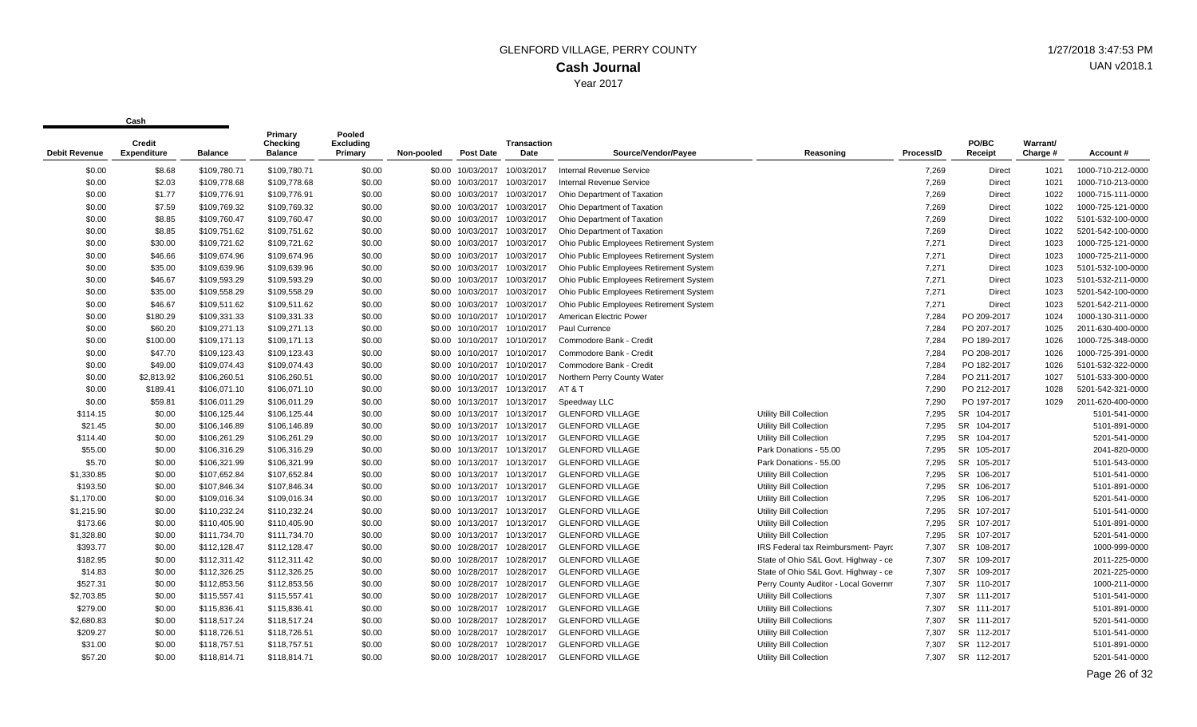| <b>Debit Revenue</b> | Credit<br><b>Expenditure</b> | <b>Balance</b> | Primary<br>Checking<br><b>Balance</b> | Pooled<br><b>Excluding</b><br>Primary | Non-pooled | <b>Post Date</b>             | <b>Transaction</b><br>Date   | Source/Vendor/Payee                     | Reasoning                            | ProcessID | PO/BC<br>Receipt      | Warrant/<br>Charge # | Account#          |
|----------------------|------------------------------|----------------|---------------------------------------|---------------------------------------|------------|------------------------------|------------------------------|-----------------------------------------|--------------------------------------|-----------|-----------------------|----------------------|-------------------|
| \$0.00               | \$8.68                       | \$109,780.71   | \$109,780.71                          | \$0.00                                |            | \$0.00 10/03/2017            | 10/03/2017                   | Internal Revenue Service                |                                      | 7,269     | Direct                | 1021                 | 1000-710-212-0000 |
| \$0.00               | \$2.03                       | \$109,778.68   | \$109,778.68                          | \$0.00                                |            | \$0.00 10/03/2017            | 10/03/2017                   | <b>Internal Revenue Service</b>         |                                      | 7,269     | Direct                | 1021                 | 1000-710-213-0000 |
| \$0.00               | \$1.77                       | \$109,776.91   | \$109,776.91                          | \$0.00                                |            | \$0.00 10/03/2017            | 10/03/2017                   | Ohio Department of Taxation             |                                      | 7,269     | Direct                | 1022                 | 1000-715-111-0000 |
| \$0.00               | \$7.59                       | \$109,769.32   | \$109,769.32                          | \$0.00                                |            | \$0.00 10/03/2017            | 10/03/2017                   | Ohio Department of Taxation             |                                      | 7,269     | Direct                | 1022                 | 1000-725-121-0000 |
| \$0.00               | \$8.85                       | \$109,760.47   | \$109,760.47                          | \$0.00                                |            | \$0.00 10/03/2017            | 10/03/2017                   | Ohio Department of Taxation             |                                      | 7,269     | <b>Direct</b>         | 1022                 | 5101-532-100-0000 |
| \$0.00               | \$8.85                       | \$109,751.62   | \$109,751.62                          | \$0.00                                |            | \$0.00 10/03/2017            | 10/03/2017                   | Ohio Department of Taxation             |                                      | 7,269     | <b>Direct</b>         | 1022                 | 5201-542-100-0000 |
| \$0.00               | \$30.00                      | \$109,721.62   | \$109,721.62                          | \$0.00                                |            | \$0.00 10/03/2017            | 10/03/2017                   | Ohio Public Employees Retirement System |                                      | 7,271     | <b>Direct</b>         | 1023                 | 1000-725-121-0000 |
| \$0.00               | \$46.66                      | \$109,674.96   | \$109,674.96                          | \$0.00                                |            | \$0.00 10/03/2017            | 10/03/2017                   | Ohio Public Employees Retirement System |                                      | 7,271     | Direct                | 1023                 | 1000-725-211-0000 |
| \$0.00               | \$35.00                      | \$109,639.96   | \$109,639.96                          | \$0.00                                |            | \$0.00 10/03/2017            | 10/03/2017                   | Ohio Public Employees Retirement System |                                      | 7,271     | Direct                | 1023                 | 5101-532-100-0000 |
| \$0.00               | \$46.67                      | \$109,593.29   | \$109,593.29                          | \$0.00                                | \$0.00     | 10/03/2017                   | 10/03/2017                   | Ohio Public Employees Retirement System |                                      | 7,271     | <b>Direct</b>         | 1023                 | 5101-532-211-0000 |
| \$0.00               | \$35.00                      | \$109,558.29   | \$109,558.29                          | \$0.00                                |            | \$0.00 10/03/2017            | 10/03/2017                   | Ohio Public Employees Retirement System |                                      | 7,271     | <b>Direct</b>         | 1023                 | 5201-542-100-0000 |
| \$0.00               | \$46.67                      | \$109,511.62   | \$109,511.62                          | \$0.00                                |            | \$0.00 10/03/2017            | 10/03/2017                   | Ohio Public Employees Retirement System |                                      | 7.271     | <b>Direct</b>         | 1023                 | 5201-542-211-0000 |
| \$0.00               | \$180.29                     | \$109,331.33   | \$109,331.33                          | \$0.00                                |            | \$0.00 10/10/2017            | 10/10/2017                   | American Electric Power                 |                                      | 7,284     | PO 209-2017           | 1024                 | 1000-130-311-0000 |
| \$0.00               | \$60.20                      | \$109,271.13   | \$109,271.13                          | \$0.00                                |            | \$0.00 10/10/2017            | 10/10/2017                   | Paul Currence                           |                                      | 7,284     | PO 207-2017           | 1025                 | 2011-630-400-0000 |
| \$0.00               | \$100.00                     | \$109,171.13   | \$109,171.13                          | \$0.00                                |            | \$0.00 10/10/2017 10/10/2017 |                              | Commodore Bank - Credit                 |                                      | 7,284     | PO 189-2017           | 1026                 | 1000-725-348-0000 |
| \$0.00               | \$47.70                      | \$109,123.43   | \$109,123.43                          | \$0.00                                |            | \$0.00 10/10/2017            | 10/10/2017                   | Commodore Bank - Credit                 |                                      | 7,284     | PO 208-2017           | 1026                 | 1000-725-391-0000 |
| \$0.00               | \$49.00                      | \$109,074.43   | \$109,074.43                          | \$0.00                                |            | \$0.00 10/10/2017            | 10/10/2017                   | Commodore Bank - Credit                 |                                      | 7.284     | PO 182-2017           | 1026                 | 5101-532-322-0000 |
| \$0.00               | \$2,813.92                   | \$106,260.51   | \$106,260.51                          | \$0.00                                |            | \$0.00 10/10/2017            | 10/10/2017                   | Northern Perry County Water             |                                      | 7.284     | PO 211-2017           | 1027                 | 5101-533-300-0000 |
| \$0.00               | \$189.41                     | \$106,071.10   | \$106,071.10                          | \$0.00                                |            |                              | \$0.00 10/13/2017 10/13/2017 | AT&T                                    |                                      | 7,290     | PO 212-2017           | 1028                 | 5201-542-321-0000 |
| \$0.00               | \$59.81                      | \$106,011.29   | \$106,011.29                          | \$0.00                                |            | \$0.00 10/13/2017            | 10/13/2017                   | Speedway LLC                            |                                      | 7,290     | PO 197-2017           | 1029                 | 2011-620-400-0000 |
| \$114.15             | \$0.00                       | \$106,125.44   | \$106,125.44                          | \$0.00                                |            | \$0.00 10/13/2017            | 10/13/2017                   | <b>GLENFORD VILLAGE</b>                 | Utility Bill Collection              | 7,295     | SR 104-2017           |                      | 5101-541-0000     |
| \$21.45              | \$0.00                       | \$106,146.89   | \$106,146.89                          | \$0.00                                |            | \$0.00 10/13/2017            | 10/13/2017                   | <b>GLENFORD VILLAGE</b>                 | Utility Bill Collection              | 7,295     | SR 104-2017           |                      | 5101-891-0000     |
| \$114.40             | \$0.00                       | \$106,261.29   | \$106,261.29                          | \$0.00                                |            | \$0.00 10/13/2017            | 10/13/2017                   | <b>GLENFORD VILLAGE</b>                 | Utility Bill Collection              | 7,295     | SR 104-2017           |                      | 5201-541-0000     |
| \$55.00              | \$0.00                       | \$106,316.29   | \$106,316.29                          | \$0.00                                |            | \$0.00 10/13/2017            | 10/13/2017                   | <b>GLENFORD VILLAGE</b>                 | Park Donations - 55.00               | 7,295     | SR 105-2017           |                      | 2041-820-0000     |
| \$5.70               | \$0.00                       | \$106,321.99   | \$106,321.99                          | \$0.00                                |            | \$0.00 10/13/2017            | 10/13/2017                   | <b>GLENFORD VILLAGE</b>                 | Park Donations - 55.00               | 7,295     | SR 105-2017           |                      | 5101-543-0000     |
| \$1,330.85           | \$0.00                       | \$107,652.84   | \$107,652.84                          | \$0.00                                |            | \$0.00 10/13/2017            | 10/13/2017                   | <b>GLENFORD VILLAGE</b>                 | Utility Bill Collection              | 7,295     | SR 106-2017           |                      | 5101-541-0000     |
| \$193.50             | \$0.00                       | \$107,846.34   | \$107,846.34                          | \$0.00                                | \$0.00     | 10/13/2017                   | 10/13/2017                   | <b>GLENFORD VILLAGE</b>                 | Utility Bill Collection              | 7,295     | SR 106-2017           |                      | 5101-891-0000     |
| \$1,170.00           | \$0.00                       | \$109,016.34   | \$109,016.34                          | \$0.00                                |            | \$0.00 10/13/2017            | 10/13/2017                   | <b>GLENFORD VILLAGE</b>                 | <b>Utility Bill Collection</b>       | 7,295     | SR 106-2017           |                      | 5201-541-0000     |
| \$1,215.90           | \$0.00                       | \$110,232.24   | \$110,232.24                          | \$0.00                                |            |                              | \$0.00 10/13/2017 10/13/2017 | <b>GLENFORD VILLAGE</b>                 | Utility Bill Collection              | 7,295     | SR 107-2017           |                      | 5101-541-0000     |
| \$173.66             | \$0.00                       | \$110,405.90   | \$110,405.90                          | \$0.00                                |            | \$0.00 10/13/2017            | 10/13/2017                   | <b>GLENFORD VILLAGE</b>                 | Utility Bill Collection              | 7,295     | SR 107-2017           |                      | 5101-891-0000     |
| \$1,328.80           | \$0.00                       | \$111,734.70   | \$111,734.70                          | \$0.00                                |            | \$0.00 10/13/2017            | 10/13/2017                   | <b>GLENFORD VILLAGE</b>                 | Utility Bill Collection              | 7,295     | SR 107-2017           |                      | 5201-541-0000     |
| \$393.77             | \$0.00                       | \$112,128.47   | \$112,128.47                          | \$0.00                                |            | \$0.00 10/28/2017            | 10/28/2017                   | <b>GLENFORD VILLAGE</b>                 | IRS Federal tax Reimbursment- Payrc  | 7,307     | SR 108-2017           |                      | 1000-999-0000     |
| \$182.95             | \$0.00                       | \$112,311.42   | \$112,311.42                          | \$0.00                                |            | \$0.00 10/28/2017            | 10/28/2017                   | <b>GLENFORD VILLAGE</b>                 | State of Ohio S&L Govt. Highway - ce | 7,307     | SR 109-2017           |                      | 2011-225-0000     |
| \$14.83              | \$0.00                       | \$112,326.25   | \$112,326.25                          | \$0.00                                |            | \$0.00 10/28/2017            | 10/28/2017                   | <b>GLENFORD VILLAGE</b>                 | State of Ohio S&L Govt. Highway - ce | 7.307     | <b>SR</b><br>109-2017 |                      | 2021-225-0000     |
| \$527.31             | \$0.00                       | \$112,853.56   | \$112,853.56                          | \$0.00                                |            | \$0.00 10/28/2017            | 10/28/2017                   | <b>GLENFORD VILLAGE</b>                 | Perry County Auditor - Local Governm | 7,307     | SR 110-2017           |                      | 1000-211-0000     |
| \$2,703.85           | \$0.00                       | \$115,557.41   | \$115,557.41                          | \$0.00                                |            | \$0.00 10/28/2017            | 10/28/2017                   | <b>GLENFORD VILLAGE</b>                 | <b>Utility Bill Collections</b>      | 7,307     | SR 111-2017           |                      | 5101-541-0000     |
| \$279.00             | \$0.00                       | \$115,836.41   | \$115,836.41                          | \$0.00                                | \$0.00     | 10/28/2017                   | 10/28/2017                   | <b>GLENFORD VILLAGE</b>                 | <b>Utility Bill Collections</b>      | 7,307     | SR 111-2017           |                      | 5101-891-0000     |
| \$2.680.83           | \$0.00                       | \$118,517.24   | \$118,517.24                          | \$0.00                                |            | \$0.00 10/28/2017            | 10/28/2017                   | <b>GLENFORD VILLAGE</b>                 | <b>Utility Bill Collections</b>      | 7,307     | SR 111-2017           |                      | 5201-541-0000     |
| \$209.27             | \$0.00                       | \$118,726.51   | \$118,726.51                          | \$0.00                                |            | \$0.00 10/28/2017            | 10/28/2017                   | <b>GLENFORD VILLAGE</b>                 | Utility Bill Collection              | 7.307     | SR 112-2017           |                      | 5101-541-0000     |
| \$31.00              | \$0.00                       | \$118,757.51   | \$118,757.51                          | \$0.00                                |            | \$0.00 10/28/2017            | 10/28/2017                   | <b>GLENFORD VILLAGE</b>                 | Utility Bill Collection              | 7.307     | SR 112-2017           |                      | 5101-891-0000     |
| \$57.20              | \$0.00                       | \$118,814.71   | \$118,814.71                          | \$0.00                                |            | \$0.00 10/28/2017            | 10/28/2017                   | <b>GLENFORD VILLAGE</b>                 | Utility Bill Collection              | 7.307     | SR 112-2017           |                      | 5201-541-0000     |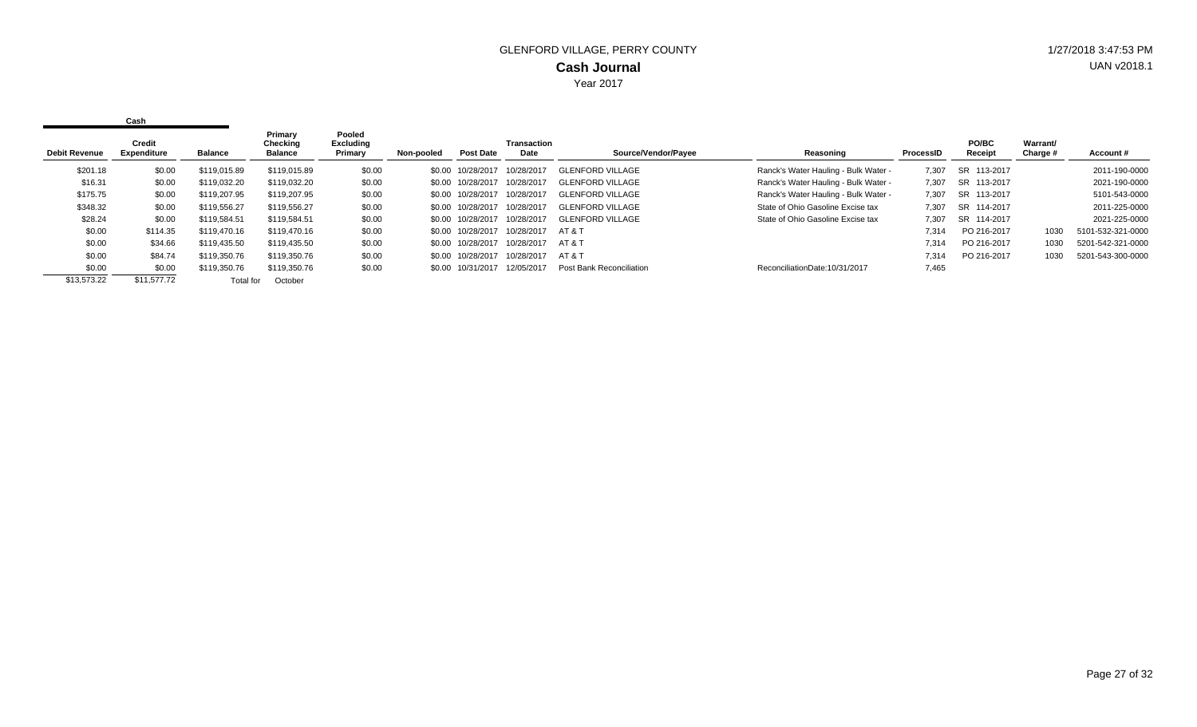| <b>Debit Revenue</b> | Credit<br>Expenditure | Balance      | Primary<br>Checking<br>Balance | Pooled<br><b>Excluding</b><br>Primary | Non-pooled | <b>Post Date</b>  | Transaction<br>Date | Source/Vendor/Payee      | Reasoning                            | <b>ProcessID</b> | <b>PO/BC</b><br>Receipt | Warrant/<br>Charge # | Account#          |
|----------------------|-----------------------|--------------|--------------------------------|---------------------------------------|------------|-------------------|---------------------|--------------------------|--------------------------------------|------------------|-------------------------|----------------------|-------------------|
|                      |                       |              |                                |                                       |            |                   |                     |                          |                                      |                  |                         |                      |                   |
| \$201.18             | \$0.00                | \$119.015.89 | \$119.015.89                   | \$0.00                                |            | \$0.00 10/28/2017 | 10/28/2017          | <b>GLENFORD VILLAGE</b>  | Ranck's Water Hauling - Bulk Water - | 7.307            | SR 113-2017             |                      | 2011-190-0000     |
| \$16.31              | \$0.00                | \$119.032.20 | \$119,032.20                   | \$0.00                                |            | \$0.00 10/28/2017 | 10/28/2017          | <b>GLENFORD VILLAGE</b>  | Ranck's Water Hauling - Bulk Water - | 7.307            | SR 113-2017             |                      | 2021-190-0000     |
| \$175.75             | \$0.00                | \$119,207.95 | \$119,207.95                   | \$0.00                                |            | \$0.00 10/28/2017 | 10/28/2017          | <b>GLENFORD VILLAGE</b>  | Ranck's Water Hauling - Bulk Water - | 7.307            | SR 113-2017             |                      | 5101-543-0000     |
| \$348.32             | \$0.00                | \$119,556.27 | \$119,556.27                   | \$0.00                                |            | \$0.00 10/28/2017 | 10/28/2017          | <b>GLENFORD VILLAGE</b>  | State of Ohio Gasoline Excise tax    | 7.307            | SR 114-2017             |                      | 2011-225-0000     |
| \$28.24              | \$0.00                | \$119.584.51 | \$119,584.51                   | \$0.00                                |            | \$0.00 10/28/2017 | 10/28/2017          | <b>GLENFORD VILLAGE</b>  | State of Ohio Gasoline Excise tax    | 7.307            | SR 114-2017             |                      | 2021-225-0000     |
| \$0.00               | \$114.35              | \$119,470.16 | \$119,470.16                   | \$0.00                                |            | \$0.00 10/28/2017 | 10/28/2017          | AT & T                   |                                      | 7,314            | PO 216-2017             | 1030                 | 5101-532-321-0000 |
| \$0.00               | \$34.66               | \$119,435.50 | \$119,435.50                   | \$0.00                                |            | \$0.00 10/28/2017 | 10/28/2017          | AT & T                   |                                      | 7,314            | PO 216-2017             | 1030                 | 5201-542-321-0000 |
| \$0.00               | \$84.74               | \$119,350.76 | \$119,350.76                   | \$0.00                                |            | \$0.00 10/28/2017 | 10/28/2017          | AT & T                   |                                      | 7.314            | PO 216-2017             | 1030                 | 5201-543-300-0000 |
| \$0.00               | \$0.00                | \$119,350.76 | \$119,350.76                   | \$0.00                                |            | \$0.00 10/31/2017 | 12/05/2017          | Post Bank Reconciliation | ReconciliationDate:10/31/2017        | 7,465            |                         |                      |                   |
| \$13,573.22          | \$11.577.72           | Total for    | October                        |                                       |            |                   |                     |                          |                                      |                  |                         |                      |                   |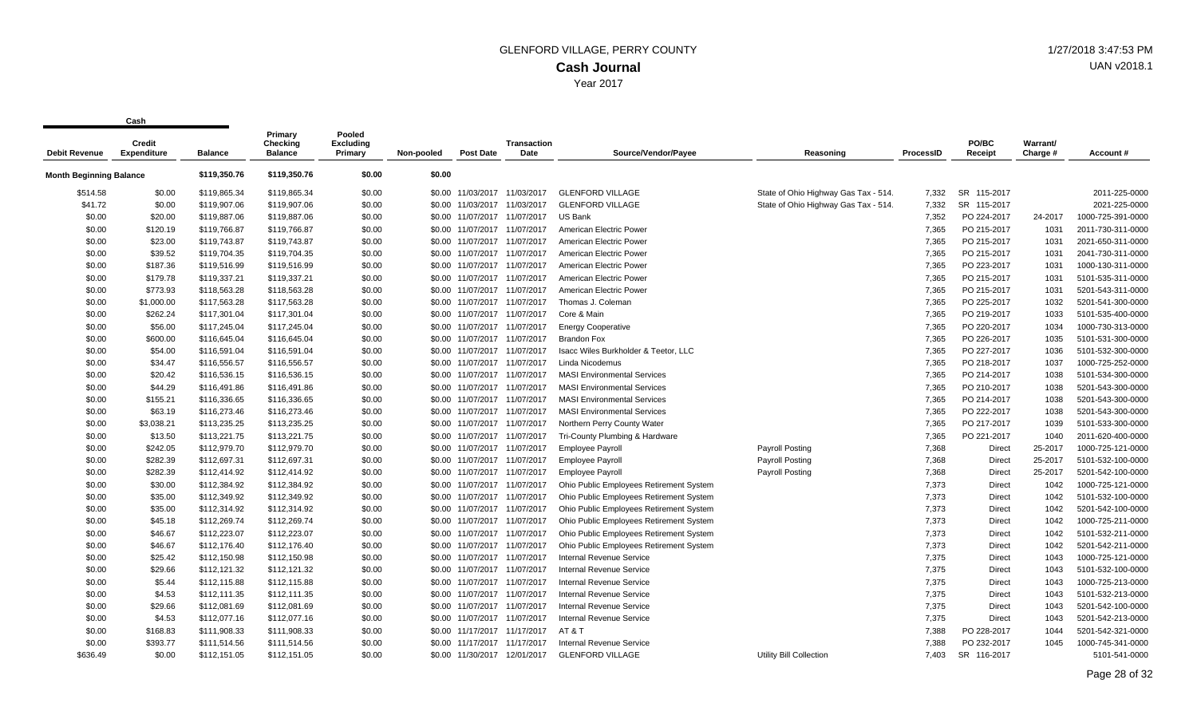| <b>Debit Revenue</b>           | Credit<br><b>Expenditure</b> | <b>Balance</b> | Primary<br>Checking<br><b>Balance</b> | Pooled<br><b>Excluding</b><br>Primary | Non-pooled | <b>Post Date</b>             | <b>Transaction</b><br>Date | Source/Vendor/Payee                     | Reasoning                            | <b>ProcessID</b> | PO/BC<br>Receipt | Warrant/<br>Charge # | Account#          |
|--------------------------------|------------------------------|----------------|---------------------------------------|---------------------------------------|------------|------------------------------|----------------------------|-----------------------------------------|--------------------------------------|------------------|------------------|----------------------|-------------------|
| <b>Month Beginning Balance</b> |                              | \$119,350.76   | \$119,350.76                          | \$0.00                                | \$0.00     |                              |                            |                                         |                                      |                  |                  |                      |                   |
|                                |                              |                |                                       |                                       |            |                              |                            |                                         |                                      |                  |                  |                      |                   |
| \$514.58                       | \$0.00                       | \$119,865.34   | \$119,865.34                          | \$0.00                                |            | \$0.00 11/03/2017            | 11/03/2017                 | <b>GLENFORD VILLAGE</b>                 | State of Ohio Highway Gas Tax - 514. | 7.332            | SR 115-2017      |                      | 2011-225-0000     |
| \$41.72                        | \$0.00                       | \$119,907.06   | \$119,907.06                          | \$0.00                                | \$0.00     | 11/03/2017                   | 11/03/2017                 | <b>GLENFORD VILLAGE</b>                 | State of Ohio Highway Gas Tax - 514. | 7,332            | SR 115-2017      |                      | 2021-225-0000     |
| \$0.00                         | \$20.00                      | \$119,887.06   | \$119,887.06                          | \$0.00                                |            | \$0.00 11/07/2017 11/07/2017 |                            | <b>US Bank</b>                          |                                      | 7,352            | PO 224-2017      | 24-2017              | 1000-725-391-0000 |
| \$0.00                         | \$120.19                     | \$119,766.87   | \$119,766.87                          | \$0.00                                | \$0.00     | 11/07/2017 11/07/2017        |                            | American Electric Power                 |                                      | 7.365            | PO 215-2017      | 1031                 | 2011-730-311-0000 |
| \$0.00                         | \$23.00                      | \$119,743.87   | \$119,743.87                          | \$0.00                                | \$0.00     | 11/07/2017 11/07/2017        |                            | American Electric Power                 |                                      | 7,365            | PO 215-2017      | 1031                 | 2021-650-311-0000 |
| \$0.00                         | \$39.52                      | \$119,704.35   | \$119,704.35                          | \$0.00                                |            | \$0.00 11/07/2017 11/07/2017 |                            | American Electric Power                 |                                      | 7,365            | PO 215-2017      | 1031                 | 2041-730-311-0000 |
| \$0.00                         | \$187.36                     | \$119,516.99   | \$119,516.99                          | \$0.00                                |            | \$0.00 11/07/2017 11/07/2017 |                            | American Electric Power                 |                                      | 7,365            | PO 223-2017      | 1031                 | 1000-130-311-0000 |
| \$0.00                         | \$179.78                     | \$119,337.21   | \$119,337.21                          | \$0.00                                | \$0.00     | 11/07/2017                   | 11/07/2017                 | American Electric Power                 |                                      | 7,365            | PO 215-2017      | 1031                 | 5101-535-311-0000 |
| \$0.00                         | \$773.93                     | \$118,563.28   | \$118,563.28                          | \$0.00                                | \$0.00     | 11/07/2017 11/07/2017        |                            | American Electric Power                 |                                      | 7,365            | PO 215-2017      | 1031                 | 5201-543-311-0000 |
| \$0.00                         | \$1,000.00                   | \$117,563.28   | \$117,563.28                          | \$0.00                                |            | \$0.00 11/07/2017 11/07/2017 |                            | Thomas J. Coleman                       |                                      | 7.365            | PO 225-2017      | 1032                 | 5201-541-300-0000 |
| \$0.00                         | \$262.24                     | \$117,301.04   | \$117,301.04                          | \$0.00                                |            | \$0.00 11/07/2017 11/07/2017 |                            | Core & Main                             |                                      | 7,365            | PO 219-2017      | 1033                 | 5101-535-400-0000 |
| \$0.00                         | \$56.00                      | \$117,245.04   | \$117,245.04                          | \$0.00                                | \$0.00     | 11/07/2017 11/07/2017        |                            | <b>Energy Cooperative</b>               |                                      | 7,365            | PO 220-2017      | 1034                 | 1000-730-313-0000 |
| \$0.00                         | \$600.00                     | \$116,645.04   | \$116,645.04                          | \$0.00                                |            | \$0.00 11/07/2017 11/07/2017 |                            | <b>Brandon Fox</b>                      |                                      | 7,365            | PO 226-2017      | 1035                 | 5101-531-300-0000 |
| \$0.00                         | \$54.00                      | \$116,591.04   | \$116,591.04                          | \$0.00                                | \$0.00     | 11/07/2017 11/07/2017        |                            | Isacc Wiles Burkholder & Teetor, LLC    |                                      | 7,365            | PO 227-2017      | 1036                 | 5101-532-300-0000 |
| \$0.00                         | \$34.47                      | \$116,556.57   | \$116,556.57                          | \$0.00                                | \$0.00     | 11/07/2017 11/07/2017        |                            | Linda Nicodemus                         |                                      | 7,365            | PO 218-2017      | 1037                 | 1000-725-252-0000 |
| \$0.00                         | \$20.42                      | \$116,536.15   | \$116,536.15                          | \$0.00                                |            | \$0.00 11/07/2017 11/07/2017 |                            | <b>MASI Environmental Services</b>      |                                      | 7,365            | PO 214-2017      | 1038                 | 5101-534-300-0000 |
| \$0.00                         | \$44.29                      | \$116,491.86   | \$116,491.86                          | \$0.00                                |            | \$0.00 11/07/2017 11/07/2017 |                            | <b>MASI Environmental Services</b>      |                                      | 7,365            | PO 210-2017      | 1038                 | 5201-543-300-0000 |
| \$0.00                         | \$155.21                     | \$116,336.65   | \$116,336.65                          | \$0.00                                | \$0.00     | 11/07/2017                   | 11/07/2017                 | <b>MASI Environmental Services</b>      |                                      | 7,365            | PO 214-2017      | 1038                 | 5201-543-300-0000 |
| \$0.00                         | \$63.19                      | \$116,273.46   | \$116,273.46                          | \$0.00                                |            | \$0.00 11/07/2017 11/07/2017 |                            | <b>MASI Environmental Services</b>      |                                      | 7,365            | PO 222-2017      | 1038                 | 5201-543-300-0000 |
| \$0.00                         | \$3,038.21                   | \$113,235.25   | \$113,235.25                          | \$0.00                                |            | \$0.00 11/07/2017 11/07/2017 |                            | Northern Perry County Water             |                                      | 7.365            | PO 217-2017      | 1039                 | 5101-533-300-0000 |
| \$0.00                         | \$13.50                      | \$113,221.75   | \$113,221.75                          | \$0.00                                |            | \$0.00 11/07/2017 11/07/2017 |                            | Tri-County Plumbing & Hardware          |                                      | 7,365            | PO 221-2017      | 1040                 | 2011-620-400-0000 |
| \$0.00                         | \$242.05                     | \$112,979.70   | \$112,979.70                          | \$0.00                                | \$0.00     | 11/07/2017 11/07/2017        |                            | Employee Payroll                        | Payroll Posting                      | 7,368            | Direct           | 25-2017              | 1000-725-121-0000 |
| \$0.00                         | \$282.39                     | \$112,697.31   | \$112,697.31                          | \$0.00                                |            | \$0.00 11/07/2017 11/07/2017 |                            | <b>Employee Payroll</b>                 | <b>Payroll Posting</b>               | 7,368            | <b>Direct</b>    | 25-2017              | 5101-532-100-0000 |
| \$0.00                         | \$282.39                     | \$112,414.92   | \$112,414.92                          | \$0.00                                | \$0.00     | 11/07/2017 11/07/2017        |                            | <b>Employee Payroll</b>                 | <b>Payroll Posting</b>               | 7,368            | Direct           | 25-2017              | 5201-542-100-0000 |
| \$0.00                         | \$30.00                      | \$112,384.92   | \$112,384.92                          | \$0.00                                | \$0.00     | 11/07/2017 11/07/2017        |                            | Ohio Public Employees Retirement System |                                      | 7,373            | Direct           | 1042                 | 1000-725-121-0000 |
| \$0.00                         | \$35.00                      | \$112,349.92   | \$112,349.92                          | \$0.00                                |            | \$0.00 11/07/2017 11/07/2017 |                            | Ohio Public Employees Retirement System |                                      | 7,373            | Direct           | 1042                 | 5101-532-100-0000 |
| \$0.00                         | \$35.00                      | \$112,314.92   | \$112,314.92                          | \$0.00                                |            | \$0.00 11/07/2017 11/07/2017 |                            | Ohio Public Employees Retirement System |                                      | 7,373            | Direct           | 1042                 | 5201-542-100-0000 |
| \$0.00                         | \$45.18                      | \$112,269.74   | \$112,269.74                          | \$0.00                                | \$0.00     | 11/07/2017 11/07/2017        |                            | Ohio Public Employees Retirement System |                                      | 7,373            | <b>Direct</b>    | 1042                 | 1000-725-211-0000 |
| \$0.00                         | \$46.67                      | \$112,223.07   | \$112,223.07                          | \$0.00                                |            | \$0.00 11/07/2017 11/07/2017 |                            | Ohio Public Employees Retirement System |                                      | 7,373            | Direct           | 1042                 | 5101-532-211-0000 |
| \$0.00                         | \$46.67                      | \$112,176.40   | \$112,176.40                          | \$0.00                                |            | \$0.00 11/07/2017 11/07/2017 |                            | Ohio Public Employees Retirement System |                                      | 7,373            | <b>Direct</b>    | 1042                 | 5201-542-211-0000 |
| \$0.00                         | \$25.42                      | \$112,150.98   | \$112,150.98                          | \$0.00                                |            | \$0.00 11/07/2017 11/07/2017 |                            | <b>Internal Revenue Service</b>         |                                      | 7,375            | Direct           | 1043                 | 1000-725-121-0000 |
| \$0.00                         | \$29.66                      | \$112,121.32   | \$112,121.32                          | \$0.00                                |            | \$0.00 11/07/2017 11/07/2017 |                            | <b>Internal Revenue Service</b>         |                                      | 7,375            | Direct           | 1043                 | 5101-532-100-0000 |
| \$0.00                         | \$5.44                       | \$112,115.88   | \$112,115.88                          | \$0.00                                |            | \$0.00 11/07/2017 11/07/2017 |                            | <b>Internal Revenue Service</b>         |                                      | 7,375            | Direct           | 1043                 | 1000-725-213-0000 |
| \$0.00                         | \$4.53                       | \$112,111.35   | \$112,111.35                          | \$0.00                                | \$0.00     | 11/07/2017 11/07/2017        |                            | Internal Revenue Service                |                                      | 7,375            | Direct           | 1043                 | 5101-532-213-0000 |
| \$0.00                         | \$29.66                      | \$112,081.69   | \$112,081.69                          | \$0.00                                | \$0.00     | 11/07/2017 11/07/2017        |                            | <b>Internal Revenue Service</b>         |                                      | 7,375            | Direct           | 1043                 | 5201-542-100-0000 |
| \$0.00                         | \$4.53                       | \$112,077.16   | \$112,077.16                          | \$0.00                                |            | \$0.00 11/07/2017 11/07/2017 |                            | <b>Internal Revenue Service</b>         |                                      | 7,375            | <b>Direct</b>    | 1043                 | 5201-542-213-0000 |
| \$0.00                         | \$168.83                     | \$111,908.33   | \$111,908.33                          | \$0.00                                |            | \$0.00 11/17/2017 11/17/2017 |                            | AT&T                                    |                                      | 7.388            | PO 228-2017      | 1044                 | 5201-542-321-0000 |
| \$0.00                         | \$393.77                     | \$111,514.56   | \$111,514.56                          | \$0.00                                | \$0.00     | 11/17/2017                   | 11/17/2017                 | <b>Internal Revenue Service</b>         |                                      | 7.388            | PO 232-2017      | 1045                 | 1000-745-341-0000 |
| \$636.49                       | \$0.00                       | \$112,151.05   | \$112,151.05                          | \$0.00                                |            | \$0.00 11/30/2017 12/01/2017 |                            | <b>GLENFORD VILLAGE</b>                 | <b>Utility Bill Collection</b>       | 7.403            | SR 116-2017      |                      | 5101-541-0000     |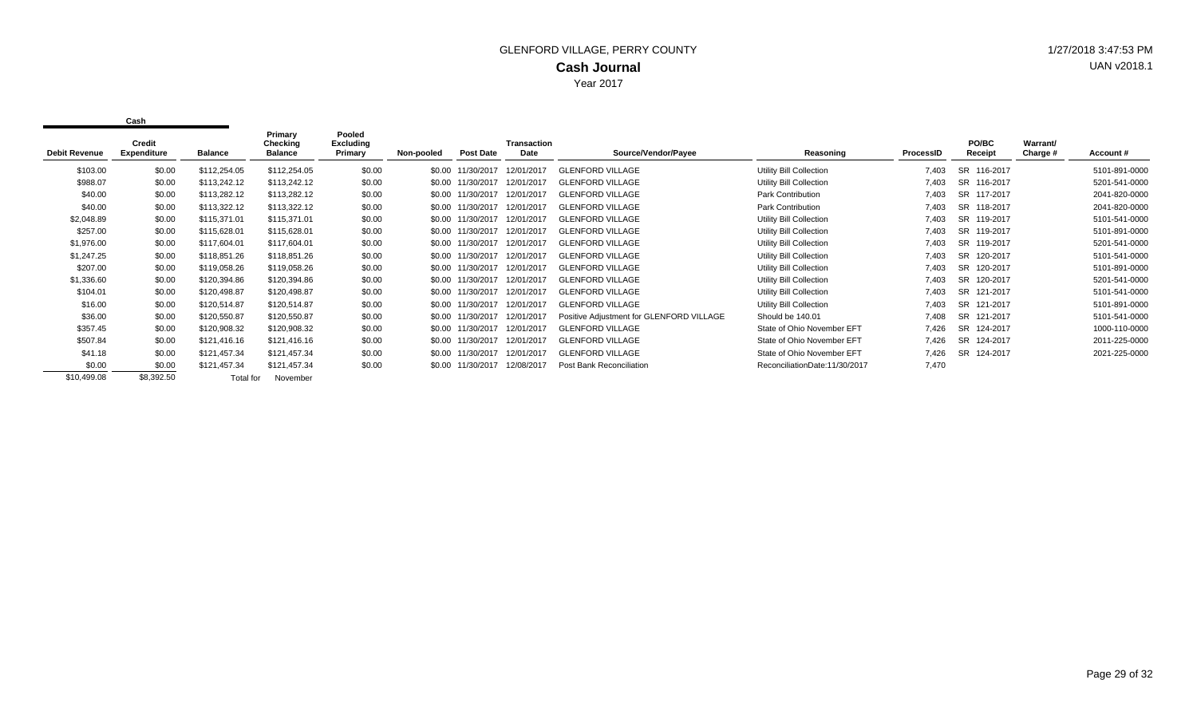| <b>Debit Revenue</b> | Credit<br><b>Expenditure</b><br>Balance |              | Primary<br>Checking<br><b>Balance</b> | Pooled<br>Excluding<br>Primary | Non-pooled | <b>Post Date</b>  | <b>Transaction</b><br>Date | Source/Vendor/Payee                      | Reasoning                     | ProcessID | PO/BC<br>Receipt      | Warrant/<br>Charge # | Account#      |
|----------------------|-----------------------------------------|--------------|---------------------------------------|--------------------------------|------------|-------------------|----------------------------|------------------------------------------|-------------------------------|-----------|-----------------------|----------------------|---------------|
| \$103.00             | \$0.00                                  | \$112,254.05 | \$112,254.05                          | \$0.00                         |            | \$0.00 11/30/2017 | 12/01/2017                 | <b>GLENFORD VILLAGE</b>                  | Utility Bill Collection       | 7,403     | SR 116-2017           |                      | 5101-891-0000 |
| \$988.07             | \$0.00                                  | \$113,242.12 | \$113,242.12                          | \$0.00                         |            | \$0.00 11/30/2017 | 12/01/2017                 | <b>GLENFORD VILLAGE</b>                  | Utility Bill Collection       | 7,403     | SR 116-2017           |                      | 5201-541-0000 |
| \$40.00              | \$0.00                                  | \$113,282.12 | \$113,282.12                          | \$0.00                         |            | \$0.00 11/30/2017 | 12/01/2017                 | <b>GLENFORD VILLAGE</b>                  | Park Contribution             | 7,403     | SR 117-2017           |                      | 2041-820-0000 |
| \$40.00              | \$0.00                                  | \$113,322.12 | \$113,322.12                          | \$0.00                         |            | \$0.00 11/30/2017 | 12/01/2017                 | <b>GLENFORD VILLAGE</b>                  | Park Contribution             | 7,403     | SR 118-2017           |                      | 2041-820-0000 |
| \$2,048.89           | \$0.00                                  | \$115,371.01 | \$115,371.01                          | \$0.00                         |            | \$0.00 11/30/2017 | 12/01/2017                 | <b>GLENFORD VILLAGE</b>                  | Utility Bill Collection       | 7,403     | SR.<br>119-2017       |                      | 5101-541-0000 |
| \$257.00             | \$0.00                                  | \$115,628.01 | \$115,628.01                          | \$0.00                         |            | \$0.00 11/30/2017 | 12/01/2017                 | <b>GLENFORD VILLAGE</b>                  | Utility Bill Collection       | 7,403     | <b>SR</b><br>119-2017 |                      | 5101-891-0000 |
| \$1,976.00           | \$0.00                                  | \$117,604.01 | \$117,604.01                          | \$0.00                         |            | \$0.00 11/30/2017 | 12/01/2017                 | <b>GLENFORD VILLAGE</b>                  | Utility Bill Collection       | 7,403     | SR 119-2017           |                      | 5201-541-0000 |
| \$1,247.25           | \$0.00                                  | \$118,851.26 | \$118,851.26                          | \$0.00                         |            | \$0.00 11/30/2017 | 12/01/2017                 | <b>GLENFORD VILLAGE</b>                  | Utility Bill Collection       | 7,403     | SR 120-2017           |                      | 5101-541-0000 |
| \$207.00             | \$0.00                                  | \$119,058.26 | \$119,058.26                          | \$0.00                         |            | \$0.00 11/30/2017 | 12/01/2017                 | <b>GLENFORD VILLAGE</b>                  | Utility Bill Collection       | 7,403     | SR 120-2017           |                      | 5101-891-0000 |
| \$1,336.60           | \$0.00                                  | \$120,394.86 | \$120,394.86                          | \$0.00                         |            | \$0.00 11/30/2017 | 12/01/2011                 | <b>GLENFORD VILLAGE</b>                  | Utility Bill Collection       | 7,403     | <b>SR</b><br>120-2017 |                      | 5201-541-0000 |
| \$104.01             | \$0.00                                  | \$120,498.87 | \$120,498.87                          | \$0.00                         |            | \$0.00 11/30/2017 | 12/01/2017                 | <b>GLENFORD VILLAGE</b>                  | Utility Bill Collection       | 7,403     | SR 121-2017           |                      | 5101-541-0000 |
| \$16.00              | \$0.00                                  | \$120,514.87 | \$120,514.87                          | \$0.00                         |            | \$0.00 11/30/2017 | 12/01/2017                 | <b>GLENFORD VILLAGE</b>                  | Utility Bill Collection       | 7,403     | <b>SR</b><br>121-2017 |                      | 5101-891-0000 |
| \$36.00              | \$0.00                                  | \$120,550.87 | \$120,550.87                          | \$0.00                         |            | \$0.00 11/30/2017 | 12/01/2017                 | Positive Adjustment for GLENFORD VILLAGE | Should be 140.01              | 7,408     | SR 121-2017           |                      | 5101-541-0000 |
| \$357.45             | \$0.00                                  | \$120,908.32 | \$120,908.32                          | \$0.00                         |            | \$0.00 11/30/2017 | 12/01/2017                 | <b>GLENFORD VILLAGE</b>                  | State of Ohio November EFT    | 7.426     | SR 124-2017           |                      | 1000-110-0000 |
| \$507.84             | \$0.00                                  | \$121,416.16 | \$121,416.16                          | \$0.00                         |            | \$0.00 11/30/2017 | 12/01/201                  | <b>GLENFORD VILLAGE</b>                  | State of Ohio November EFT    | 7,426     | SR 124-2017           |                      | 2011-225-0000 |
| \$41.18              | \$0.00                                  | \$121,457.34 | \$121,457.34                          | \$0.00                         |            | \$0.00 11/30/2017 | 12/01/2017                 | <b>GLENFORD VILLAGE</b>                  | State of Ohio November EFT    | 7.426     | SR 124-2017           |                      | 2021-225-0000 |
| \$0.00               | \$0.00                                  | \$121,457.34 | \$121,457.34                          | \$0.00                         |            | \$0.00 11/30/2017 | 12/08/2017                 | Post Bank Reconciliation                 | ReconciliationDate:11/30/2017 | 7,470     |                       |                      |               |
| \$10,499.08          | \$8,392.50                              | Total for    | November                              |                                |            |                   |                            |                                          |                               |           |                       |                      |               |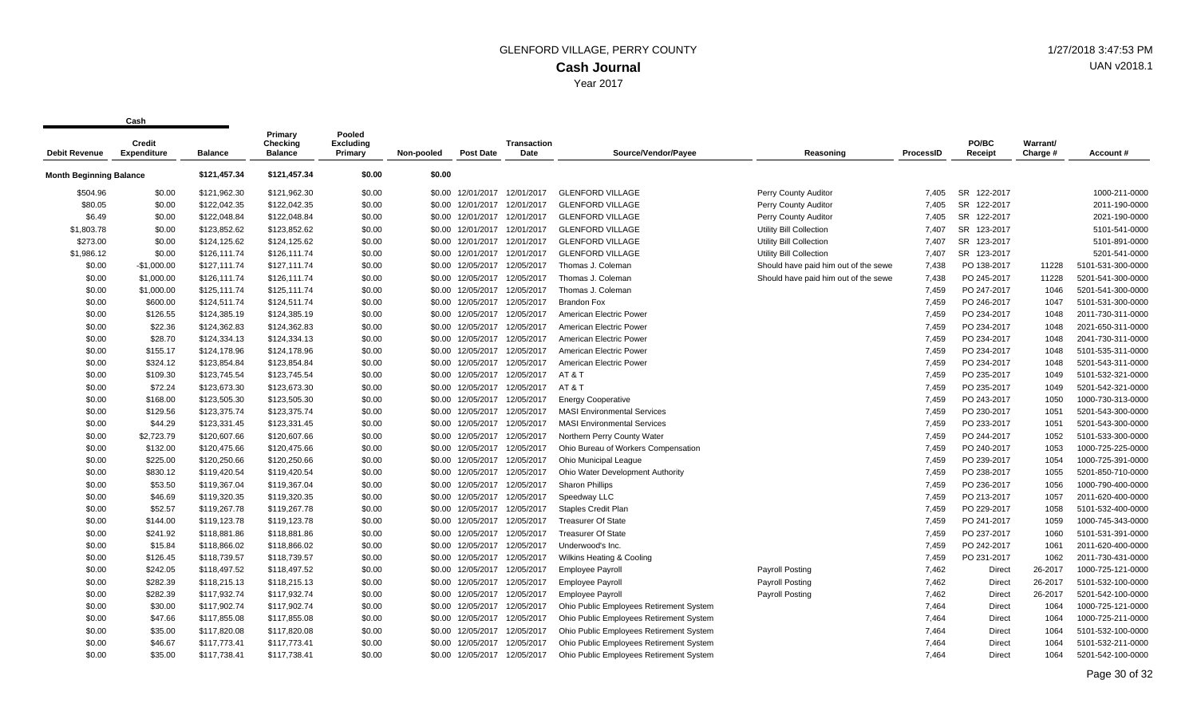|                                | <b>Credit</b>      |                | Primary<br>Checking | Pooled<br><b>Excluding</b> |            |                              | <b>Transaction</b> |                                         |                                       |           | PO/BC                 | Warrant/ |                   |
|--------------------------------|--------------------|----------------|---------------------|----------------------------|------------|------------------------------|--------------------|-----------------------------------------|---------------------------------------|-----------|-----------------------|----------|-------------------|
| <b>Debit Revenue</b>           | <b>Expenditure</b> | <b>Balance</b> | <b>Balance</b>      | Primary                    | Non-pooled | <b>Post Date</b>             | Date               | Source/Vendor/Payee                     | Reasoning                             | ProcessID | Receipt               | Charge # | Account#          |
| <b>Month Beginning Balance</b> |                    | \$121,457.34   | \$121,457.34        | \$0.00                     | \$0.00     |                              |                    |                                         |                                       |           |                       |          |                   |
| \$504.96                       | \$0.00             | \$121,962.30   | \$121,962.30        | \$0.00                     |            | \$0.00 12/01/2017            | 12/01/2017         | <b>GLENFORD VILLAGE</b>                 | Perry County Auditor                  | 7.405     | <b>SR</b><br>122-2017 |          | 1000-211-0000     |
| \$80.05                        | \$0.00             | \$122,042.35   | \$122,042.35        | \$0.00                     | \$0.00     | 12/01/2017                   | 12/01/2017         | <b>GLENFORD VILLAGE</b>                 | Perry County Auditor                  | 7.405     | <b>SR</b><br>122-2017 |          | 2011-190-0000     |
| \$6.49                         | \$0.00             | \$122,048.84   | \$122,048.84        | \$0.00                     |            | \$0.00 12/01/2017 12/01/2017 |                    | <b>GLENFORD VILLAGE</b>                 | Perry County Auditor                  | 7,405     | SR 122-2017           |          | 2021-190-0000     |
| \$1,803.78                     | \$0.00             | \$123,852.62   | \$123,852.62        | \$0.00                     |            | \$0.00 12/01/2017            | 12/01/2017         | <b>GLENFORD VILLAGE</b>                 | Utility Bill Collection               | 7,407     | SR 123-2017           |          | 5101-541-0000     |
| \$273.00                       | \$0.00             | \$124,125.62   | \$124,125.62        | \$0.00                     | \$0.00     | 12/01/2017                   | 12/01/2017         | <b>GLENFORD VILLAGE</b>                 | Utility Bill Collection               | 7,407     | SR<br>123-2017        |          | 5101-891-0000     |
| \$1,986.12                     | \$0.00             | \$126,111.74   | \$126,111.74        | \$0.00                     | \$0.00     | 12/01/2017                   | 12/01/2017         | <b>GLENFORD VILLAGE</b>                 | Utility Bill Collection               | 7.407     | SR 123-2017           |          | 5201-541-0000     |
| \$0.00                         | $-$1,000.00$       | \$127,111.74   | \$127,111.74        | \$0.00                     |            | \$0.00 12/05/2017            | 12/05/2017         | Thomas J. Coleman                       | Should have paid him out of the sewel | 7.438     | PO 138-2017           | 11228    | 5101-531-300-0000 |
| \$0.00                         | \$1,000.00         | \$126,111.74   | \$126,111.74        | \$0.00                     | \$0.00     | 12/05/2017                   | 12/05/2017         | Thomas J. Coleman                       | Should have paid him out of the sewel | 7,438     | PO 245-2017           | 11228    | 5201-541-300-0000 |
| \$0.00                         | \$1,000.00         | \$125,111.74   | \$125,111.74        | \$0.00                     | \$0.00     | 12/05/2017                   | 12/05/2017         | Thomas J. Coleman                       |                                       | 7,459     | PO 247-2017           | 1046     | 5201-541-300-0000 |
| \$0.00                         | \$600.00           | \$124,511.74   | \$124,511.74        | \$0.00                     | \$0.00     | 12/05/2017                   | 12/05/2017         | <b>Brandon Fox</b>                      |                                       | 7,459     | PO 246-2017           | 1047     | 5101-531-300-0000 |
| \$0.00                         | \$126.55           | \$124,385.19   | \$124,385.19        | \$0.00                     | \$0.00     | 12/05/2017                   | 12/05/2017         | American Electric Power                 |                                       | 7,459     | PO 234-2017           | 1048     | 2011-730-311-0000 |
| \$0.00                         | \$22.36            | \$124,362.83   | \$124,362.83        | \$0.00                     | \$0.00     | 12/05/2017                   | 12/05/2017         | American Electric Power                 |                                       | 7,459     | PO 234-2017           | 1048     | 2021-650-311-0000 |
| \$0.00                         | \$28.70            | \$124,334.13   | \$124,334.13        | \$0.00                     |            | \$0.00 12/05/2017            | 12/05/2017         | American Electric Power                 |                                       | 7,459     | PO 234-2017           | 1048     | 2041-730-311-0000 |
| \$0.00                         | \$155.17           | \$124,178.96   | \$124,178.96        | \$0.00                     |            | \$0.00 12/05/2017            | 12/05/2017         | American Electric Power                 |                                       | 7,459     | PO 234-2017           | 1048     | 5101-535-311-0000 |
| \$0.00                         | \$324.12           | \$123,854.84   | \$123,854.84        | \$0.00                     | \$0.00     | 12/05/2017                   | 12/05/2017         | American Electric Power                 |                                       | 7,459     | PO 234-2017           | 1048     | 5201-543-311-0000 |
| \$0.00                         | \$109.30           | \$123,745.54   | \$123,745.54        | \$0.00                     | \$0.00     | 12/05/2017                   | 12/05/2017         | AT&T                                    |                                       | 7,459     | PO 235-2017           | 1049     | 5101-532-321-0000 |
| \$0.00                         | \$72.24            | \$123,673.30   | \$123,673.30        | \$0.00                     |            | \$0.00 12/05/2017            | 12/05/2017         | AT & T                                  |                                       | 7,459     | PO 235-2017           | 1049     | 5201-542-321-0000 |
| \$0.00                         | \$168.00           | \$123,505.30   | \$123,505.30        | \$0.00                     | \$0.00     | 12/05/2017                   | 12/05/2017         | <b>Energy Cooperative</b>               |                                       | 7,459     | PO 243-2017           | 1050     | 1000-730-313-0000 |
| \$0.00                         | \$129.56           | \$123,375.74   | \$123,375.74        | \$0.00                     | \$0.00     | 12/05/2017                   | 12/05/2017         | <b>MASI Environmental Services</b>      |                                       | 7,459     | PO 230-2017           | 1051     | 5201-543-300-0000 |
| \$0.00                         | \$44.29            | \$123,331.45   | \$123,331.45        | \$0.00                     | \$0.00     | 12/05/2017                   | 12/05/2017         | <b>MASI Environmental Services</b>      |                                       | 7,459     | PO 233-2017           | 1051     | 5201-543-300-0000 |
| \$0.00                         | \$2,723.79         | \$120,607.66   | \$120,607.66        | \$0.00                     | \$0.00     | 12/05/2017                   | 12/05/2017         | Northern Perry County Water             |                                       | 7,459     | PO 244-2017           | 1052     | 5101-533-300-0000 |
| \$0.00                         | \$132.00           | \$120,475.66   | \$120,475.66        | \$0.00                     | \$0.00     | 12/05/2017                   | 12/05/2017         | Ohio Bureau of Workers Compensation     |                                       | 7,459     | PO 240-2017           | 1053     | 1000-725-225-0000 |
| \$0.00                         | \$225.00           | \$120,250.66   | \$120,250.66        | \$0.00                     |            | \$0.00 12/05/2017            | 12/05/2017         | <b>Ohio Municipal League</b>            |                                       | 7,459     | PO 239-2017           | 1054     | 1000-725-391-0000 |
| \$0.00                         | \$830.12           | \$119,420.54   | \$119,420.54        | \$0.00                     | \$0.00     | 12/05/2017                   | 12/05/2017         | Ohio Water Development Authority        |                                       | 7,459     | PO 238-2017           | 1055     | 5201-850-710-0000 |
| \$0.00                         | \$53.50            | \$119,367.04   | \$119,367.04        | \$0.00                     | \$0.00     | 12/05/2017                   | 12/05/2017         | <b>Sharon Phillips</b>                  |                                       | 7,459     | PO 236-2017           | 1056     | 1000-790-400-0000 |
| \$0.00                         | \$46.69            | \$119,320.35   | \$119,320.35        | \$0.00                     | \$0.00     | 12/05/2017                   | 12/05/2017         | Speedway LLC                            |                                       | 7,459     | PO 213-2017           | 1057     | 2011-620-400-0000 |
| \$0.00                         | \$52.57            | \$119,267.78   | \$119,267.78        | \$0.00                     |            | \$0.00 12/05/2017            | 12/05/2017         | Staples Credit Plan                     |                                       | 7,459     | PO 229-2017           | 1058     | 5101-532-400-0000 |
| \$0.00                         | \$144.00           | \$119,123.78   | \$119,123.78        | \$0.00                     | \$0.00     | 12/05/2017                   | 12/05/2017         | <b>Treasurer Of State</b>               |                                       | 7,459     | PO 241-2017           | 1059     | 1000-745-343-0000 |
| \$0.00                         | \$241.92           | \$118,881.86   | \$118,881.86        | \$0.00                     | \$0.00     | 12/05/2017                   | 12/05/2017         | <b>Treasurer Of State</b>               |                                       | 7,459     | PO 237-2017           | 1060     | 5101-531-391-0000 |
| \$0.00                         | \$15.84            | \$118,866.02   | \$118,866.02        | \$0.00                     |            | \$0.00 12/05/2017            | 12/05/2017         | Underwood's Inc.                        |                                       | 7,459     | PO 242-2017           | 1061     | 2011-620-400-0000 |
| \$0.00                         | \$126.45           | \$118,739.57   | \$118,739.57        | \$0.00                     | \$0.00     | 12/05/2017                   | 12/05/2017         | Wilkins Heating & Cooling               |                                       | 7,459     | PO 231-2017           | 1062     | 2011-730-431-0000 |
| \$0.00                         | \$242.05           | \$118,497.52   | \$118,497.52        | \$0.00                     | \$0.00     | 12/05/2017                   | 12/05/2017         | <b>Employee Payroll</b>                 | Payroll Posting                       | 7,462     | Direct                | 26-2017  | 1000-725-121-0000 |
| \$0.00                         | \$282.39           | \$118,215.13   | \$118,215.13        | \$0.00                     |            | \$0.00 12/05/2017            | 12/05/2017         | <b>Employee Payroll</b>                 | <b>Payroll Posting</b>                | 7,462     | <b>Direct</b>         | 26-2017  | 5101-532-100-0000 |
| \$0.00                         | \$282.39           | \$117,932.74   | \$117,932.74        | \$0.00                     |            | \$0.00 12/05/2017            | 12/05/2017         | <b>Employee Payroll</b>                 | Payroll Posting                       | 7,462     | Direct                | 26-2017  | 5201-542-100-0000 |
| \$0.00                         | \$30.00            | \$117,902.74   | \$117,902.74        | \$0.00                     | \$0.00     | 12/05/2017                   | 12/05/2017         | Ohio Public Employees Retirement System |                                       | 7,464     | Direct                | 1064     | 1000-725-121-0000 |
| \$0.00                         | \$47.66            | \$117,855.08   | \$117,855.08        | \$0.00                     | \$0.00     | 12/05/2017                   | 12/05/2017         | Ohio Public Employees Retirement System |                                       | 7,464     | Direct                | 1064     | 1000-725-211-0000 |
| \$0.00                         | \$35.00            | \$117,820.08   | \$117,820.08        | \$0.00                     | \$0.00     | 12/05/2017                   | 12/05/2017         | Ohio Public Employees Retirement System |                                       | 7,464     | Direct                | 1064     | 5101-532-100-0000 |
| \$0.00                         | \$46.67            | \$117,773.41   | \$117,773.41        | \$0.00                     | \$0.00     | 12/05/2017                   | 12/05/2017         | Ohio Public Employees Retirement System |                                       | 7,464     | Direct                | 1064     | 5101-532-211-0000 |
| \$0.00                         | \$35.00            | \$117,738.41   | \$117,738.41        | \$0.00                     | \$0.00     | 12/05/2017                   | 12/05/2017         | Ohio Public Employees Retirement System |                                       | 7.464     | <b>Direct</b>         | 1064     | 5201-542-100-0000 |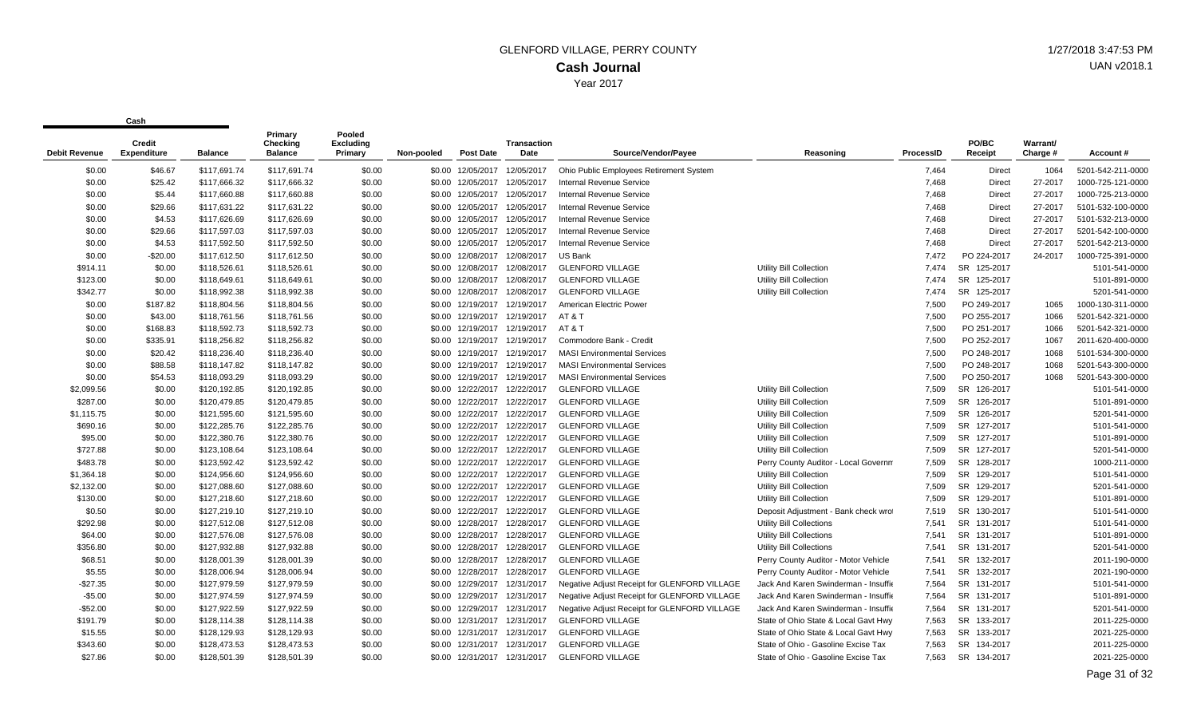| <b>Debit Revenue</b> | <b>Credit</b><br>Expenditure | <b>Balance</b> | Primary<br>Checking<br><b>Balance</b> | Pooled<br><b>Excluding</b><br>Primary | Non-pooled | <b>Post Date</b>             | <b>Transaction</b><br>Date | Source/Vendor/Pavee                          | Reasoning                            | ProcessID | PO/BC<br>Receipt      | Warrant/<br>Charge # | Account#          |
|----------------------|------------------------------|----------------|---------------------------------------|---------------------------------------|------------|------------------------------|----------------------------|----------------------------------------------|--------------------------------------|-----------|-----------------------|----------------------|-------------------|
| \$0.00               | \$46.67                      | \$117.691.74   | \$117,691.74                          | \$0.00                                |            | \$0.00 12/05/2017            | 12/05/2017                 | Ohio Public Employees Retirement System      |                                      | 7,464     | <b>Direct</b>         | 1064                 | 5201-542-211-0000 |
| \$0.00               | \$25.42                      | \$117,666.32   | \$117,666.32                          | \$0.00                                |            | \$0.00 12/05/2017            | 12/05/2017                 | Internal Revenue Service                     |                                      | 7.468     | <b>Direct</b>         | 27-2017              | 1000-725-121-0000 |
| \$0.00               | \$5.44                       | \$117,660.88   | \$117,660.88                          | \$0.00                                |            | \$0.00 12/05/2017            | 12/05/2017                 | <b>Internal Revenue Service</b>              |                                      | 7,468     | <b>Direct</b>         | 27-2017              | 1000-725-213-0000 |
| \$0.00               | \$29.66                      | \$117,631.22   | \$117,631.22                          | \$0.00                                |            | \$0.00 12/05/2017            | 12/05/2017                 | <b>Internal Revenue Service</b>              |                                      | 7.468     | <b>Direct</b>         | 27-2017              | 5101-532-100-0000 |
| \$0.00               | \$4.53                       | \$117,626.69   | \$117,626.69                          | \$0.00                                |            | \$0.00 12/05/2017            | 12/05/2017                 | Internal Revenue Service                     |                                      | 7,468     | <b>Direct</b>         | 27-2017              | 5101-532-213-0000 |
| \$0.00               | \$29.66                      | \$117,597.03   | \$117,597.03                          | \$0.00                                |            | \$0.00 12/05/2017            | 12/05/2017                 | <b>Internal Revenue Service</b>              |                                      | 7,468     | Direct                | 27-2017              | 5201-542-100-0000 |
| \$0.00               | \$4.53                       | \$117,592.50   | \$117,592.50                          | \$0.00                                | \$0.00     | 12/05/2017                   | 12/05/2017                 | Internal Revenue Service                     |                                      | 7.468     | Direct                | 27-2017              | 5201-542-213-0000 |
| \$0.00               | $-$20.00$                    | \$117,612.50   | \$117,612.50                          | \$0.00                                |            | \$0.00 12/08/2017            | 12/08/2017                 | US Bank                                      |                                      | 7,472     | PO 224-2017           | 24-2017              | 1000-725-391-0000 |
| \$914.11             | \$0.00                       | \$118,526.61   | \$118,526.61                          | \$0.00                                |            | \$0.00 12/08/2017 12/08/2017 |                            | <b>GLENFORD VILLAGE</b>                      | Utility Bill Collection              | 7,474     | <b>SR</b><br>125-2017 |                      | 5101-541-0000     |
| \$123.00             | \$0.00                       | \$118,649.61   | \$118,649.61                          | \$0.00                                |            | \$0.00 12/08/2017            | 12/08/2017                 | <b>GLENFORD VILLAGE</b>                      | <b>Utility Bill Collection</b>       | 7,474     | <b>SR</b><br>125-2017 |                      | 5101-891-0000     |
| \$342.77             | \$0.00                       | \$118,992.38   | \$118,992.38                          | \$0.00                                |            | \$0.00 12/08/2017            | 12/08/2017                 | <b>GLENFORD VILLAGE</b>                      | Utility Bill Collection              | 7.474     | SR 125-2017           |                      | 5201-541-0000     |
| \$0.00               | \$187.82                     | \$118,804.56   | \$118,804.56                          | \$0.00                                |            | \$0.00 12/19/2017            | 12/19/2017                 | American Electric Power                      |                                      | 7.500     | PO 249-2017           | 1065                 | 1000-130-311-0000 |
| \$0.00               | \$43.00                      | \$118,761.56   | \$118,761.56                          | \$0.00                                |            | \$0.00 12/19/2017            | 12/19/2017                 | AT & T                                       |                                      | 7,500     | PO 255-2017           | 1066                 | 5201-542-321-0000 |
| \$0.00               | \$168.83                     | \$118,592.73   | \$118,592.73                          | \$0.00                                |            | \$0.00 12/19/2017            | 12/19/2017                 | AT & T                                       |                                      | 7.500     | PO 251-2017           | 1066                 | 5201-542-321-0000 |
| \$0.00               | \$335.91                     | \$118,256.82   | \$118,256.82                          | \$0.00                                |            | \$0.00 12/19/2017            | 12/19/2017                 | Commodore Bank - Credit                      |                                      | 7,500     | PO 252-2017           | 1067                 | 2011-620-400-0000 |
| \$0.00               | \$20.42                      | \$118,236.40   | \$118,236.40                          | \$0.00                                |            |                              |                            | <b>MASI Environmental Services</b>           |                                      | 7,500     | PO 248-2017           | 1068                 | 5101-534-300-0000 |
| \$0.00               | \$88.58                      | \$118,147.82   | \$118,147.82                          | \$0.00                                |            | \$0.00 12/19/2017            | 12/19/201                  | <b>MASI Environmental Services</b>           |                                      | 7,500     | PO 248-2017           | 1068                 | 5201-543-300-0000 |
| \$0.00               | \$54.53                      | \$118,093.29   | \$118,093.29                          | \$0.00                                |            | \$0.00 12/19/2017            | 12/19/2017                 | <b>MASI Environmental Services</b>           |                                      | 7,500     | PO 250-2017           | 1068                 | 5201-543-300-0000 |
| \$2,099.56           | \$0.00                       | \$120,192.85   | \$120,192.85                          | \$0.00                                |            | \$0.00 12/22/2017 12/22/2017 |                            | <b>GLENFORD VILLAGE</b>                      | Utility Bill Collection              | 7,509     | SR 126-2017           |                      | 5101-541-0000     |
| \$287.00             | \$0.00                       | \$120,479.85   | \$120,479.85                          | \$0.00                                |            | \$0.00 12/22/2017            | 12/22/2017                 | <b>GLENFORD VILLAGE</b>                      | <b>Utility Bill Collection</b>       | 7.509     | <b>SR</b><br>126-2017 |                      | 5101-891-0000     |
| \$1,115.75           | \$0.00                       | \$121,595.60   | \$121.595.60                          | \$0.00                                |            | \$0.00 12/22/2017            | 12/22/2017                 | <b>GLENFORD VILLAGE</b>                      | <b>Utility Bill Collection</b>       | 7.509     | <b>SR</b><br>126-2017 |                      | 5201-541-0000     |
| \$690.16             | \$0.00                       | \$122,285.76   | \$122,285.76                          | \$0.00                                |            | \$0.00 12/22/2017            | 12/22/2017                 | <b>GLENFORD VILLAGE</b>                      | <b>Utility Bill Collection</b>       | 7,509     | <b>SR</b><br>127-2017 |                      | 5101-541-0000     |
| \$95.00              | \$0.00                       | \$122,380.76   | \$122,380.76                          | \$0.00                                |            | \$0.00 12/22/2017            | 12/22/2017                 | <b>GLENFORD VILLAGE</b>                      | Utility Bill Collection              | 7,509     | SR 127-2017           |                      | 5101-891-0000     |
| \$727.88             | \$0.00                       | \$123,108.64   | \$123,108.64                          | \$0.00                                |            | \$0.00 12/22/2017            | 12/22/2017                 | <b>GLENFORD VILLAGE</b>                      | <b>Utility Bill Collection</b>       | 7.509     | <b>SR</b><br>127-2017 |                      | 5201-541-0000     |
| \$483.78             | \$0.00                       | \$123,592.42   | \$123,592.42                          | \$0.00                                |            | \$0.00 12/22/2017            | 12/22/2017                 | <b>GLENFORD VILLAGE</b>                      | Perry County Auditor - Local Governm | 7.509     | SR 128-2017           |                      | 1000-211-0000     |
| \$1,364.18           | \$0.00                       | \$124,956.60   | \$124,956.60                          | \$0.00                                |            | \$0.00 12/22/2017            | 12/22/2017                 | <b>GLENFORD VILLAGE</b>                      | <b>Utility Bill Collection</b>       | 7.509     | <b>SR</b><br>129-2017 |                      | 5101-541-0000     |
| \$2,132.00           | \$0.00                       | \$127,088.60   | \$127,088.60                          | \$0.00                                |            | \$0.00 12/22/2017            | 12/22/2017                 | <b>GLENFORD VILLAGE</b>                      | <b>Utility Bill Collection</b>       | 7.509     | <b>SR</b><br>129-2017 |                      | 5201-541-0000     |
| \$130.00             | \$0.00                       | \$127,218.60   | \$127,218.60                          | \$0.00                                |            | \$0.00 12/22/2017            | 12/22/2017                 | <b>GLENFORD VILLAGE</b>                      | Utility Bill Collection              | 7.509     | <b>SR</b><br>129-2017 |                      | 5101-891-0000     |
| \$0.50               | \$0.00                       | \$127,219.10   | \$127,219.10                          | \$0.00                                |            | \$0.00 12/22/2017 12/22/2017 |                            | <b>GLENFORD VILLAGE</b>                      | Deposit Adjustment - Bank check wrot | 7,519     | SR 130-2017           |                      | 5101-541-0000     |
| \$292.98             | \$0.00                       | \$127,512.08   | \$127,512.08                          | \$0.00                                |            | \$0.00 12/28/2017            | 12/28/2017                 | <b>GLENFORD VILLAGE</b>                      | <b>Utility Bill Collections</b>      | 7,541     | SR 131-2017           |                      | 5101-541-0000     |
| \$64.00              | \$0.00                       | \$127,576.08   | \$127,576.08                          | \$0.00                                |            | \$0.00 12/28/2017            | 12/28/2017                 | <b>GLENFORD VILLAGE</b>                      | <b>Utility Bill Collections</b>      | 7.541     | <b>SR</b><br>131-2017 |                      | 5101-891-0000     |
| \$356.80             | \$0.00                       | \$127,932.88   | \$127,932.88                          | \$0.00                                |            | \$0.00 12/28/2017            | 12/28/2017                 | <b>GLENFORD VILLAGE</b>                      | <b>Utility Bill Collections</b>      | 7.541     | SR 131-2017           |                      | 5201-541-0000     |
| \$68.51              | \$0.00                       | \$128,001.39   | \$128,001.39                          | \$0.00                                |            | \$0.00 12/28/2017            | 12/28/2017                 | <b>GLENFORD VILLAGE</b>                      | Perry County Auditor - Motor Vehicle | 7.541     | <b>SR</b><br>132-2017 |                      | 2011-190-0000     |
| \$5.55               | \$0.00                       | \$128,006.94   | \$128,006.94                          | \$0.00                                |            | \$0.00 12/28/2017            | 12/28/201                  | <b>GLENFORD VILLAGE</b>                      | Perry County Auditor - Motor Vehicle | 7,541     | SR<br>132-2017        |                      | 2021-190-0000     |
| $-$27.35$            | \$0.00                       | \$127,979.59   | \$127,979.59                          | \$0.00                                | \$0.00     | 12/29/2017                   | 12/31/2017                 | Negative Adjust Receipt for GLENFORD VILLAGE | Jack And Karen Swinderman - Insuffie | 7,564     | <b>SR</b><br>131-2017 |                      | 5101-541-0000     |
| $-$5.00$             | \$0.00                       | \$127,974.59   | \$127,974.59                          | \$0.00                                |            | \$0.00 12/29/2017 12/31/2017 |                            | Negative Adjust Receipt for GLENFORD VILLAGE | Jack And Karen Swinderman - Insuffie | 7,564     | SR 131-2017           |                      | 5101-891-0000     |
| $-$52.00$            | \$0.00                       | \$127,922.59   | \$127,922.59                          | \$0.00                                |            | \$0.00 12/29/2017            | 12/31/2017                 | Negative Adjust Receipt for GLENFORD VILLAGE | Jack And Karen Swinderman - Insuffie | 7,564     | SR 131-2017           |                      | 5201-541-0000     |
| \$191.79             | \$0.00                       | \$128,114.38   | \$128,114.38                          | \$0.00                                | \$0.00     | 12/31/2017                   | 12/31/2017                 | <b>GLENFORD VILLAGE</b>                      | State of Ohio State & Local Gavt Hwy | 7.563     | SR<br>133-2017        |                      | 2011-225-0000     |
| \$15.55              | \$0.00                       | \$128,129.93   | \$128,129.93                          | \$0.00                                |            | \$0.00 12/31/2017            | 12/31/2017                 | <b>GLENFORD VILLAGE</b>                      | State of Ohio State & Local Gavt Hwy | 7,563     | SR 133-2017           |                      | 2021-225-0000     |
| \$343.60             | \$0.00                       | \$128,473.53   | \$128,473.53                          | \$0.00                                |            | \$0.00 12/31/2017            | 12/31/2017                 | <b>GLENFORD VILLAGE</b>                      | State of Ohio - Gasoline Excise Tax  | 7,563     | SR 134-2017           |                      | 2011-225-0000     |
| \$27.86              | \$0.00                       | \$128,501.39   | \$128,501.39                          | \$0.00                                |            | \$0.00 12/31/2017 12/31/2017 |                            | <b>GLENFORD VILLAGE</b>                      | State of Ohio - Gasoline Excise Tax  | 7,563     | SR 134-2017           |                      | 2021-225-0000     |
|                      |                              |                |                                       |                                       |            |                              |                            |                                              |                                      |           |                       |                      |                   |